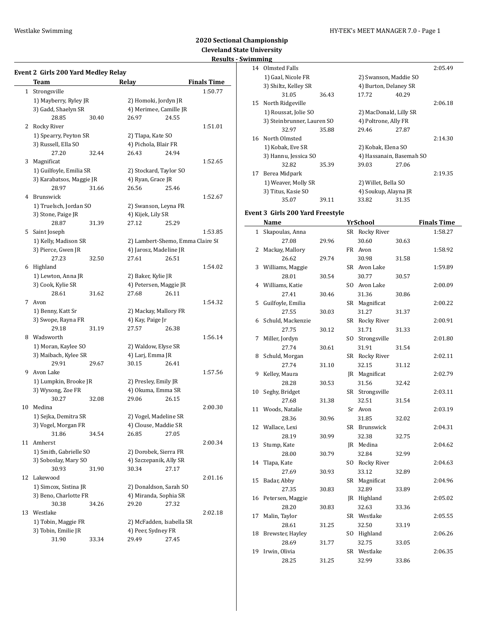**Event 2 Girls 200 Yard Medley Relay**

### Westlake Swimming HY-TEK's MEET MANAGER 7.0 - Page 1

### **2020 Sectional Championship Cleveland State University Result**

| t <b>s - Swimming</b> |                      |        |   |  |  |  |  |  |  |
|-----------------------|----------------------|--------|---|--|--|--|--|--|--|
|                       | 14 Olmsted Falls     |        |   |  |  |  |  |  |  |
|                       | 1) Gaal, Nicole FR   |        |   |  |  |  |  |  |  |
|                       | 3) Shiltz, Kelley SR |        | 4 |  |  |  |  |  |  |
|                       |                      | 26 A.Z |   |  |  |  |  |  |  |

| Team                                       |                                                                                                                                                                                                                                                                                                                                   | <b>Relay</b>                                                                                                                                                                                                                                                                    |                                           | <b>Finals Time</b>                                                                                                                                                                                                                                                                                                                                                                                                                                                                                                                                                                                                                   |
|--------------------------------------------|-----------------------------------------------------------------------------------------------------------------------------------------------------------------------------------------------------------------------------------------------------------------------------------------------------------------------------------|---------------------------------------------------------------------------------------------------------------------------------------------------------------------------------------------------------------------------------------------------------------------------------|-------------------------------------------|--------------------------------------------------------------------------------------------------------------------------------------------------------------------------------------------------------------------------------------------------------------------------------------------------------------------------------------------------------------------------------------------------------------------------------------------------------------------------------------------------------------------------------------------------------------------------------------------------------------------------------------|
| $\mathbf{1}$<br>Strongsville               |                                                                                                                                                                                                                                                                                                                                   |                                                                                                                                                                                                                                                                                 |                                           | 1:50.77                                                                                                                                                                                                                                                                                                                                                                                                                                                                                                                                                                                                                              |
|                                            |                                                                                                                                                                                                                                                                                                                                   |                                                                                                                                                                                                                                                                                 |                                           |                                                                                                                                                                                                                                                                                                                                                                                                                                                                                                                                                                                                                                      |
| 3) Gadd, Shaelyn SR                        |                                                                                                                                                                                                                                                                                                                                   |                                                                                                                                                                                                                                                                                 |                                           |                                                                                                                                                                                                                                                                                                                                                                                                                                                                                                                                                                                                                                      |
| 28.85                                      | 30.40                                                                                                                                                                                                                                                                                                                             | 26.97                                                                                                                                                                                                                                                                           | 24.55                                     |                                                                                                                                                                                                                                                                                                                                                                                                                                                                                                                                                                                                                                      |
|                                            |                                                                                                                                                                                                                                                                                                                                   |                                                                                                                                                                                                                                                                                 |                                           | 1:51.01                                                                                                                                                                                                                                                                                                                                                                                                                                                                                                                                                                                                                              |
|                                            |                                                                                                                                                                                                                                                                                                                                   |                                                                                                                                                                                                                                                                                 |                                           |                                                                                                                                                                                                                                                                                                                                                                                                                                                                                                                                                                                                                                      |
|                                            |                                                                                                                                                                                                                                                                                                                                   |                                                                                                                                                                                                                                                                                 |                                           |                                                                                                                                                                                                                                                                                                                                                                                                                                                                                                                                                                                                                                      |
|                                            |                                                                                                                                                                                                                                                                                                                                   |                                                                                                                                                                                                                                                                                 |                                           |                                                                                                                                                                                                                                                                                                                                                                                                                                                                                                                                                                                                                                      |
|                                            |                                                                                                                                                                                                                                                                                                                                   |                                                                                                                                                                                                                                                                                 |                                           | 1:52.65                                                                                                                                                                                                                                                                                                                                                                                                                                                                                                                                                                                                                              |
|                                            |                                                                                                                                                                                                                                                                                                                                   |                                                                                                                                                                                                                                                                                 |                                           |                                                                                                                                                                                                                                                                                                                                                                                                                                                                                                                                                                                                                                      |
|                                            |                                                                                                                                                                                                                                                                                                                                   |                                                                                                                                                                                                                                                                                 |                                           |                                                                                                                                                                                                                                                                                                                                                                                                                                                                                                                                                                                                                                      |
|                                            |                                                                                                                                                                                                                                                                                                                                   |                                                                                                                                                                                                                                                                                 |                                           |                                                                                                                                                                                                                                                                                                                                                                                                                                                                                                                                                                                                                                      |
|                                            |                                                                                                                                                                                                                                                                                                                                   |                                                                                                                                                                                                                                                                                 |                                           |                                                                                                                                                                                                                                                                                                                                                                                                                                                                                                                                                                                                                                      |
|                                            |                                                                                                                                                                                                                                                                                                                                   |                                                                                                                                                                                                                                                                                 |                                           | 1:52.67                                                                                                                                                                                                                                                                                                                                                                                                                                                                                                                                                                                                                              |
|                                            |                                                                                                                                                                                                                                                                                                                                   |                                                                                                                                                                                                                                                                                 |                                           |                                                                                                                                                                                                                                                                                                                                                                                                                                                                                                                                                                                                                                      |
|                                            |                                                                                                                                                                                                                                                                                                                                   |                                                                                                                                                                                                                                                                                 |                                           |                                                                                                                                                                                                                                                                                                                                                                                                                                                                                                                                                                                                                                      |
| 28.87                                      | 31.39                                                                                                                                                                                                                                                                                                                             | 27.12                                                                                                                                                                                                                                                                           | 25.29                                     |                                                                                                                                                                                                                                                                                                                                                                                                                                                                                                                                                                                                                                      |
| 5 Saint Joseph                             |                                                                                                                                                                                                                                                                                                                                   |                                                                                                                                                                                                                                                                                 |                                           | 1:53.85                                                                                                                                                                                                                                                                                                                                                                                                                                                                                                                                                                                                                              |
| 1) Kelly, Madison SR                       |                                                                                                                                                                                                                                                                                                                                   |                                                                                                                                                                                                                                                                                 |                                           |                                                                                                                                                                                                                                                                                                                                                                                                                                                                                                                                                                                                                                      |
| 3) Pierce, Gwen JR                         |                                                                                                                                                                                                                                                                                                                                   |                                                                                                                                                                                                                                                                                 |                                           |                                                                                                                                                                                                                                                                                                                                                                                                                                                                                                                                                                                                                                      |
| 27.23                                      | 32.50                                                                                                                                                                                                                                                                                                                             | 27.61                                                                                                                                                                                                                                                                           | 26.51                                     |                                                                                                                                                                                                                                                                                                                                                                                                                                                                                                                                                                                                                                      |
| 6 Highland                                 |                                                                                                                                                                                                                                                                                                                                   |                                                                                                                                                                                                                                                                                 |                                           | 1:54.02                                                                                                                                                                                                                                                                                                                                                                                                                                                                                                                                                                                                                              |
|                                            |                                                                                                                                                                                                                                                                                                                                   |                                                                                                                                                                                                                                                                                 |                                           |                                                                                                                                                                                                                                                                                                                                                                                                                                                                                                                                                                                                                                      |
|                                            |                                                                                                                                                                                                                                                                                                                                   |                                                                                                                                                                                                                                                                                 |                                           |                                                                                                                                                                                                                                                                                                                                                                                                                                                                                                                                                                                                                                      |
|                                            |                                                                                                                                                                                                                                                                                                                                   |                                                                                                                                                                                                                                                                                 |                                           |                                                                                                                                                                                                                                                                                                                                                                                                                                                                                                                                                                                                                                      |
|                                            |                                                                                                                                                                                                                                                                                                                                   |                                                                                                                                                                                                                                                                                 |                                           | 1:54.32                                                                                                                                                                                                                                                                                                                                                                                                                                                                                                                                                                                                                              |
|                                            |                                                                                                                                                                                                                                                                                                                                   |                                                                                                                                                                                                                                                                                 |                                           |                                                                                                                                                                                                                                                                                                                                                                                                                                                                                                                                                                                                                                      |
|                                            |                                                                                                                                                                                                                                                                                                                                   |                                                                                                                                                                                                                                                                                 |                                           |                                                                                                                                                                                                                                                                                                                                                                                                                                                                                                                                                                                                                                      |
|                                            |                                                                                                                                                                                                                                                                                                                                   |                                                                                                                                                                                                                                                                                 |                                           |                                                                                                                                                                                                                                                                                                                                                                                                                                                                                                                                                                                                                                      |
|                                            |                                                                                                                                                                                                                                                                                                                                   |                                                                                                                                                                                                                                                                                 |                                           |                                                                                                                                                                                                                                                                                                                                                                                                                                                                                                                                                                                                                                      |
|                                            |                                                                                                                                                                                                                                                                                                                                   |                                                                                                                                                                                                                                                                                 |                                           | 1:56.14                                                                                                                                                                                                                                                                                                                                                                                                                                                                                                                                                                                                                              |
| 1) Moran, Kaylee SO                        |                                                                                                                                                                                                                                                                                                                                   |                                                                                                                                                                                                                                                                                 |                                           |                                                                                                                                                                                                                                                                                                                                                                                                                                                                                                                                                                                                                                      |
|                                            |                                                                                                                                                                                                                                                                                                                                   |                                                                                                                                                                                                                                                                                 |                                           |                                                                                                                                                                                                                                                                                                                                                                                                                                                                                                                                                                                                                                      |
| 29.91                                      | 29.67                                                                                                                                                                                                                                                                                                                             | 30.15                                                                                                                                                                                                                                                                           | 26.41                                     |                                                                                                                                                                                                                                                                                                                                                                                                                                                                                                                                                                                                                                      |
| Avon Lake                                  |                                                                                                                                                                                                                                                                                                                                   |                                                                                                                                                                                                                                                                                 |                                           | 1:57.56                                                                                                                                                                                                                                                                                                                                                                                                                                                                                                                                                                                                                              |
|                                            |                                                                                                                                                                                                                                                                                                                                   |                                                                                                                                                                                                                                                                                 |                                           |                                                                                                                                                                                                                                                                                                                                                                                                                                                                                                                                                                                                                                      |
| 3) Wysong, Zoe FR                          |                                                                                                                                                                                                                                                                                                                                   |                                                                                                                                                                                                                                                                                 |                                           |                                                                                                                                                                                                                                                                                                                                                                                                                                                                                                                                                                                                                                      |
| 30.27                                      | 32.08                                                                                                                                                                                                                                                                                                                             | 29.06                                                                                                                                                                                                                                                                           | 26.15                                     |                                                                                                                                                                                                                                                                                                                                                                                                                                                                                                                                                                                                                                      |
| 10 Medina                                  |                                                                                                                                                                                                                                                                                                                                   |                                                                                                                                                                                                                                                                                 |                                           | 2:00.30                                                                                                                                                                                                                                                                                                                                                                                                                                                                                                                                                                                                                              |
|                                            |                                                                                                                                                                                                                                                                                                                                   |                                                                                                                                                                                                                                                                                 |                                           |                                                                                                                                                                                                                                                                                                                                                                                                                                                                                                                                                                                                                                      |
|                                            |                                                                                                                                                                                                                                                                                                                                   |                                                                                                                                                                                                                                                                                 |                                           |                                                                                                                                                                                                                                                                                                                                                                                                                                                                                                                                                                                                                                      |
|                                            |                                                                                                                                                                                                                                                                                                                                   |                                                                                                                                                                                                                                                                                 |                                           |                                                                                                                                                                                                                                                                                                                                                                                                                                                                                                                                                                                                                                      |
|                                            |                                                                                                                                                                                                                                                                                                                                   |                                                                                                                                                                                                                                                                                 |                                           |                                                                                                                                                                                                                                                                                                                                                                                                                                                                                                                                                                                                                                      |
|                                            |                                                                                                                                                                                                                                                                                                                                   |                                                                                                                                                                                                                                                                                 |                                           | 2:00.34                                                                                                                                                                                                                                                                                                                                                                                                                                                                                                                                                                                                                              |
|                                            |                                                                                                                                                                                                                                                                                                                                   |                                                                                                                                                                                                                                                                                 |                                           |                                                                                                                                                                                                                                                                                                                                                                                                                                                                                                                                                                                                                                      |
|                                            |                                                                                                                                                                                                                                                                                                                                   |                                                                                                                                                                                                                                                                                 |                                           |                                                                                                                                                                                                                                                                                                                                                                                                                                                                                                                                                                                                                                      |
|                                            | 31.90                                                                                                                                                                                                                                                                                                                             |                                                                                                                                                                                                                                                                                 |                                           |                                                                                                                                                                                                                                                                                                                                                                                                                                                                                                                                                                                                                                      |
|                                            |                                                                                                                                                                                                                                                                                                                                   |                                                                                                                                                                                                                                                                                 |                                           | 2:01.16                                                                                                                                                                                                                                                                                                                                                                                                                                                                                                                                                                                                                              |
| 1) Simcox, Sistina JR                      |                                                                                                                                                                                                                                                                                                                                   |                                                                                                                                                                                                                                                                                 |                                           |                                                                                                                                                                                                                                                                                                                                                                                                                                                                                                                                                                                                                                      |
| 3) Beno, Charlotte FR                      |                                                                                                                                                                                                                                                                                                                                   | 4) Miranda, Sophia SR                                                                                                                                                                                                                                                           |                                           |                                                                                                                                                                                                                                                                                                                                                                                                                                                                                                                                                                                                                                      |
|                                            | 34.26                                                                                                                                                                                                                                                                                                                             | 29.20                                                                                                                                                                                                                                                                           | 27.32                                     |                                                                                                                                                                                                                                                                                                                                                                                                                                                                                                                                                                                                                                      |
| 30.38                                      |                                                                                                                                                                                                                                                                                                                                   |                                                                                                                                                                                                                                                                                 |                                           |                                                                                                                                                                                                                                                                                                                                                                                                                                                                                                                                                                                                                                      |
| Westlake                                   |                                                                                                                                                                                                                                                                                                                                   |                                                                                                                                                                                                                                                                                 |                                           | 2:02.18                                                                                                                                                                                                                                                                                                                                                                                                                                                                                                                                                                                                                              |
|                                            |                                                                                                                                                                                                                                                                                                                                   |                                                                                                                                                                                                                                                                                 |                                           |                                                                                                                                                                                                                                                                                                                                                                                                                                                                                                                                                                                                                                      |
| 1) Tobin, Maggie FR<br>3) Tobin, Emilie JR |                                                                                                                                                                                                                                                                                                                                   | 2) McFadden, Isabella SR<br>4) Peer, Sydney FR                                                                                                                                                                                                                                  |                                           |                                                                                                                                                                                                                                                                                                                                                                                                                                                                                                                                                                                                                                      |
|                                            | 2 Rocky River<br>3) Russell, Ella SO<br>27.20<br>Magnificat<br>28.97<br>4 Brunswick<br>3) Stone, Paige JR<br>1) Lewton, Anna JR<br>3) Cook, Kylie SR<br>28.61<br>Avon<br>1) Benny, Katt Sr<br>3) Swope, Rayna FR<br>29.18<br>Wadsworth<br>1) Sejka, Demitra SR<br>3) Vogel, Morgan FR<br>31.86<br>11 Amherst<br>30.93<br>Lakewood | 1) Mayberry, Ryley JR<br>1) Spearry, Peyton SR<br>32.44<br>1) Guilfoyle, Emilia SR<br>3) Karabatsos, Maggie JR<br>31.66<br>1) Truelsch, Jordan SO<br>31.62<br>31.19<br>3) Maibach, Kylee SR<br>1) Lumpkin, Brooke JR<br>34.54<br>1) Smith, Gabrielle SO<br>3) Soboslay, Mary SO | 26.43<br>26.56<br>27.68<br>27.57<br>30.34 | 2) Homoki, Jordyn JR<br>4) Merimee, Camille JR<br>2) Tlapa, Kate SO<br>4) Pichola, Blair FR<br>24.94<br>2) Stockard, Taylor SO<br>4) Ryan, Grace JR<br>25.46<br>2) Swanson, Leyna FR<br>4) Kijek, Lily SR<br>2) Lambert-Shemo, Emma Claire S(<br>4) Jarosz, Madeline JR<br>2) Baker, Kylie JR<br>4) Petersen, Maggie JR<br>26.11<br>2) Mackay, Mallory FR<br>4) Kay, Paige Jr<br>26.38<br>2) Waldow, Elyse SR<br>4) Larj, Emma JR<br>2) Presley, Emily JR<br>4) Okuma, Emma SR<br>2) Vogel, Madeline SR<br>4) Clouse, Maddie SR<br>26.85 27.05<br>2) Dorobek, Sierra FR<br>4) Szczepanik, Ally SR<br>27.17<br>2) Donaldson, Sarah SO |

|    | шшшч                       |       |                        |                          |         |
|----|----------------------------|-------|------------------------|--------------------------|---------|
| 14 | Olmsted Falls              |       |                        |                          | 2:05.49 |
|    | 1) Gaal, Nicole FR         |       | 2) Swanson, Maddie SO  |                          |         |
|    | 3) Shiltz, Kelley SR       |       | 4) Burton, Delaney SR  |                          |         |
|    | 31.05                      | 36.43 | 17.72                  | 40.29                    |         |
| 15 | North Ridgeville           |       |                        |                          | 2:06.18 |
|    | 1) Roussat, Jolie SO       |       | 2) MacDonald, Lilly SR |                          |         |
|    | 3) Steinbrunner, Lauren SO |       | 4) Poltrone, Ally FR   |                          |         |
|    | 32.97                      | 35.88 | 29.46                  | 27.87                    |         |
| 16 | North Olmsted              |       |                        |                          | 2:14.30 |
|    | 1) Kobak, Eve SR           |       | 2) Kobak, Elena SO     |                          |         |
|    | 3) Hannu, Jessica SO       |       |                        | 4) Hassanain, Basemah SO |         |
|    | 32.82                      | 35.39 | 39.03                  | 27.06                    |         |
| 17 | Berea Midpark              |       |                        |                          | 2:19.35 |
|    | 1) Weaver, Molly SR        |       | 2) Willet, Bella SO    |                          |         |
|    | 3) Titus, Kasie SO         |       | 4) Soukup, Alayna JR   |                          |         |
|    | 35.07                      | 39.11 | 33.82                  | 31.35                    |         |

# **Event 3 Girls 200 Yard Freestyle**

|              | Name              |       | <b>YrSchool</b> |       | <b>Finals Time</b> |
|--------------|-------------------|-------|-----------------|-------|--------------------|
| $\mathbf{1}$ | Skapoulas, Anna   |       | SR Rocky River  |       | 1:58.27            |
|              | 27.08             | 29.96 | 30.60           | 30.63 |                    |
| 2            | Mackay, Mallory   |       | FR Avon         |       | 1:58.92            |
|              | 26.62             | 29.74 | 30.98           | 31.58 |                    |
| 3            | Williams, Maggie  |       | SR Avon Lake    |       | 1:59.89            |
|              | 28.01             | 30.54 | 30.77           | 30.57 |                    |
| 4            | Williams, Katie   |       | SO Avon Lake    |       | 2:00.09            |
|              | 27.41             | 30.46 | 31.36           | 30.86 |                    |
| 5            | Guilfoyle, Emilia |       | SR Magnificat   |       | 2:00.22            |
|              | 27.55             | 30.03 | 31.27           | 31.37 |                    |
| 6            | Schuld, Mackenzie |       | SR Rocky River  |       | 2:00.91            |
|              | 27.75             | 30.12 | 31.71           | 31.33 |                    |
| 7            | Miller, Jordyn    |       | SO Strongsville |       | 2:01.80            |
|              | 27.74             | 30.61 | 31.91           | 31.54 |                    |
| 8            | Schuld, Morgan    |       | SR Rocky River  |       | 2:02.11            |
|              | 27.74             | 31.10 | 32.15           | 31.12 |                    |
| 9            | Kelley, Maura     |       | JR Magnificat   |       | 2:02.79            |
|              | 28.28             | 30.53 | 31.56           | 32.42 |                    |
| 10           | Seghy, Bridget    |       | SR Strongsville |       | 2:03.11            |
|              | 27.68             | 31.38 | 32.51           | 31.54 |                    |
| 11           | Woods, Natalie    |       | Sr Avon         |       | 2:03.19            |
|              | 28.36             | 30.96 | 31.85           | 32.02 |                    |
| 12           | Wallace, Lexi     |       | SR Brunswick    |       | 2:04.31            |
|              | 28.19             | 30.99 | 32.38           | 32.75 |                    |
| 13           | Stump, Kate       |       | JR Medina       |       | 2:04.62            |
|              | 28.00             | 30.79 | 32.84           | 32.99 |                    |
| 14           | Tlapa, Kate       |       | SO Rocky River  |       | 2:04.63            |
|              | 27.69             | 30.93 | 33.12           | 32.89 |                    |
| 15           | Badar, Abby       |       | SR Magnificat   |       | 2:04.96            |
|              | 27.35             | 30.83 | 32.89           | 33.89 |                    |
| 16           | Petersen, Maggie  |       | JR Highland     |       | 2:05.02            |
|              | 28.20             | 30.83 | 32.63           | 33.36 |                    |
| 17           | Malin, Taylor     |       | SR Westlake     |       | 2:05.55            |
|              | 28.61             | 31.25 | 32.50           | 33.19 |                    |
| 18           | Brewster, Hayley  |       | SO Highland     |       | 2:06.26            |
|              | 28.69             | 31.77 | 32.75           | 33.05 |                    |
| 19           | Irwin, Olivia     |       | SR Westlake     |       | 2:06.35            |
|              | 28.25             | 31.25 | 32.99           | 33.86 |                    |
|              |                   |       |                 |       |                    |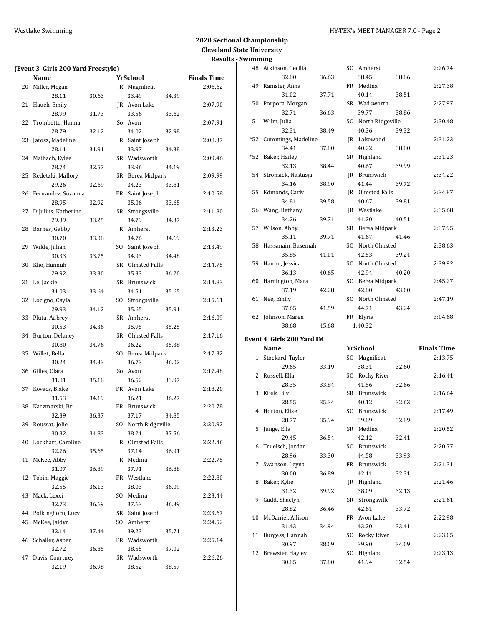### Westlake Swimming **Manufather 1999** HY-TEK's MEET MANAGER 7.0 - Page 2

# **2020 Sectional Championship Cleveland State University Results - Swimming**

|    | (Event 3 Girls 200 Yard Freestyle) |       |                     |       | resuits            |
|----|------------------------------------|-------|---------------------|-------|--------------------|
|    | Name                               |       | <u>YrSchool</u>     |       | <b>Finals Time</b> |
| 20 | Miller, Megan                      |       | JR Magnificat       |       | 2:06.62            |
|    | 28.11                              | 30.63 | 33.49               | 34.39 |                    |
| 21 | Hauck, Emily                       |       | JR Avon Lake        |       | 2:07.90            |
|    | 28.99                              |       | 33.56               |       |                    |
|    |                                    | 31.73 |                     | 33.62 |                    |
| 22 | Trombetto, Hanna                   |       | So Avon             |       | 2:07.91            |
|    | 28.79                              | 32.12 | 34.02               | 32.98 |                    |
| 23 | Jarosz, Madeline                   |       | JR Saint Joseph     |       | 2:08.37            |
|    | 28.11                              | 31.91 | 33.97               | 34.38 |                    |
| 24 | Maibach, Kylee                     |       | SR Wadsworth        |       | 2:09.46            |
|    | 28.74                              | 32.57 | 33.96               | 34.19 |                    |
| 25 | Redetzki, Mallory                  |       | SR Berea Midpark    |       | 2:09.99            |
|    | 29.26                              | 32.69 | 34.23               | 33.81 |                    |
| 26 | Fernandez, Suzanna                 |       | FR Saint Joseph     |       | 2:10.58            |
|    | 28.95                              | 32.92 | 35.06               | 33.65 |                    |
| 27 | DiJulius, Katherine                |       | SR Strongsville     |       | 2:11.80            |
|    | 29.39                              | 33.25 | 34.79               | 34.37 |                    |
| 28 | Barnes, Gabby                      |       | JR Amherst          |       | 2:13.23            |
|    | 30.70                              | 33.08 | 34.76               | 34.69 |                    |
| 29 | Wilde, Jillian                     |       | SO Saint Joseph     |       | 2:13.49            |
|    | 30.33                              | 33.75 | 34.93               | 34.48 |                    |
| 30 | Kho, Hannah                        |       | SR Olmsted Falls    |       | 2:14.75            |
|    | 29.92                              | 33.30 | 35.33               | 36.20 |                    |
| 31 | Le, Jackie                         |       | SR Brunswick        |       | 2:14.83            |
|    | 31.03                              | 33.64 | 34.51               | 35.65 |                    |
| 32 | Locigno, Cayla                     |       | SO Strongsville     |       | 2:15.61            |
|    | 29.93                              | 34.12 | 35.65               | 35.91 |                    |
| 33 | Pluta, Aubrey                      |       | SR Amherst          |       | 2:16.09            |
|    | 30.53                              | 34.36 | 35.95               | 35.25 |                    |
| 34 | Burton, Delaney                    |       | SR Olmsted Falls    |       | 2:17.16            |
|    | 30.80                              | 34.76 | 36.22               | 35.38 |                    |
| 35 | Willet, Bella                      |       | SO Berea Midpark    |       | 2:17.32            |
|    | 30.24                              | 34.33 | 36.73               | 36.02 |                    |
| 36 | Gilles, Clara                      |       | So Avon             |       | 2:17.48            |
|    | 31.81                              | 35.18 | 36.52               | 33.97 |                    |
| 37 | Kovacs, Blake                      |       | FR Avon Lake        |       | 2:18.20            |
|    | 31.53                              | 34.19 | 36.21               | 36.27 |                    |
|    | 38 Kaczmarski, Bri                 |       | FR Brunswick        |       | 2:20.78            |
|    |                                    |       |                     |       |                    |
|    | 32.39                              | 36.37 | 37.17               | 34.85 |                    |
| 39 | Roussat, Jolie                     |       | SO North Ridgeville |       | 2:20.92            |
|    | 30.32                              | 34.83 | 38.21               | 37.56 |                    |
| 40 | Lockhart, Caroline                 |       | JR Olmsted Falls    |       | 2:22.46            |
|    | 32.76                              | 35.65 | 37.14               | 36.91 |                    |
| 41 | McKee, Abby                        |       | JR Medina           |       | 2:22.75            |
|    | 31.07                              | 36.89 | 37.91               | 36.88 |                    |
| 42 | Tobin, Maggie                      |       | FR Westlake         |       | 2:22.80            |
|    | 32.55                              | 36.13 | 38.03               | 36.09 |                    |
| 43 | Mack, Lexxi                        |       | SO Medina           |       | 2:23.44            |
|    | 32.73                              | 36.69 | 37.63               | 36.39 |                    |
| 44 | Polkinghorn, Lucy                  |       | SR Saint Joseph     |       | 2:23.67            |
| 45 | McKee, Jaidyn                      |       | SO Amherst          |       | 2:24.52            |
|    | 32.14                              | 37.44 | 39.23               | 35.71 |                    |
| 46 | Schaller, Aspen                    |       | FR Wadsworth        |       | 2:25.14            |
|    | 32.72                              | 36.85 | 38.55               | 37.02 |                    |
| 47 | Davis, Courtney                    |       | SR Wadsworth        |       | 2:26.26            |
|    | 32.19                              | 36.98 | 38.52               | 38.57 |                    |
|    |                                    |       |                     |       |                    |

|     | 48 Atkinson, Cecilia      |       | SO Amherst              |       | 2:26.74 |
|-----|---------------------------|-------|-------------------------|-------|---------|
|     | 32.80                     | 36.63 | 38.45                   | 38.86 |         |
|     | 49 Ramsier, Anna          |       | FR Medina               |       | 2:27.38 |
|     | 31.02                     | 37.71 | 40.14                   | 38.51 |         |
| 50  | Porpora, Morgan           |       | SR Wadsworth            |       | 2:27.97 |
|     | 32.71                     | 36.63 | 39.77                   | 38.86 |         |
|     | 51 Wilm, Julia            |       | SO North Ridgeville     |       | 2:30.48 |
|     | 32.31                     | 38.49 | 40.36                   | 39.32 |         |
|     | *52 Cummings, Madeline    |       | JR Lakewood             |       | 2:31.23 |
|     | 34.41                     | 37.80 | 40.22                   | 38.80 |         |
| *52 | Baker, Hailey             |       | SR Highland             |       | 2:31.23 |
|     | 32.13                     | 38.44 | 40.67                   | 39.99 |         |
|     | 54 Stronsick, Nastasja    |       | JR Brunswick            |       | 2:34.22 |
|     | 34.16                     | 38.90 | 41.44                   | 39.72 |         |
|     | 55 Edmonds, Carly         |       | <b>IR</b> Olmsted Falls |       | 2:34.87 |
|     | 34.81                     | 39.58 | 40.67                   | 39.81 |         |
|     | 56 Wang, Bethany          |       | JR Westlake             |       | 2:35.68 |
|     | 34.26                     | 39.71 | 41.20                   | 40.51 |         |
|     | 57 Wilson, Abby           |       | SR Berea Midpark        |       | 2:37.95 |
|     | 35.11                     | 39.71 | 41.67                   | 41.46 |         |
|     | 58 Hassanain, Basemah     |       | SO North Olmsted        |       | 2:38.63 |
|     | 35.85                     | 41.01 | 42.53                   | 39.24 |         |
| 59  | Hannu, Jessica            |       | SO North Olmsted        |       | 2:39.92 |
|     | 36.13                     | 40.65 | 42.94                   | 40.20 |         |
|     | 60 Harrington, Mara       |       | SO Berea Midpark        |       | 2:45.27 |
|     | 37.19                     | 42.28 | 42.80                   | 43.00 |         |
| 61  | Nee, Emily                |       | SO North Olmsted        |       | 2:47.19 |
|     | 37.65                     | 41.59 | 44.71                   | 43.24 |         |
|     | 62 Johnson, Maren         |       | FR Elyria               |       | 3:04.68 |
|     | 38.68                     | 45.68 | 1:40.32                 |       |         |
|     | ront A. Cirle 200 Vord IM |       |                         |       |         |

### **Event 4 Girls 200 Yard IM**

|    | Name                 |       |     | YrSchool        |       | <b>Finals Time</b> |
|----|----------------------|-------|-----|-----------------|-------|--------------------|
|    | 1 Stockard, Taylor   |       | SO. | Magnificat      |       | 2:13.75            |
|    | 29.65                | 33.19 |     | 38.31           | 32.60 |                    |
|    | 2 Russell, Ella      |       | SO. | Rocky River     |       | 2:16.41            |
|    | 28.35                | 33.84 |     | 41.56           | 32.66 |                    |
| 3  | Kijek, Lily          |       |     | SR Brunswick    |       | 2:16.64            |
|    | 28.55                | 35.34 |     | 40.12           | 32.63 |                    |
|    | 4 Horton, Elise      |       | SO. | Brunswick       |       | 2:17.49            |
|    | 28.77                | 35.94 |     | 39.89           | 32.89 |                    |
| 5. | Junge, Ella          |       |     | SR Medina       |       | 2:20.52            |
|    | 29.45                | 36.54 |     | 42.12           | 32.41 |                    |
|    | 6 Truelsch, Jordan   |       | SO. | Brunswick       |       | 2:20.77            |
|    | 28.96                | 33.30 |     | 44.58           | 33.93 |                    |
| 7  | Swanson, Leyna       |       |     | FR Brunswick    |       | 2:21.31            |
|    | 30.00                | 36.89 |     | 42.11           | 32.31 |                    |
| 8  | Baker, Kylie         |       |     | JR Highland     |       | 2:21.46            |
|    | 31.32                | 39.92 |     | 38.09           | 32.13 |                    |
| 9  | Gadd, Shaelyn        |       |     | SR Strongsville |       | 2:21.61            |
|    | 28.82                | 36.46 |     | 42.61           | 33.72 |                    |
|    | 10 McDaniel, Allison |       |     | FR Avon Lake    |       | 2:22.98            |
|    | 31.43                | 34.94 |     | 43.20           | 33.41 |                    |
| 11 | Burgess, Hannah      |       | SO. | Rocky River     |       | 2:23.05            |
|    | 30.97                | 38.09 |     | 39.90           | 34.09 |                    |
| 12 | Brewster, Hayley     |       | SO. | Highland        |       | 2:23.13            |
|    | 30.85                | 37.80 |     | 41.94           | 32.54 |                    |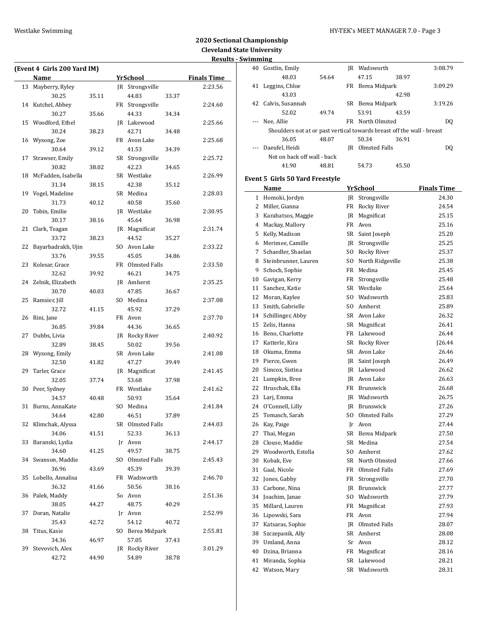|    | (Event 4 Girls 200 Yard IM)<br>Name |       | <b>YrSchool</b>  |       | <b>Finals Time</b> |
|----|-------------------------------------|-------|------------------|-------|--------------------|
| 13 | Mayberry, Ryley                     |       | JR Strongsville  |       | 2:23.56            |
|    | 30.25                               | 35.11 | 44.83            |       |                    |
| 14 | Kutchel, Abbey                      |       | FR Strongsville  | 33.37 | 2:24.60            |
|    | 30.27                               | 35.66 | 44.33            | 34.34 |                    |
| 15 | Woodford, Ethel                     |       | JR Lakewood      |       | 2:25.66            |
|    | 30.24                               | 38.23 | 42.71            | 34.48 |                    |
| 16 | Wysong, Zoe                         |       | FR Avon Lake     |       | 2:25.68            |
|    | 30.64                               | 39.12 | 41.53            | 34.39 |                    |
| 17 | Strawser, Emily                     |       | SR Strongsville  |       | 2:25.72            |
|    | 30.82                               | 38.02 | 42.23            | 34.65 |                    |
| 18 | McFadden, Isabella                  |       | SR Westlake      |       | 2:26.99            |
|    | 31.34                               | 38.15 | 42.38            | 35.12 |                    |
| 19 | Vogel, Madeline                     |       | SR Medina        |       | 2:28.03            |
|    | 31.73                               | 40.12 | 40.58            | 35.60 |                    |
| 20 | Tobin, Emilie                       |       | JR Westlake      |       | 2:30.95            |
|    | 30.17                               | 38.16 | 45.64            | 36.98 |                    |
| 21 | Clark, Teagan                       |       | JR Magnificat    |       | 2:31.74            |
|    | 33.72                               | 38.23 | 44.52            | 35.27 |                    |
| 22 | Bayarbadrakh, Ujin                  |       | SO Avon Lake     |       | 2:33.22            |
|    | 33.76                               | 39.55 | 45.05            | 34.86 |                    |
| 23 | Kolesar, Grace                      |       | FR Olmsted Falls |       | 2:33.50            |
|    | 32.62                               | 39.92 | 46.21            |       |                    |
| 24 | Zelnik, Elizabeth                   |       | JR Amherst       | 34.75 | 2:35.25            |
|    | 30.70                               |       | 47.85            |       |                    |
| 25 | Ramsier, Jill                       | 40.03 | SO Medina        | 36.67 |                    |
|    | 32.72                               | 41.15 | 45.92            |       | 2:37.08            |
| 26 |                                     |       | FR Avon          | 37.29 | 2:37.70            |
|    | Rini, Jane<br>36.85                 | 39.84 | 44.36            |       |                    |
| 27 | Dubbs, Livia                        |       | JR Rocky River   | 36.65 | 2:40.92            |
|    | 32.89                               | 38.45 | 50.02            | 39.56 |                    |
| 28 | Wysong, Emily                       |       | SR Avon Lake     |       | 2:41.08            |
|    | 32.50                               | 41.82 | 47.27            |       |                    |
| 29 | Tarler, Grace                       |       | JR Magnificat    | 39.49 | 2:41.45            |
|    | 32.05                               | 37.74 | 53.68            |       |                    |
| 30 | Peer, Sydney                        |       | FR Westlake      | 37.98 | 2:41.62            |
|    | 34.57                               |       | 50.93            | 35.64 |                    |
| 31 | Burns, AnnaKate                     | 40.48 | SO Medina        |       | 2:41.84            |
|    | 34.64                               | 42.80 | 46.51            | 37.89 |                    |
|    | 32 Klimchak, Alyssa                 |       | SR Olmsted Falls |       | 2:44.03            |
|    | 34.06                               | 41.51 | 52.33            | 36.13 |                    |
| 33 | Baranski, Lydia                     |       | Jr Avon          |       | 2:44.17            |
|    | 34.60                               | 41.25 | 49.57            | 38.75 |                    |
| 34 | Swanson, Maddie                     |       | SO Olmsted Falls |       | 2:45.43            |
|    | 36.96                               |       | 45.39            | 39.39 |                    |
| 35 | Lobello, Annalisa                   | 43.69 | FR Wadsworth     |       | 2:46.70            |
|    | 36.32                               |       | 50.56            |       |                    |
|    |                                     | 41.66 | So Avon          | 38.16 |                    |
| 36 | Palek, Maddy                        |       |                  |       | 2:51.36            |
|    | 38.05                               | 44.27 | 48.75            | 40.29 |                    |
| 37 | Doran, Natalie                      |       | Jr Avon          |       | 2:52.99            |
|    | 35.43                               | 42.72 | 54.12            | 40.72 |                    |
| 38 | Titus, Kasie                        |       | SO Berea Midpark |       | 2:55.81            |
|    | 34.36                               | 46.97 | 57.05            | 37.43 |                    |
| 39 | Stevovich, Alex                     |       | JR Rocky River   |       | 3:01.29            |
|    | 42.72                               | 44.90 | 54.89            | 38.78 |                    |

| WIIIIIIIIIIIIIIII |                                    |       |     |                                                                        |                    |
|-------------------|------------------------------------|-------|-----|------------------------------------------------------------------------|--------------------|
| 40                | Gostlin, Emily                     |       |     | JR Wadsworth                                                           | 3:08.79            |
|                   | 48.03                              | 54.64 |     | 47.15<br>38.97                                                         |                    |
| 41                | Leggins, Chloe                     |       |     | FR Berea Midpark                                                       | 3:09.29            |
|                   | 43.03                              |       |     | 42.98                                                                  |                    |
| 42                | Calvis, Susannah                   |       |     | SR Berea Midpark                                                       | 3:19.26            |
|                   | 52.02                              | 49.74 |     | 53.91<br>43.59                                                         |                    |
|                   | Nee, Allie                         |       |     | FR North Olmsted                                                       | DQ                 |
|                   |                                    |       |     | Shoulders not at or past vertical towards breast off the wall - breast |                    |
|                   | 36.05                              | 48.07 |     | 50.34<br>36.91                                                         |                    |
|                   | Daeufel, Heidi                     |       |     | <b>IR</b> Olmsted Falls                                                | DQ                 |
|                   | Not on back off wall - back        |       |     |                                                                        |                    |
|                   | 41.90                              | 48.81 |     | 54.73<br>45.50                                                         |                    |
|                   | Event 5 Girls 50 Yard Freestyle    |       |     |                                                                        |                    |
|                   | Name                               |       |     | YrSchool                                                               | <b>Finals Time</b> |
|                   | 1 Homoki, Jordyn                   |       |     | JR Strongsville                                                        | 24.30              |
| 2                 | Miller, Gianna                     |       |     | FR Rocky River                                                         | 24.54              |
|                   | 3 Karabatsos, Maggie               |       |     | <b>IR</b> Magnificat                                                   | 25.15              |
|                   | 4 Mackay, Mallory                  |       |     | FR Avon                                                                | 25.16              |
|                   | 5 Kelly, Madison                   |       |     | SR Saint Joseph                                                        | 25.20              |
|                   | 6 Merimee, Camille                 |       |     | JR Strongsville                                                        | 25.25              |
|                   | 7 Schaedler, Shaelan               |       |     | SO Rocky River                                                         | 25.37              |
| 8                 | Steinbrunner, Lauren               |       |     | SO North Ridgeville                                                    | 25.38              |
| 9                 | Schoch, Sophie                     |       |     | FR Medina                                                              | 25.45              |
| 10                | Gavigan, Kerry                     |       |     | FR Strongsville                                                        | 25.48              |
|                   | 11 Sanchez, Katie                  |       |     | SR Westlake                                                            | 25.64              |
|                   | 12 Moran, Kaylee                   |       |     | SO Wadsworth                                                           | 25.83              |
|                   | 13 Smith, Gabrielle                |       |     | SO Amherst                                                             | 25.89              |
|                   | 14 Schillinger, Abby               |       |     | SR Avon Lake                                                           | 26.32              |
|                   | 15 Zelis, Hanna                    |       |     | SR Magnificat                                                          | 26.41              |
|                   | 16 Beno, Charlotte                 |       |     | FR Lakewood                                                            | 26.44              |
|                   | 17 Katterle, Kira                  |       |     | SR Rocky River                                                         | 126.44             |
|                   | 18 Okuma, Emma                     |       |     | SR Avon Lake                                                           | 26.46              |
|                   |                                    |       |     |                                                                        | 26.49              |
| 20                | 19 Pierce, Gwen<br>Simcox, Sistina |       |     | JR Saint Joseph<br>JR Lakewood                                         | 26.62              |
|                   |                                    |       |     |                                                                        | 26.63              |
| 21                | Lumpkin, Bree                      |       |     | JR Avon Lake                                                           |                    |
| 22                | Hruschak, Ella                     |       |     | FR Brunswick                                                           | 26.68              |
| 23                | Larj, Emma                         |       |     | JR Wadsworth                                                           | 26.75              |
|                   | 24 O'Connell, Lilly                |       |     | JR Brunswick                                                           | 27.26              |
| 25                | Tomasch, Sarah                     |       | SO. | Olmsted Falls                                                          | 27.29              |
| 26                | Kay, Paige                         |       | Jr  | Avon                                                                   | 27.44              |
| 27                | Thai, Megan                        |       | SR  | Berea Midpark                                                          | 27.50              |
| 28                | Clouse, Maddie                     |       | SR  | Medina                                                                 | 27.54              |
| 29                | Woodworth, Estella                 |       | SO  | Amherst                                                                | 27.62              |
| 30                | Kobak, Eve                         |       |     | SR North Olmsted                                                       | 27.66              |
| 31                | Gaal, Nicole                       |       |     | FR Olmsted Falls                                                       | 27.69              |
| 32                | Jones, Gabby                       |       | FR  | Strongsville                                                           | 27.70              |
| 33                | Carbone, Nina                      |       | IR  | Brunswick                                                              | 27.77              |
| 34                | Joachim, Janae                     |       | SO. | Wadsworth                                                              | 27.79              |
| 35                | Millard, Lauren                    |       | FR  | Magnificat                                                             | 27.93              |
| 36                | Lipowski, Sara                     |       | FR  | Avon                                                                   | 27.94              |
| 37                | Katsaras, Sophie                   |       | IR  | Olmsted Falls                                                          | 28.07              |
| 38                | Szczepanik, Ally                   |       | SR  | Amherst                                                                | 28.08              |
| 39                | Umland, Anna                       |       | Sr  | Avon                                                                   | 28.12              |
| 40                | Dzina, Brianna                     |       | FR  | Magnificat                                                             | 28.16              |
| 41                | Miranda, Sophia                    |       | SR  | Lakewood                                                               | 28.21              |
| 42                | Watson, Mary                       |       |     | SR Wadsworth                                                           | 28.31              |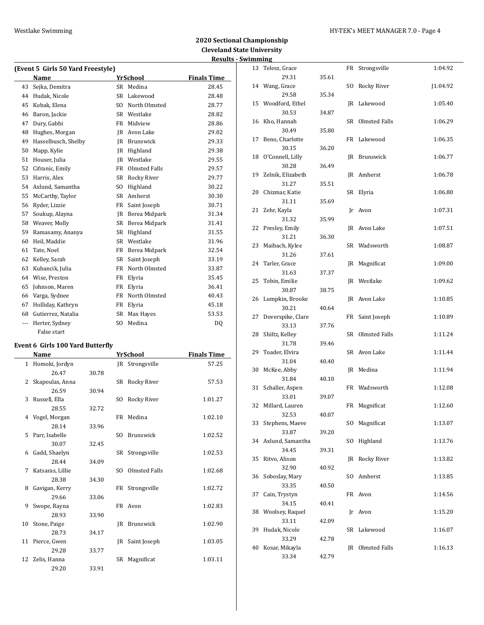| (Event 5 Girls 50 Yard Freestyle) |                     |                |                    |                    |  |  |  |
|-----------------------------------|---------------------|----------------|--------------------|--------------------|--|--|--|
|                                   | Name                |                | YrSchool           | <b>Finals Time</b> |  |  |  |
| 43                                | Sejka, Demitra      |                | SR Medina          | 28.45              |  |  |  |
| 44                                | Hudak, Nicole       | <b>SR</b>      | Lakewood           | 28.48              |  |  |  |
| 45                                | Kobak. Elena        | S <sub>O</sub> | North Olmsted      | 28.77              |  |  |  |
| 46                                | Baron, Jackie       | <b>SR</b>      | Westlake           | 28.82              |  |  |  |
| 47                                | Dury, Gabbi         | <b>FR</b>      | Midview            | 28.86              |  |  |  |
| 48                                | Hughes, Morgan      | IR             | Avon Lake          | 29.02              |  |  |  |
| 49                                | Hasselbusch, Shelby | <b>IR</b>      | Brunswick          | 29.33              |  |  |  |
| 50                                | Mapp, Kylie         | IR             | Highland           | 29.38              |  |  |  |
| 51                                | Houser, Julia       | <b>IR</b>      | Westlake           | 29.55              |  |  |  |
| 52                                | Cifranic, Emily     | FR             | Olmsted Falls      | 29.57              |  |  |  |
| 53                                | Harris, Alex        | <b>SR</b>      | <b>Rocky River</b> | 29.77              |  |  |  |
| 54                                | Axlund, Samantha    | SO.            | Highland           | 30.22              |  |  |  |
| 55                                | McCarthy, Taylor    | <b>SR</b>      | Amherst            | 30.30              |  |  |  |
| 56                                | Ryder, Lizzie       | FR             | Saint Joseph       | 30.71              |  |  |  |
| 57                                | Soukup, Alayna      | IR             | Berea Midpark      | 31.34              |  |  |  |
| 58                                | Weaver, Molly       | SR             | Berea Midpark      | 31.41              |  |  |  |
| 59                                | Ramasamy, Ananya    | <b>SR</b>      | Highland           | 31.55              |  |  |  |
| 60                                | Heil, Maddie        | <b>SR</b>      | Westlake           | 31.96              |  |  |  |
| 61                                | Tate, Noel          | FR             | Berea Midpark      | 32.54              |  |  |  |
| 62                                | Kelley, Sarah       | <b>SR</b>      | Saint Joseph       | 33.19              |  |  |  |
| 63                                | Kubancik, Julia     | <b>FR</b>      | North Olmsted      | 33.87              |  |  |  |
| 64                                | Wise, Preston       | FR             | Elyria             | 35.45              |  |  |  |
| 65                                | Johnson, Maren      | FR             | Elyria             | 36.41              |  |  |  |
| 66                                | Varga, Sydnee       | FR             | North Olmsted      | 40.43              |  |  |  |
| 67                                | Holliday, Kathryn   | FR             | Elyria             | 45.18              |  |  |  |
| 68                                | Gutierrez, Natalia  | SR             | Max Hayes          | 53.53              |  |  |  |
| ---                               | Herter, Sydney      | S <sub>O</sub> | Medina             | DQ                 |  |  |  |
|                                   | False start         |                |                    |                    |  |  |  |

# **Event 6 Girls 100 Yard Butterfly**

|              | <b>Name</b>      |       |     | YrSchool         | <b>Finals Time</b> |
|--------------|------------------|-------|-----|------------------|--------------------|
| $\mathbf{1}$ | Homoki, Jordyn   |       |     | JR Strongsville  | 57.25              |
|              | 26.47            | 30.78 |     |                  |                    |
| 2            | Skapoulas, Anna  |       |     | SR Rocky River   | 57.53              |
|              | 26.59            | 30.94 |     |                  |                    |
| 3            | Russell, Ella    |       | SO. | Rocky River      | 1:01.27            |
|              | 28.55            | 32.72 |     |                  |                    |
| 4            | Vogel, Morgan    |       |     | FR Medina        | 1:02.10            |
|              | 28.14            | 33.96 |     |                  |                    |
| 5            | Parr, Isabelle   |       | SO. | Brunswick        | 1:02.52            |
|              | 30.07            | 32.45 |     |                  |                    |
| 6            | Gadd, Shaelyn    |       |     | SR Strongsville  | 1:02.53            |
|              | 28.44            | 34.09 |     |                  |                    |
| 7            | Katsaras, Lillie |       |     | SO Olmsted Falls | 1:02.68            |
|              | 28.38            | 34.30 |     |                  |                    |
| 8            | Gavigan, Kerry   |       |     | FR Strongsville  | 1:02.72            |
|              | 29.66            | 33.06 |     |                  |                    |
| 9            | Swope, Rayna     |       |     | FR Avon          | 1:02.83            |
|              | 28.93            | 33.90 |     |                  |                    |
| 10           | Stone, Paige     |       |     | JR Brunswick     | 1:02.90            |
|              | 28.73            | 34.17 |     |                  |                    |
|              | 11 Pierce, Gwen  |       |     | JR Saint Joseph  | 1:03.05            |
|              | 29.28            | 33.77 |     |                  |                    |
| 12           | Zelis, Hanna     |       | SR  | Magnificat       | 1:03.11            |
|              | 29.20            | 33.91 |     |                  |                    |

|    | шшцқ               |       |     |                    |          |
|----|--------------------|-------|-----|--------------------|----------|
|    | 13 Telesz, Grace   |       |     | FR Strongsville    | 1:04.92  |
|    | 29.31              | 35.61 |     |                    |          |
|    | 14 Wang, Grace     |       | SO. | Rocky River        | J1:04.92 |
|    | 29.58              | 35.34 |     |                    |          |
| 15 | Woodford, Ethel    |       | JR  | Lakewood           | 1:05.40  |
|    | 30.53              | 34.87 |     |                    |          |
| 16 | Kho, Hannah        |       | SR  | Olmsted Falls      | 1:06.29  |
|    | 30.49              | 35.80 |     |                    |          |
| 17 | Beno, Charlotte    |       | FR  | Lakewood           | 1:06.35  |
|    | 30.15              | 36.20 |     |                    |          |
| 18 | O'Connell, Lilly   |       | JR  | Brunswick          | 1:06.77  |
|    | 30.28              | 36.49 |     |                    |          |
| 19 | Zelnik, Elizabeth  |       | JR  | Amherst            | 1:06.78  |
|    | 31.27              | 35.51 |     |                    |          |
| 20 | Chizmar, Katie     |       | SR  | Elyria             | 1:06.80  |
|    | 31.11              | 35.69 |     |                    |          |
| 21 | Zehr, Kayla        |       | Jr  | Avon               | 1:07.31  |
|    | 31.32              | 35.99 |     |                    |          |
| 22 | Presley, Emily     |       | JR  | Avon Lake          | 1:07.51  |
|    | 31.21              | 36.30 |     |                    |          |
| 23 | Maibach, Kylee     |       | SR  | Wadsworth          | 1:08.87  |
|    | 31.26              | 37.61 |     |                    |          |
| 24 | Tarler, Grace      |       | JR  | Magnificat         | 1:09.00  |
|    | 31.63              | 37.37 |     |                    |          |
| 25 | Tobin, Emilie      |       | JR  | Westlake           | 1:09.62  |
|    | 30.87              | 38.75 |     |                    |          |
| 26 | Lumpkin, Brooke    |       |     | JR Avon Lake       | 1:10.85  |
|    | 30.21              | 40.64 |     |                    |          |
| 27 | Doverspike, Clare  |       | FR  | Saint Joseph       | 1:10.89  |
|    | 33.13              | 37.76 |     |                    |          |
| 28 | Shiltz, Kelley     |       | SR  | Olmsted Falls      | 1:11.24  |
|    | 31.78              | 39.46 |     |                    |          |
| 29 | Toader, Elvira     |       |     | SR Avon Lake       | 1:11.44  |
|    | 31.04              | 40.40 |     |                    |          |
| 30 | McKee, Abby        |       | JR  | Medina             | 1:11.94  |
|    | 31.84              | 40.10 |     |                    |          |
| 31 | Schaller, Aspen    |       |     | FR Wadsworth       | 1:12.08  |
|    | 33.01              | 39.07 |     |                    |          |
|    | 32 Millard, Lauren |       |     | FR Magnificat      | 1:12.60  |
|    | 32.53              | 40.07 |     |                    |          |
| 33 | Stephens, Maeve    |       | SO  | Magnificat         | 1:13.07  |
|    | 33.87              | 39.20 |     |                    |          |
| 34 | Axlund, Samantha   |       | SO. | Highland           | 1:13.76  |
|    | 34.45              | 39.31 |     |                    |          |
| 35 | Ritvo, Alison      |       | JR  | <b>Rocky River</b> | 1:13.82  |
|    | 32.90              | 40.92 |     |                    |          |
| 36 | Soboslay, Mary     |       | SO  | Amherst            | 1:13.85  |
|    | 33.35              | 40.50 |     |                    |          |
| 37 | Cain, Trystyn      |       | FR  | Avon               | 1:14.56  |
|    | 34.15              | 40.41 |     |                    |          |
| 38 | Woolsey, Raquel    |       | Jr  | Avon               | 1:15.20  |
|    | 33.11              | 42.09 |     |                    |          |
| 39 | Hudak, Nicole      |       | SR  | Lakewood           | 1:16.07  |
|    | 33.29              | 42.78 |     |                    |          |
| 40 | Kosar, Mikayla     |       |     | JR Olmsted Falls   | 1:16.13  |
|    | 33.34              | 42.79 |     |                    |          |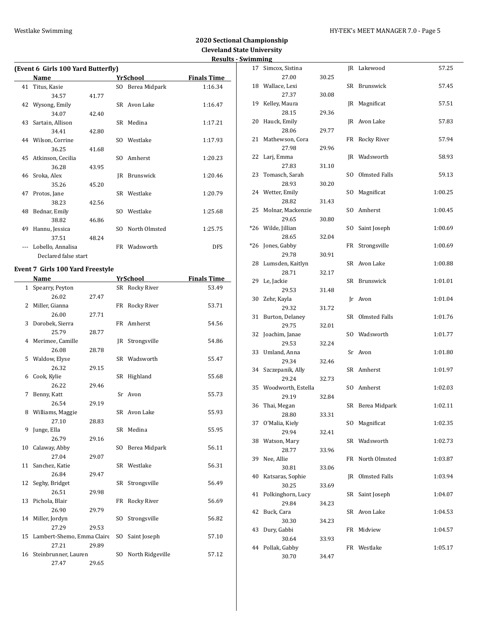|    |                                    |       |     |                  | <b>Results</b>     |
|----|------------------------------------|-------|-----|------------------|--------------------|
|    | (Event 6 Girls 100 Yard Butterfly) |       |     |                  |                    |
|    | Name                               |       |     | YrSchool         | <b>Finals Time</b> |
| 41 | Titus, Kasie                       |       |     | SO Berea Midpark | 1:16.34            |
|    | 34.57                              | 41.77 |     |                  |                    |
|    | 42 Wysong, Emily                   |       |     | SR Avon Lake     | 1:16.47            |
|    | 34.07                              | 42.40 |     |                  |                    |
|    | 43 Sartain, Allison                |       |     | SR Medina        | 1:17.21            |
|    | 34.41                              | 42.80 |     |                  |                    |
|    | 44 Wilson, Corrine                 |       |     | SO Westlake      | 1:17.93            |
|    | 36.25                              | 41.68 |     |                  |                    |
|    | 45 Atkinson, Cecilia               |       |     | SO Amherst       | 1:20.23            |
|    | 36.28                              | 43.95 |     |                  |                    |
|    | 46 Sroka, Alex                     |       | IR  | Brunswick        | 1:20.46            |
|    | 35.26                              | 45.20 |     |                  |                    |
| 47 | Protos, Jane                       |       |     | SR Westlake      | 1:20.79            |
|    | 38.23                              | 42.56 |     |                  |                    |
|    | 48 Bednar, Emily                   |       |     | SO Westlake      | 1:25.68            |
|    | 38.82                              | 46.86 |     |                  |                    |
| 49 | Hannu, Jessica                     |       | SO. | North Olmsted    | 1:25.75            |
|    | 37.51                              | 48.24 |     |                  |                    |
|    | Lobello, Annalisa                  |       |     | FR Wadsworth     | <b>DFS</b>         |
|    | Declared false start               |       |     |                  |                    |

# **Event 7 Girls 100 Yard Freestyle**

|    | Name                          |       |     | <b>YrSchool</b>  | <b>Finals Time</b> |
|----|-------------------------------|-------|-----|------------------|--------------------|
| 1  | Spearry, Peyton               |       |     | SR Rocky River   | 53.49              |
|    | 26.02                         | 27.47 |     |                  |                    |
| 2  | Miller, Gianna                |       |     | FR Rocky River   | 53.71              |
|    | 26.00                         | 27.71 |     |                  |                    |
| 3  | Dorobek, Sierra               |       |     | FR Amherst       | 54.56              |
|    | 25.79                         | 28.77 |     |                  |                    |
| 4  | Merimee, Camille              |       |     | JR Strongsville  | 54.86              |
|    | 26.08                         | 28.78 |     |                  |                    |
| 5  | Waldow, Elyse                 |       |     | SR Wadsworth     | 55.47              |
|    | 26.32                         | 29.15 |     |                  |                    |
|    | 6 Cook, Kylie                 |       |     | SR Highland      | 55.68              |
|    | 26.22                         | 29.46 |     |                  |                    |
| 7  | Benny, Katt                   |       |     | Sr Avon          | 55.73              |
|    | 26.54                         | 29.19 |     |                  |                    |
|    | 8 Williams, Maggie            |       |     | SR Avon Lake     | 55.93              |
|    | 27.10                         | 28.83 |     |                  |                    |
| 9  | Junge, Ella                   |       |     | SR Medina        | 55.95              |
|    | 26.79                         | 29.16 |     |                  |                    |
| 10 | Calaway, Abby                 |       | SO. | Berea Midpark    | 56.11              |
|    | 27.04                         | 29.07 |     |                  |                    |
| 11 | Sanchez, Katie                |       |     | SR Westlake      | 56.31              |
|    | 26.84                         | 29.47 |     |                  |                    |
| 12 | Seghy, Bridget                |       |     | SR Strongsville  | 56.49              |
|    | 26.51                         | 29.98 |     |                  |                    |
|    | 13 Pichola, Blair             |       |     | FR Rocky River   | 56.69              |
|    | 26.90                         | 29.79 |     |                  |                    |
|    | 14 Miller, Jordyn             |       | SO. | Strongsville     | 56.82              |
|    | 27.29                         | 29.53 |     |                  |                    |
|    | 15 Lambert-Shemo, Emma Claire |       | SO. | Saint Joseph     | 57.10              |
|    | 27.21                         | 29.89 |     |                  |                    |
|    | 16 Steinbrunner, Lauren       |       | SO. | North Ridgeville | 57.12              |
|    | 27.47                         | 29.65 |     |                  |                    |

| mming |                           |       |     |                  |         |
|-------|---------------------------|-------|-----|------------------|---------|
| 17    | Simcox, Sistina           |       |     | JR Lakewood      | 57.25   |
|       | 27.00                     | 30.25 |     |                  |         |
| 18    | Wallace, Lexi<br>27.37    | 30.08 |     | SR Brunswick     | 57.45   |
| 19    | Kelley, Maura             |       |     | JR Magnificat    | 57.51   |
|       | 28.15                     | 29.36 |     |                  |         |
| 20    | Hauck, Emily              |       |     | JR Avon Lake     | 57.83   |
|       | 28.06                     | 29.77 |     |                  |         |
| 21    | Mathewson, Cora           |       | FR  | Rocky River      | 57.94   |
|       | 27.98                     | 29.96 |     |                  |         |
| 22    | Larj, Emma                |       |     | IR Wadsworth     | 58.93   |
|       | 27.83                     | 31.10 |     |                  |         |
| 23    | Tomasch, Sarah            |       | SO. | Olmsted Falls    | 59.13   |
|       | 28.93                     | 30.20 |     |                  |         |
|       | 24 Wetter, Emily          |       | SO  | Magnificat       | 1:00.25 |
|       | 28.82                     | 31.43 |     |                  |         |
| 25    | Molnar, Mackenzie         |       |     | SO Amherst       | 1:00.45 |
|       | 29.65                     | 30.80 |     |                  |         |
| *26   | Wilde, Jillian            |       | SO  | Saint Joseph     | 1:00.69 |
|       | 28.65                     | 32.04 |     |                  |         |
| *26   | Jones, Gabby              |       | FR  | Strongsville     | 1:00.69 |
|       | 29.78                     | 30.91 |     |                  |         |
| 28    | Lumsden, Kaitlyn          |       |     | SR Avon Lake     | 1:00.88 |
|       | 28.71                     | 32.17 |     |                  |         |
| 29    | Le, Jackie                |       |     | SR Brunswick     | 1:01.01 |
| 30    | 29.53<br>Zehr, Kayla      | 31.48 |     |                  | 1:01.04 |
|       | 29.32                     | 31.72 | Ir  | Avon             |         |
| 31    | Burton, Delaney           |       | SR  | Olmsted Falls    | 1:01.76 |
|       | 29.75                     | 32.01 |     |                  |         |
| 32    | Joachim, Janae            |       |     | SO Wadsworth     | 1:01.77 |
|       | 29.53                     | 32.24 |     |                  |         |
| 33    | Umland, Anna              |       |     | Sr Avon          | 1:01.80 |
|       | 29.34                     | 32.46 |     |                  |         |
| 34    | Szczepanik, Ally          |       |     | SR Amherst       | 1:01.97 |
|       | 29.24                     | 32.73 |     |                  |         |
| 35    | Woodworth, Estella        |       |     | SO Amherst       | 1:02.03 |
|       | 29.19                     | 32.84 |     |                  |         |
|       | 36 Thai, Megan            |       |     | SR Berea Midpark | 1:02.11 |
|       | 28.80                     | 33.31 |     |                  |         |
| 37    | O'Malia, Kiely            |       |     | SO Magnificat    | 1:02.35 |
|       | 29.94                     | 32.41 |     |                  |         |
| 38    | Watson, Mary              |       |     | SR Wadsworth     | 1:02.73 |
|       | 28.77                     | 33.96 |     |                  |         |
| 39    | Nee, Allie                |       | FR  | North Olmsted    | 1:03.87 |
|       | 30.81                     | 33.06 |     | Olmsted Falls    |         |
| 40    | Katsaras, Sophie<br>30.25 |       | IR  |                  | 1:03.94 |
| 41    | Polkinghorn, Lucy         | 33.69 | SR  | Saint Joseph     | 1:04.07 |
|       | 29.84                     | 34.23 |     |                  |         |
| 42    | Buck, Cara                |       |     | SR Avon Lake     | 1:04.53 |
|       | 30.30                     | 34.23 |     |                  |         |
| 43    | Dury, Gabbi               |       | FR  | Midview          | 1:04.57 |
|       | 30.64                     | 33.93 |     |                  |         |
| 44    | Pollak, Gabby             |       |     | FR Westlake      | 1:05.17 |
|       | 30.70                     | 34.47 |     |                  |         |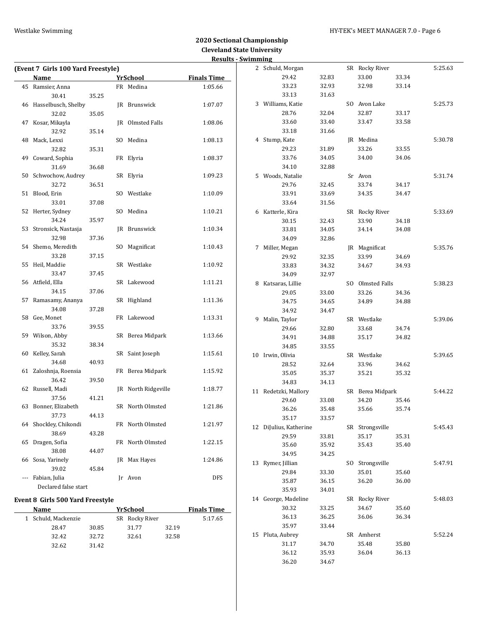36.12 35.93 36.04 36.13

36.20 34.67

|                                    |       |                     | Results - Swimming |                        |       |                  |       |         |
|------------------------------------|-------|---------------------|--------------------|------------------------|-------|------------------|-------|---------|
| (Event 7 Girls 100 Yard Freestyle) |       |                     |                    | 2 Schuld, Morgan       |       | SR Rocky River   |       | 5:25.63 |
| Name                               |       | <b>Yr</b> School    | <b>Finals Time</b> | 29.42                  | 32.83 | 33.00            | 33.34 |         |
| 45 Ramsier, Anna                   |       | FR Medina           | 1:05.66            | 33.23                  | 32.93 | 32.98            | 33.14 |         |
| 30.41                              | 35.25 |                     |                    | 33.13                  | 31.63 |                  |       |         |
| 46 Hasselbusch, Shelby             |       | JR Brunswick        | 1:07.07            | 3 Williams, Katie      |       | SO Avon Lake     |       | 5:25.73 |
| 32.02                              | 35.05 |                     |                    | 28.76                  | 32.04 | 32.87            | 33.17 |         |
| 47 Kosar, Mikayla                  |       | JR Olmsted Falls    | 1:08.06            | 33.60                  | 33.40 | 33.47            | 33.58 |         |
| 32.92                              | 35.14 |                     |                    | 33.18                  | 31.66 |                  |       |         |
| 48 Mack, Lexxi                     |       | SO Medina           | 1:08.13            | 4 Stump, Kate          |       | JR Medina        |       | 5:30.78 |
| 32.82                              | 35.31 |                     |                    | 29.23                  | 31.89 | 33.26            | 33.55 |         |
| 49 Coward, Sophia                  |       | FR Elyria           | 1:08.37            | 33.76                  | 34.05 | 34.00            | 34.06 |         |
| 31.69                              | 36.68 |                     |                    | 34.10                  | 32.88 |                  |       |         |
| 50 Schwochow, Audrey               |       | SR Elyria           | 1:09.23            | 5 Woods, Natalie       |       | Sr Avon          |       | 5:31.74 |
| 32.72                              | 36.51 |                     |                    | 29.76                  | 32.45 | 33.74            | 34.17 |         |
| 51 Blood, Erin                     |       | SO Westlake         | 1:10.09            | 33.91                  | 33.69 | 34.35            | 34.47 |         |
| 33.01                              | 37.08 |                     |                    | 33.64                  | 31.56 |                  |       |         |
| 52 Herter, Sydney                  |       | SO Medina           | 1:10.21            | 6 Katterle, Kira       |       | SR Rocky River   |       | 5:33.69 |
| 34.24                              | 35.97 |                     |                    | 30.15                  | 32.43 | 33.90            | 34.18 |         |
| 53 Stronsick, Nastasja             |       | JR Brunswick        | 1:10.34            | 33.81                  | 34.05 | 34.14            | 34.08 |         |
| 32.98                              | 37.36 |                     |                    | 34.09                  | 32.86 |                  |       |         |
| 54 Shemo, Meredith                 |       | SO Magnificat       | 1:10.43            | 7 Miller, Megan        |       | JR Magnificat    |       | 5:35.76 |
| 33.28                              | 37.15 |                     |                    | 29.92                  | 32.35 | 33.99            | 34.69 |         |
| 55 Heil, Maddie                    |       | SR Westlake         | 1:10.92            | 33.83                  | 34.32 | 34.67            | 34.93 |         |
| 33.47                              | 37.45 |                     |                    | 34.09                  | 32.97 |                  |       |         |
| 56 Atfield, Ella                   |       | SR Lakewood         | 1:11.21            | 8 Katsaras, Lillie     |       | SO Olmsted Falls |       | 5:38.23 |
| 34.15                              | 37.06 |                     |                    | 29.05                  | 33.00 | 33.26            | 34.36 |         |
| 57 Ramasamy, Ananya                |       | SR Highland         | 1:11.36            | 34.75                  | 34.65 | 34.89            | 34.88 |         |
| 34.08                              | 37.28 |                     |                    | 34.92                  | 34.47 |                  |       |         |
| 58 Gee, Monet                      |       | FR Lakewood         | 1:13.31            | 9 Malin, Taylor        |       | SR Westlake      |       | 5:39.06 |
| 33.76                              | 39.55 |                     |                    | 29.66                  | 32.80 | 33.68            | 34.74 |         |
| 59 Wilson, Abby                    |       | SR Berea Midpark    | 1:13.66            | 34.91                  | 34.88 | 35.17            | 34.82 |         |
| 35.32                              | 38.34 |                     |                    | 34.85                  | 33.55 |                  |       |         |
| 60 Kelley, Sarah                   |       | SR Saint Joseph     | 1:15.61            | 10 Irwin, Olivia       |       | SR Westlake      |       | 5:39.65 |
| 34.68                              | 40.93 |                     |                    | 28.52                  | 32.64 | 33.96            | 34.62 |         |
| 61 Zaloshnja, Roensia              |       | FR Berea Midpark    | 1:15.92            | 35.05                  | 35.37 | 35.21            | 35.32 |         |
| 36.42                              | 39.50 |                     |                    | 34.83                  | 34.13 |                  |       |         |
| 62 Russell, Madi                   |       | JR North Ridgeville | 1:18.77            | 11 Redetzki, Mallory   |       | SR Berea Midpark |       | 5:44.22 |
| 37.56<br>63 Bonner, Elizabeth      | 41.21 | SR North Olmsted    | 1:21.86            | 29.60                  | 33.08 | 34.20            | 35.46 |         |
| 37.73                              | 44.13 |                     |                    | 36.26                  | 35.48 | 35.66            | 35.74 |         |
| 64 Shockley, Chikondi              |       | FR North Olmsted    | 1:21.97            | 35.17                  | 33.57 |                  |       |         |
| 38.69                              | 43.28 |                     |                    | 12 DiJulius, Katherine |       | SR Strongsville  |       | 5:45.43 |
| 65 Dragen, Sofia                   |       | FR North Olmsted    | 1:22.15            | 29.59                  | 33.81 | 35.17            | 35.31 |         |
| 38.08                              | 44.07 |                     |                    | 35.60                  | 35.92 | 35.43            | 35.40 |         |
| 66 Sosa, Yarinely                  |       | JR Max Hayes        | 1:24.86            | 34.95                  | 34.25 |                  |       |         |
| 39.02                              | 45.84 |                     |                    | 13 Rymer, Jillian      |       | SO Strongsville  |       | 5:47.91 |
| --- Fabian, Julia                  |       | Jr Avon             | <b>DFS</b>         | 29.84                  | 33.30 | 35.01            | 35.60 |         |
| Declared false start               |       |                     |                    | 35.87                  | 36.15 | 36.20            | 36.00 |         |
|                                    |       |                     |                    | 35.93                  | 34.01 |                  |       |         |
| Event 8 Girls 500 Yard Freestyle   |       |                     |                    | 14 George, Madeline    |       | SR Rocky River   |       | 5:48.03 |
| Name                               |       | <b>YrSchool</b>     | <b>Finals Time</b> | 30.32                  | 33.25 | 34.67            | 35.60 |         |
| 1 Schuld, Mackenzie                |       | SR Rocky River      | 5:17.65            | 36.13                  | 36.25 | 36.06            | 36.34 |         |
| 28.47                              | 30.85 | 32.19<br>31.77      |                    | 35.97                  | 33.44 |                  |       |         |
| 32.42                              | 32.72 | 32.58<br>32.61      |                    | 15 Pluta, Aubrey       |       | SR Amherst       |       | 5:52.24 |
| 32.62                              | 31.42 |                     |                    | 31.17                  | 34.70 | 35.48            | 35.80 |         |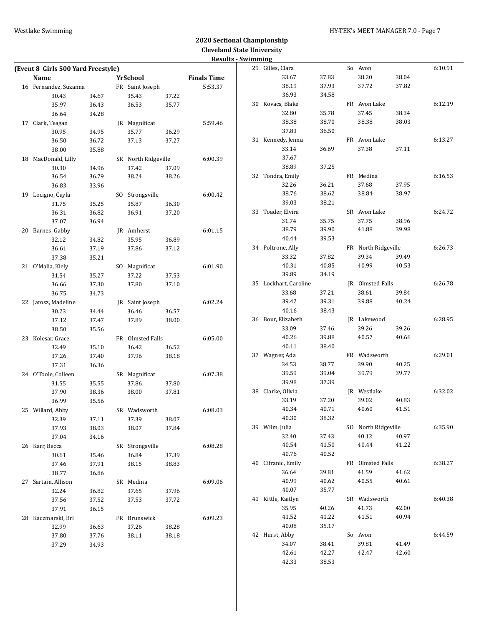### Westlake Swimming **Manufather 1999** HY-TEK's MEET MANAGER 7.0 - Page 7

# **2020 Sectional Championship Cleveland State University**

|                                    |       |                     |       | <b>Results - Swimming</b> |                       |       |                     |       |         |
|------------------------------------|-------|---------------------|-------|---------------------------|-----------------------|-------|---------------------|-------|---------|
| (Event 8 Girls 500 Yard Freestyle) |       |                     |       |                           | 29 Gilles, Clara      |       | So Avon             |       | 6:10.91 |
| Name                               |       | <b>YrSchool</b>     |       | <b>Finals Time</b>        | 33.67                 | 37.83 | 38.20               | 38.04 |         |
| 16 Fernandez, Suzanna              |       | FR Saint Joseph     |       | 5:53.37                   | 38.19                 | 37.93 | 37.72               | 37.82 |         |
| 30.43                              | 34.67 | 35.43               | 37.22 |                           | 36.93                 | 34.58 |                     |       |         |
| 35.97                              | 36.43 | 36.53               | 35.77 |                           | 30 Kovacs, Blake      |       | FR Avon Lake        |       | 6:12.19 |
| 36.64                              | 34.28 |                     |       |                           | 32.80                 | 35.78 | 37.45               | 38.34 |         |
| 17 Clark, Teagan                   |       | JR Magnificat       |       | 5:59.46                   | 38.38                 | 38.70 | 38.38               | 38.03 |         |
| 30.95                              | 34.95 | 35.77               | 36.29 |                           | 37.83                 | 36.50 |                     |       |         |
| 36.50                              | 36.72 | 37.13               | 37.27 |                           | 31 Kennedy, Jenna     |       | FR Avon Lake        |       | 6:13.27 |
| 38.00                              | 35.88 |                     |       |                           | 33.14                 | 36.69 | 37.38               | 37.11 |         |
| 18 MacDonald, Lilly                |       | SR North Ridgeville |       | 6:00.39                   | 37.67                 |       |                     |       |         |
| 30.30                              | 34.96 | 37.42               | 37.09 |                           | 38.89                 | 37.25 |                     |       |         |
| 36.54                              | 36.79 | 38.24               | 38.26 |                           | 32 Tondra, Emily      |       | FR Medina           |       | 6:16.53 |
| 36.83                              | 33.96 |                     |       |                           | 32.26                 | 36.21 | 37.68               | 37.95 |         |
| 19 Locigno, Cayla                  |       | SO Strongsville     |       | 6:00.42                   | 38.76                 | 38.62 | 38.84               | 38.97 |         |
| 31.75                              | 35.25 | 35.87               | 36.30 |                           | 39.03                 | 38.21 |                     |       |         |
| 36.31                              | 36.82 | 36.91               | 37.20 |                           | 33 Toader, Elvira     |       | SR Avon Lake        |       | 6:24.72 |
| 37.07                              | 36.94 |                     |       |                           | 31.74                 | 35.75 | 37.75               | 38.96 |         |
| 20 Barnes, Gabby                   |       | JR Amherst          |       | 6:01.15                   | 38.79                 | 39.90 | 41.88               | 39.98 |         |
| 32.12                              | 34.82 | 35.95               | 36.89 |                           | 40.44                 | 39.53 |                     |       |         |
| 36.61                              | 37.19 | 37.86               | 37.12 |                           | 34 Poltrone, Ally     |       | FR North Ridgeville |       | 6:26.73 |
| 37.38                              | 35.21 |                     |       |                           | 33.32                 | 37.82 | 39.34               | 39.49 |         |
| 21 O'Malia, Kiely                  |       | SO Magnificat       |       | 6:01.90                   | 40.31                 | 40.85 | 40.99               | 40.53 |         |
| 31.54                              | 35.27 | 37.22               | 37.53 |                           | 39.89                 | 34.19 |                     |       |         |
| 36.66                              | 37.30 | 37.80               | 37.10 |                           | 35 Lockhart, Caroline |       | JR Olmsted Falls    |       | 6:26.78 |
| 36.75                              | 34.73 |                     |       |                           | 33.68                 | 37.21 | 38.61               | 39.84 |         |
| 22 Jarosz, Madeline                |       | JR Saint Joseph     |       | 6:02.24                   | 39.42                 | 39.31 | 39.88               | 40.24 |         |
| 30.23                              | 34.44 | 36.46               | 36.57 |                           | 40.16                 | 38.43 |                     |       |         |
| 37.12                              | 37.47 | 37.89               | 38.00 |                           | 36 Bour, Elizabeth    |       | JR Lakewood         |       | 6:28.95 |
| 38.50                              | 35.56 |                     |       |                           | 33.09                 | 37.46 | 39.26               | 39.26 |         |
| 23 Kolesar, Grace                  |       | FR Olmsted Falls    |       | 6:05.00                   | 40.26                 | 39.88 | 40.57               | 40.66 |         |
| 32.49                              | 35.10 | 36.42               | 36.52 |                           | 40.11                 | 38.40 |                     |       |         |
| 37.26                              | 37.40 | 37.96               | 38.18 |                           | 37 Wagner, Ada        |       | FR Wadsworth        |       | 6:29.01 |
| 37.31                              | 36.36 |                     |       |                           | 34.53                 | 38.77 | 39.90               | 40.25 |         |
| 24 O'Toole, Colleen                |       | SR Magnificat       |       | 6:07.38                   | 39.59                 | 39.04 | 39.79               | 39.77 |         |
| 31.55                              | 35.55 | 37.86               | 37.80 |                           | 39.98                 | 37.39 |                     |       |         |
| 37.90                              | 38.36 | 38.00               | 37.81 |                           | 38 Clarke, Olivia     |       | JR Westlake         |       | 6:32.02 |
| 36.99                              | 35.56 |                     |       |                           | 33.19                 | 37.20 | 39.02               | 40.83 |         |
| 25 Willard, Abby                   |       | SR Wadsworth        |       | 6:08.03                   | 40.34                 | 40.71 | 40.60               | 41.51 |         |
| 32.39                              | 37.11 | 37.39               | 38.07 |                           | 40.30                 | 38.32 |                     |       |         |
| 37.93                              | 38.03 | 38.07               | 37.84 |                           | 39 Wilm, Julia        |       | SO North Ridgeville |       | 6:35.90 |
| 37.04                              | 34.16 |                     |       |                           | 32.40                 | 37.43 | 40.12               | 40.97 |         |
| 26 Karr, Becca                     |       | SR Strongsville     |       | 6:08.28                   | 40.54                 | 41.50 | 40.44               | 41.22 |         |
| 30.61                              | 35.46 | 36.84               | 37.39 |                           | 40.76                 | 40.52 |                     |       |         |
| 37.46                              | 37.91 | 38.15               | 38.83 |                           | 40 Cifranic, Emily    |       | FR Olmsted Falls    |       | 6:38.27 |
| 38.77                              | 36.86 |                     |       |                           | 36.64                 | 39.81 | 41.59               | 41.62 |         |
| 27 Sartain, Allison                |       | SR Medina           |       | 6:09.06                   | 40.99                 | 40.62 | 40.55               | 40.61 |         |
| 32.24                              | 36.82 | 37.65               | 37.96 |                           | 40.07                 | 35.77 |                     |       |         |
| 37.56                              | 37.52 | 37.53               | 37.72 |                           | 41 Kittle, Kaitlyn    |       | SR Wadsworth        |       | 6:40.38 |
| 37.91                              | 36.15 |                     |       |                           | 35.95                 | 40.26 | 41.73               | 42.00 |         |
| 28 Kaczmarski, Bri                 |       | FR Brunswick        |       | 6:09.23                   | 41.52                 | 41.22 | 41.51               | 40.94 |         |
| 32.99                              | 36.63 | 37.26               | 38.28 |                           | 40.08                 | 35.17 |                     |       |         |
| 37.80                              | 37.76 | 38.11               | 38.18 |                           | 42 Hurst, Abby        |       | So Avon             |       | 6:44.59 |
| 37.29                              | 34.93 |                     |       |                           | 34.07                 | 38.41 | 39.81               | 41.49 |         |
|                                    |       |                     |       |                           | 42.61                 | 42.27 | 42.47               | 42.60 |         |
|                                    |       |                     |       |                           | 42.33                 | 38.53 |                     |       |         |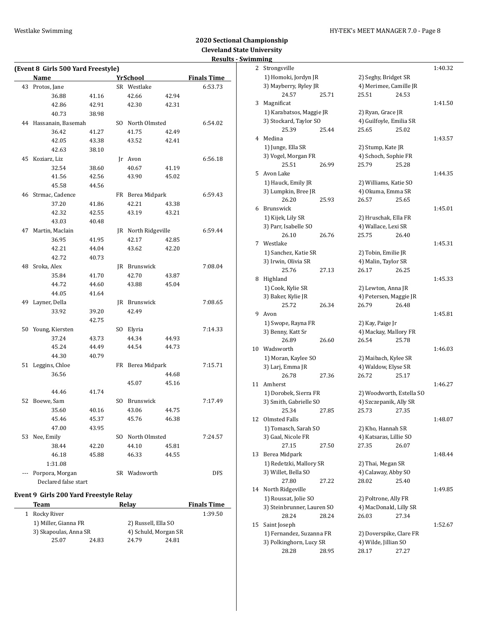### Westlake Swimming Material Management of the HY-TEK's MEET MANAGER 7.0 - Page 8

# **2020 Sectional Championship Cleveland State University Results - Swimming**

|     |                                    |                |     |                     |       | result             |
|-----|------------------------------------|----------------|-----|---------------------|-------|--------------------|
|     | (Event 8 Girls 500 Yard Freestyle) |                |     |                     |       |                    |
|     | Name                               |                |     | <b>YrSchool</b>     |       | <b>Finals Time</b> |
| 43  | Protos, Jane                       |                |     | SR Westlake         |       | 6:53.73            |
|     | 36.88                              | 41.16          |     | 42.66               | 42.94 |                    |
|     | 42.86                              | 42.91          |     | 42.30               | 42.31 |                    |
|     | 40.73                              | 38.98          |     |                     |       |                    |
|     | 44 Hassanain, Basemah              |                |     | SO North Olmsted    |       | 6:54.02            |
|     | 36.42                              | 41.27          |     | 41.75               | 42.49 |                    |
|     | 42.05                              | 43.38          |     | 43.52               | 42.41 |                    |
|     | 42.63                              | 38.10          |     |                     |       |                    |
| 45  | Koziarz, Liz                       |                |     | Jr Avon             |       | 6:56.18            |
|     | 32.54                              | 38.60          |     | 40.67               | 41.19 |                    |
|     | 41.56                              | 42.56          |     | 43.90               | 45.02 |                    |
|     | 45.58                              | 44.56          |     |                     |       |                    |
|     | 46 Strmac, Cadence                 |                |     | FR Berea Midpark    |       | 6:59.43            |
|     |                                    |                |     |                     |       |                    |
|     | 37.20                              | 41.86          |     | 42.21               | 43.38 |                    |
|     | 42.32                              | 42.55          |     | 43.19               | 43.21 |                    |
|     | 43.03                              | 40.48          |     |                     |       |                    |
| 47  | Martin, Maclain                    |                |     | JR North Ridgeville |       | 6:59.44            |
|     | 36.95                              | 41.95          |     | 42.17               | 42.85 |                    |
|     | 42.21                              | 44.04          |     | 43.62               | 42.20 |                    |
|     | 42.72                              | 40.73          |     |                     |       |                    |
|     | 48 Sroka, Alex                     |                |     | JR Brunswick        |       | 7:08.04            |
|     | 35.84                              | 41.70          |     | 42.70               | 43.87 |                    |
|     | 44.72                              | 44.60          |     | 43.88               | 45.04 |                    |
|     | 44.05                              | 41.64          |     |                     |       |                    |
| 49  | Layner, Della                      |                |     | JR Brunswick        |       | 7:08.65            |
|     | 33.92                              | 39.20          |     | 42.49               |       |                    |
|     |                                    | 42.75          |     |                     |       |                    |
|     | 50 Young, Kiersten                 |                |     | SO Elyria           |       | 7:14.33            |
|     | 37.24                              | 43.73          |     | 44.34               | 44.93 |                    |
|     | 45.24                              | 44.49          |     | 44.54               | 44.73 |                    |
|     | 44.30                              | 40.79          |     |                     |       |                    |
| 51  | Leggins, Chloe                     |                |     | FR Berea Midpark    |       | 7:15.71            |
|     | 36.56                              |                |     |                     | 44.68 |                    |
|     |                                    |                |     | 45.07               | 45.16 |                    |
|     | 44.46                              | 41.74          |     |                     |       |                    |
| 52  | Boewe, Sam                         |                | SO. | Brunswick           |       | 7:17.49            |
|     | 35.60                              | 40.16          |     | 43.06               | 44.75 |                    |
|     | 45.46                              |                |     | 45.76               | 46.38 |                    |
|     | 47.00                              | 45.37<br>43.95 |     |                     |       |                    |
|     |                                    |                |     |                     |       |                    |
|     | 53 Nee, Emily                      |                |     | SO North Olmsted    |       | 7:24.57            |
|     | 38.44                              | 42.20          |     | 44.10               | 45.81 |                    |
|     | 46.18                              | 45.88          |     | 46.33               | 44.55 |                    |
|     | 1:31.08                            |                |     |                     |       |                    |
| --- | Porpora, Morgan                    |                |     | SR Wadsworth        |       | <b>DFS</b>         |
|     | Declared false start               |                |     |                     |       |                    |

### **Event 9 Girls 200 Yard Freestyle Relay**

|  | Team                  |       | Relay               |                      | <b>Finals Time</b> |
|--|-----------------------|-------|---------------------|----------------------|--------------------|
|  | 1 Rocky River         |       |                     |                      | 1:39.50            |
|  | 1) Miller, Gianna FR  |       | 2) Russell, Ella SO |                      |                    |
|  | 3) Skapoulas, Anna SR |       |                     | 4) Schuld, Morgan SR |                    |
|  | 25.07                 | 24.83 | 24.79               | 24.81                |                    |
|  |                       |       |                     |                      |                    |

|    | ոսութ                      |       |                          |       |         |
|----|----------------------------|-------|--------------------------|-------|---------|
| 2  | Strongsville               |       |                          |       | 1:40.32 |
|    | 1) Homoki, Jordyn JR       |       | 2) Seghy, Bridget SR     |       |         |
|    | 3) Mayberry, Ryley JR      |       | 4) Merimee, Camille JR   |       |         |
|    | 24.57                      | 25.71 | 25.51                    | 24.53 |         |
| 3  | Magnificat                 |       |                          |       | 1:41.50 |
|    | 1) Karabatsos, Maggie JR   |       | 2) Ryan, Grace JR        |       |         |
|    | 3) Stockard, Taylor SO     |       | 4) Guilfoyle, Emilia SR  |       |         |
|    | 25.39                      | 25.44 | 25.65                    | 25.02 |         |
| 4  | Medina                     |       |                          |       | 1:43.57 |
|    | 1) Junge, Ella SR          |       | 2) Stump, Kate JR        |       |         |
|    | 3) Vogel, Morgan FR        |       | 4) Schoch, Sophie FR     |       |         |
|    | 25.51                      | 26.99 | 25.79                    | 25.28 |         |
| 5. | Avon Lake                  |       |                          |       | 1:44.35 |
|    |                            |       |                          |       |         |
|    | 1) Hauck, Emily JR         |       | 2) Williams, Katie SO    |       |         |
|    | 3) Lumpkin, Bree JR        |       | 4) Okuma, Emma SR        |       |         |
|    | 26.20                      | 25.93 | 26.57                    | 25.65 |         |
| 6  | Brunswick                  |       |                          |       | 1:45.01 |
|    | 1) Kijek, Lily SR          |       | 2) Hruschak, Ella FR     |       |         |
|    | 3) Parr, Isabelle SO       |       | 4) Wallace, Lexi SR      |       |         |
|    | 26.10                      | 26.76 | 25.75                    | 26.40 |         |
| 7  | Westlake                   |       |                          |       | 1:45.31 |
|    | 1) Sanchez, Katie SR       |       | 2) Tobin, Emilie JR      |       |         |
|    | 3) Irwin, Olivia SR        |       | 4) Malin, Taylor SR      |       |         |
|    | 25.76                      | 27.13 | 26.17                    | 26.25 |         |
| 8  | Highland                   |       |                          |       | 1:45.33 |
|    | 1) Cook, Kylie SR          |       | 2) Lewton, Anna JR       |       |         |
|    | 3) Baker, Kylie JR         |       | 4) Petersen, Maggie JR   |       |         |
|    | 25.72                      | 26.34 | 26.79                    | 26.48 |         |
| 9. | Avon                       |       |                          |       | 1:45.81 |
|    | 1) Swope, Rayna FR         |       | 2) Kay, Paige Jr         |       |         |
|    | 3) Benny, Katt Sr          |       | 4) Mackay, Mallory FR    |       |         |
|    | 26.89                      | 26.60 | 26.54                    | 25.78 |         |
| 10 | Wadsworth                  |       |                          |       | 1:46.03 |
|    | 1) Moran, Kaylee SO        |       | 2) Maibach, Kylee SR     |       |         |
|    | 3) Larj, Emma JR           |       | 4) Waldow, Elyse SR      |       |         |
|    | 26.78                      | 27.36 | 26.72                    | 25.17 |         |
| 11 | Amherst                    |       |                          |       | 1:46.27 |
|    | 1) Dorobek, Sierra FR      |       | 2) Woodworth, Estella SO |       |         |
|    | 3) Smith, Gabrielle SO     |       | 4) Szczepanik, Ally SR   |       |         |
|    | 25.34                      | 27.85 | 25.73                    | 27.35 |         |
| 12 | Olmsted Falls              |       |                          |       | 1:48.07 |
|    | 1) Tomasch, Sarah SO       |       | 2) Kho, Hannah SR        |       |         |
|    | 3) Gaal, Nicole FR         |       | 4) Katsaras, Lillie SO   |       |         |
|    | 27.15                      | 27.50 | 27.35                    | 26.07 |         |
| 13 | Berea Midpark              |       |                          |       | 1:48.44 |
|    | 1) Redetzki, Mallory SR    |       | 2) Thai, Megan SR        |       |         |
|    | 3) Willet, Bella SO        |       | 4) Calaway, Abby SO      |       |         |
|    | 27.80                      | 27.22 | 28.02                    | 25.40 |         |
| 14 | North Ridgeville           |       |                          |       | 1:49.85 |
|    | 1) Roussat, Jolie SO       |       | 2) Poltrone, Ally FR     |       |         |
|    | 3) Steinbrunner, Lauren SO |       | 4) MacDonald, Lilly SR   |       |         |
|    | 28.24                      | 28.24 | 26.03                    | 27.34 |         |
| 15 | Saint Joseph               |       |                          |       | 1:52.67 |
|    | 1) Fernandez, Suzanna FR   |       | 2) Doverspike, Clare FR  |       |         |
|    | 3) Polkinghorn, Lucy SR    |       | 4) Wilde, Jillian SO     |       |         |
|    | 28.28                      | 28.95 | 28.17                    | 27.27 |         |
|    |                            |       |                          |       |         |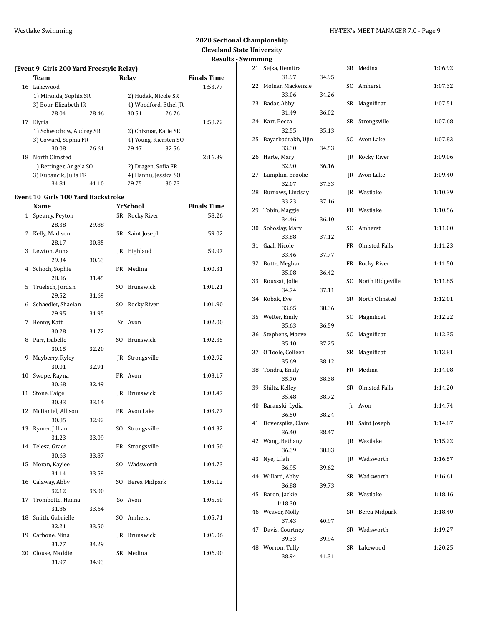### **(Event 9 Girls 200 Yard Freestyle Relay) Team Relay Finals Time** 16 Lakewood 1:53.77 1) Miranda, Sophia SR 2) Hudak, Nicole SR 3) Bour, Elizabeth JR 4) Woodford, Ethel JR 28.04 28.46 30.51 26.76 17 Elyria 1:58.72 1) Schwochow, Audrey SR 2) Chizmar, Katie SR 3) Coward, Sophia FR 4) Young, Kiersten SO 30.08 26.61 29.47 32.56 18 North Olmsted 2:16.39 1) Bettinger, Angela SO 2) Dragen, Sofia FR 3) Kubancik, Julia FR 4) Hannu, Jessica SO 34.81 41.10 29.75 30.73

#### **Event 10 Girls 100 Yard Backstroke**

 $\overline{a}$ 

|              | Name               |       |                | <u>YrSchool</u> | <u>Finals Time</u> |
|--------------|--------------------|-------|----------------|-----------------|--------------------|
| $\mathbf{1}$ | Spearry, Peyton    |       | SR             | Rocky River     | 58.26              |
|              | 28.38              | 29.88 |                |                 |                    |
| 2            | Kelly, Madison     |       | SR             | Saint Joseph    | 59.02              |
|              | 28.17              | 30.85 |                |                 |                    |
| 3            | Lewton, Anna       |       | IR             | Highland        | 59.97              |
|              | 29.34              | 30.63 |                |                 |                    |
| 4            | Schoch, Sophie     |       | FR             | Medina          | 1:00.31            |
|              | 28.86              | 31.45 |                |                 |                    |
| 5            | Truelsch, Jordan   |       | SO.            | Brunswick       | 1:01.21            |
|              | 29.52              | 31.69 |                |                 |                    |
| 6            | Schaedler, Shaelan |       | SO.            | Rocky River     | 1:01.90            |
|              | 29.95              | 31.95 |                |                 |                    |
| 7            | Benny, Katt        |       | Sr             | Avon            | 1:02.00            |
|              | 30.28              | 31.72 |                |                 |                    |
| 8            | Parr, Isabelle     |       | SO.            | Brunswick       | 1:02.35            |
|              | 30.15              | 32.20 |                |                 |                    |
| 9            | Mayberry, Ryley    |       | IR             | Strongsville    | 1:02.92            |
|              | 30.01              | 32.91 |                |                 |                    |
| 10           | Swope, Rayna       |       | FR             | Avon            | 1:03.17            |
|              | 30.68              | 32.49 |                |                 |                    |
| 11           | Stone, Paige       |       | IR             | Brunswick       | 1:03.47            |
|              | 30.33              | 33.14 |                |                 |                    |
| 12           | McDaniel, Allison  |       | FR             | Avon Lake       | 1:03.77            |
|              | 30.85              | 32.92 |                |                 |                    |
| 13           | Rymer, Jillian     |       | S <sub>O</sub> | Strongsville    | 1:04.32            |
|              | 31.23              | 33.09 |                |                 |                    |
| 14           | Telesz, Grace      |       | FR             | Strongsville    | 1:04.50            |
|              | 30.63              | 33.87 |                |                 |                    |
| 15           | Moran, Kaylee      |       | S <sub>O</sub> | Wadsworth       | 1:04.73            |
|              | 31.14              | 33.59 |                |                 |                    |
| 16           | Calaway, Abby      |       | SO.            | Berea Midpark   | 1:05.12            |
|              | 32.12              | 33.00 |                |                 |                    |
| 17           | Trombetto, Hanna   |       | So             | Avon            | 1:05.50            |
|              | 31.86              | 33.64 |                |                 |                    |
| 18           | Smith, Gabrielle   |       | SO.            | Amherst         | 1:05.71            |
|              | 32.21              | 33.50 |                |                 |                    |
| 19           | Carbone, Nina      |       | IR             | Brunswick       | 1:06.06            |
|              | 31.77              | 34.29 |                |                 |                    |
| 20           | Clouse, Maddie     |       | SR             | Medina          | 1:06.90            |
|              | 31.97              | 34.93 |                |                 |                    |

|    | ոտապ                        |       |     |                      |         |
|----|-----------------------------|-------|-----|----------------------|---------|
| 21 | Sejka, Demitra              |       |     | SR Medina            | 1:06.92 |
|    | 31.97                       | 34.95 |     |                      |         |
| 22 | Molnar, Mackenzie           |       | SO. | Amherst              | 1:07.32 |
|    | 33.06                       | 34.26 |     |                      |         |
| 23 | Badar, Abby                 |       | SR  | Magnificat           | 1:07.51 |
|    | 31.49                       | 36.02 |     |                      |         |
| 24 | Karr, Becca                 |       | SR  | Strongsville         | 1:07.68 |
|    | 32.55                       | 35.13 |     |                      |         |
| 25 | Bayarbadrakh, Ujin          |       | SO. | Avon Lake            | 1:07.83 |
|    | 33.30                       | 34.53 |     |                      |         |
| 26 | Harte, Mary<br>32.90        | 36.16 | JR  | Rocky River          | 1:09.06 |
| 27 | Lumpkin, Brooke             |       | IR  | Avon Lake            | 1:09.40 |
|    | 32.07                       | 37.33 |     |                      |         |
| 28 | Burrows, Lindsay            |       | IR  | Westlake             | 1:10.39 |
|    | 33.23                       | 37.16 |     |                      |         |
| 29 | Tobin, Maggie               |       |     | FR Westlake          | 1:10.56 |
|    | 34.46                       | 36.10 |     |                      |         |
| 30 | Soboslay, Mary              |       | SO. | Amherst              | 1:11.00 |
|    | 33.88                       | 37.12 |     |                      |         |
| 31 | Gaal, Nicole                |       | FR  | <b>Olmsted Falls</b> | 1:11.23 |
|    | 33.46                       | 37.77 |     |                      |         |
| 32 | Butte, Meghan               |       | FR  | Rocky River          | 1:11.50 |
|    | 35.08                       | 36.42 |     |                      |         |
| 33 | Roussat, Jolie              |       | SO. | North Ridgeville     | 1:11.85 |
|    | 34.74                       | 37.11 |     |                      |         |
| 34 | Kobak, Eve                  |       | SR  | North Olmsted        | 1:12.01 |
|    | 33.65                       | 38.36 |     |                      |         |
| 35 | Wetter, Emily               |       | SO. | Magnificat           | 1:12.22 |
|    | 35.63                       | 36.59 |     |                      |         |
| 36 | Stephens, Maeve             |       | SO. | Magnificat           | 1:12.35 |
|    | 35.10                       | 37.25 |     |                      |         |
| 37 | O'Toole, Colleen            |       | SR  | Magnificat           | 1:13.81 |
|    | 35.69                       | 38.12 |     |                      |         |
| 38 | Tondra, Emily               |       | FR  | Medina               | 1:14.08 |
|    | 35.70                       | 38.38 |     |                      |         |
| 39 | Shiltz, Kelley              |       | SR  | Olmsted Falls        | 1:14.20 |
|    | 35.48                       | 38.72 |     |                      |         |
|    | 40 Baranski, Lydia<br>36.50 | 38.24 |     | Jr Avon              | 1:14.74 |
| 41 | Doverspike, Clare           |       |     | FR Saint Joseph      | 1:14.87 |
|    | 36.40                       | 38.47 |     |                      |         |
| 42 | Wang, Bethany               |       | JR  | Westlake             | 1:15.22 |
|    | 36.39                       | 38.83 |     |                      |         |
| 43 | Nye, Lilah                  |       |     | JR Wadsworth         | 1:16.57 |
|    | 36.95                       | 39.62 |     |                      |         |
| 44 | Willard, Abby               |       | SR  | Wadsworth            | 1:16.61 |
|    | 36.88                       | 39.73 |     |                      |         |
| 45 | Baron, Jackie               |       |     | SR Westlake          | 1:18.16 |
|    | 1:18.30                     |       |     |                      |         |
| 46 | Weaver, Molly               |       | SR  | Berea Midpark        | 1:18.40 |
|    | 37.43                       | 40.97 |     |                      |         |
| 47 | Davis, Courtney             |       |     | SR Wadsworth         | 1:19.27 |
|    | 39.33                       | 39.94 |     |                      |         |
| 48 | Worron, Tully               |       | SR  | Lakewood             | 1:20.25 |
|    | 38.94                       | 41.31 |     |                      |         |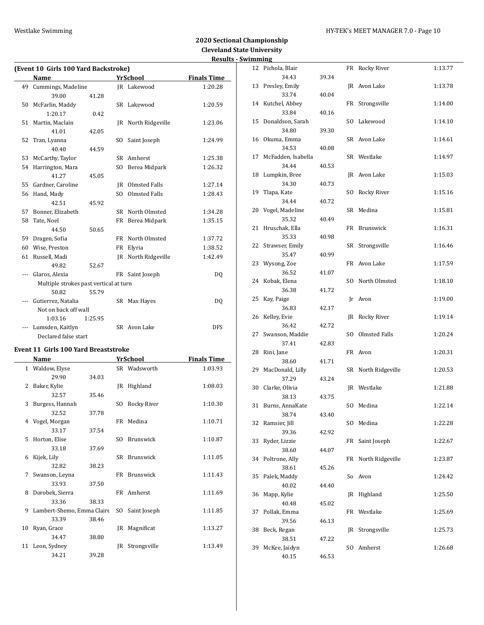# **2020 Sectional Championship Cleveland State University Results - Swimming**

| (Event 10 Girls 100 Yard Backstroke) |                                        |         |                |                     |                    |  |  |  |  |  |
|--------------------------------------|----------------------------------------|---------|----------------|---------------------|--------------------|--|--|--|--|--|
|                                      | <b>Name</b>                            |         |                | <b>YrSchool</b>     | <b>Finals Time</b> |  |  |  |  |  |
| 49                                   | Cummings, Madeline                     |         |                | JR Lakewood         | 1:20.28            |  |  |  |  |  |
|                                      | 39.00                                  | 41.28   |                |                     |                    |  |  |  |  |  |
| 50                                   | McFarlin, Maddy                        |         |                | SR Lakewood         | 1:20.59            |  |  |  |  |  |
|                                      | 1:20.17                                | 0.42    |                |                     |                    |  |  |  |  |  |
| 51                                   | Martin, Maclain                        |         |                | JR North Ridgeville | 1:23.06            |  |  |  |  |  |
|                                      | 41.01                                  | 42.05   |                |                     |                    |  |  |  |  |  |
| 52                                   | Tran, Lyanna                           |         | S <sub>0</sub> | Saint Joseph        | 1:24.99            |  |  |  |  |  |
|                                      | 40.40                                  | 44.59   |                |                     |                    |  |  |  |  |  |
| 53                                   | McCarthy, Taylor                       |         | <b>SR</b>      | Amherst             | 1:25.38            |  |  |  |  |  |
| 54                                   | Harrington, Mara                       |         | S <sub>O</sub> | Berea Midpark       | 1:26.32            |  |  |  |  |  |
|                                      | 41.27                                  | 45.05   |                |                     |                    |  |  |  |  |  |
| 55                                   | Gardner, Caroline                      |         |                | IR Olmsted Falls    | 1:27.14            |  |  |  |  |  |
| 56                                   | Hand, Mady                             |         | S <sub>O</sub> | Olmsted Falls       | 1:28.43            |  |  |  |  |  |
|                                      | 42.51                                  | 45.92   |                |                     |                    |  |  |  |  |  |
| 57                                   | Bonner, Elizabeth                      |         | SR.            | North Olmsted       | 1:34.28            |  |  |  |  |  |
| 58                                   | Tate, Noel                             |         | FR             | Berea Midpark       | 1:35.15            |  |  |  |  |  |
|                                      | 44.50                                  | 50.65   |                |                     |                    |  |  |  |  |  |
| 59                                   | Dragen, Sofia                          |         | FR             | North Olmsted       | 1:37.72            |  |  |  |  |  |
| 60                                   | Wise, Preston                          |         | FR             | Elyria              | 1:38.52            |  |  |  |  |  |
| 61                                   | Russell, Madi                          |         | IR             | North Ridgeville    | 1:42.49            |  |  |  |  |  |
|                                      | 49.82                                  | 52.67   |                |                     |                    |  |  |  |  |  |
| $- - -$                              | Glaros, Alexia                         |         |                | FR Saint Joseph     | DQ                 |  |  |  |  |  |
|                                      | Multiple strokes past vertical at turn |         |                |                     |                    |  |  |  |  |  |
|                                      | 50.82                                  | 55.79   |                |                     |                    |  |  |  |  |  |
|                                      | Gutierrez, Natalia                     |         |                | SR Max Hayes        | DQ                 |  |  |  |  |  |
|                                      | Not on back off wall                   |         |                |                     |                    |  |  |  |  |  |
|                                      | 1:03.16                                | 1:25.95 |                |                     |                    |  |  |  |  |  |
| ---                                  | Lumsden, Kaitlyn                       |         |                | SR Avon Lake        | <b>DFS</b>         |  |  |  |  |  |
|                                      | Declared false start                   |         |                |                     |                    |  |  |  |  |  |

### **Event 11 Girls 100 Yard Breaststroke**

|              | Name                       |       |     | YrSchool         | <b>Finals Time</b> |
|--------------|----------------------------|-------|-----|------------------|--------------------|
| $\mathbf{1}$ | Waldow, Elyse              |       |     | SR Wadsworth     | 1:03.93            |
|              | 29.90                      | 34.03 |     |                  |                    |
| 2            | Baker, Kylie               |       |     | JR Highland      | 1:08.03            |
|              | 32.57                      | 35.46 |     |                  |                    |
| 3            | Burgess, Hannah            |       | SO  | Rocky River      | 1:10.30            |
|              | 32.52                      | 37.78 |     |                  |                    |
| 4            | Vogel, Morgan              |       |     | FR Medina        | 1:10.71            |
|              | 33.17                      | 37.54 |     |                  |                    |
| 5            | Horton, Elise              |       | SO. | Brunswick        | 1:10.87            |
|              | 33.18                      | 37.69 |     |                  |                    |
| 6            | Kijek, Lily                |       | SR. | <b>Brunswick</b> | 1:11.05            |
|              | 32.82                      | 38.23 |     |                  |                    |
| 7            | Swanson, Leyna             |       |     | FR Brunswick     | 1:11.43            |
|              | 33.93                      | 37.50 |     |                  |                    |
| 8            | Dorobek, Sierra            |       |     | FR Amherst       | 1:11.69            |
|              | 33.36                      | 38.33 |     |                  |                    |
| 9            | Lambert-Shemo, Emma Claire |       | SO. | Saint Joseph     | 1:11.85            |
|              | 33.39                      | 38.46 |     |                  |                    |
| 10           | Ryan, Grace                |       |     | JR Magnificat    | 1:13.27            |
|              | 34.47                      | 38.80 |     |                  |                    |
|              | 11 Leon, Sydney            |       | IR  | Strongsville     | 1:13.49            |
|              | 34.21                      | 39.28 |     |                  |                    |

|    | ոmıng                   |       |     |                  |         |
|----|-------------------------|-------|-----|------------------|---------|
| 12 | Pichola, Blair          |       |     | FR Rocky River   | 1:13.77 |
|    | 34.43                   | 39.34 |     |                  |         |
| 13 | Presley, Emily          |       | JR  | Avon Lake        | 1:13.78 |
|    | 33.74                   | 40.04 |     |                  |         |
| 14 | Kutchel, Abbey          |       | FR  | Strongsville     | 1:14.00 |
|    | 33.84                   | 40.16 |     |                  |         |
| 15 | Donaldson, Sarah        |       | SO. | Lakewood         | 1:14.10 |
|    | 34.80                   | 39.30 |     |                  |         |
| 16 | Okuma, Emma             |       |     | SR Avon Lake     | 1:14.61 |
|    | 34.53                   | 40.08 |     |                  |         |
| 17 | McFadden, Isabella      |       |     | SR Westlake      | 1:14.97 |
|    | 34.44                   | 40.53 |     |                  |         |
| 18 | Lumpkin, Bree           |       |     | JR Avon Lake     | 1:15.03 |
|    | 34.30                   | 40.73 |     |                  |         |
| 19 | Tlapa, Kate             |       | SO. | Rocky River      | 1:15.16 |
|    | 34.44                   | 40.72 |     |                  |         |
| 20 | Vogel, Madeline         |       | SR  | Medina           | 1:15.81 |
|    | 35.32                   | 40.49 |     |                  |         |
| 21 | Hruschak, Ella          |       | FR  | Brunswick        | 1:16.31 |
|    | 35.33                   | 40.98 |     |                  |         |
| 22 | Strawser, Emily         |       | SR  | Strongsville     | 1:16.46 |
|    | 35.47                   | 40.99 |     |                  |         |
| 23 | Wysong, Zoe             |       | FR  | Avon Lake        | 1:17.59 |
|    | 36.52                   | 41.07 |     |                  |         |
| 24 | Kobak, Elena            |       | SO. | North Olmsted    | 1:18.10 |
|    | 36.38                   | 41.72 |     |                  |         |
| 25 | Kay, Paige              |       | Ir  | Avon             | 1:19.00 |
|    | 36.83                   | 42.17 |     |                  |         |
| 26 | Kelley, Evie            |       | JR  | Rocky River      | 1:19.14 |
|    | 36.42                   | 42.72 |     |                  |         |
| 27 | Swanson, Maddie         |       | SO. | Olmsted Falls    | 1:20.24 |
|    | 37.41                   | 42.83 |     |                  |         |
| 28 | Rini, Jane              |       | FR  | Avon             | 1:20.31 |
|    | 38.60                   | 41.71 |     |                  |         |
| 29 | MacDonald, Lilly        |       | SR  | North Ridgeville | 1:20.53 |
|    | 37.29                   | 43.24 |     |                  |         |
| 30 | Clarke, Olivia          |       | JR  | Westlake         | 1:21.88 |
|    | 38.13                   | 43.75 |     |                  |         |
| 31 | Burns, AnnaKate         |       |     | SO Medina        | 1:22.14 |
|    | 38.74                   | 43.40 |     |                  |         |
| 32 | Ramsier, Jill<br>39.36  |       | SO. | Medina           | 1:22.28 |
|    |                         | 42.92 |     | Saint Joseph     |         |
| 33 | Ryder, Lizzie           |       | FR  |                  | 1:22.67 |
|    | 38.60<br>Poltrone, Ally | 44.07 | FR  | North Ridgeville |         |
| 34 | 38.61                   |       |     |                  | 1:23.87 |
| 35 | Palek, Maddy            | 45.26 | So  | Avon             | 1:24.42 |
|    | 40.02                   | 44.40 |     |                  |         |
| 36 |                         |       | JR  | Highland         | 1:25.50 |
|    | Mapp, Kylie<br>40.48    | 45.02 |     |                  |         |
| 37 | Pollak, Emma            |       | FR  | Westlake         | 1:25.69 |
|    | 39.56                   | 46.13 |     |                  |         |
| 38 | Beck, Regan             |       | JR  | Strongsville     | 1:25.73 |
|    | 38.51                   | 47.22 |     |                  |         |
| 39 | McKee, Jaidyn           |       | SO. | Amherst          | 1:26.68 |
|    | 40.15                   | 46.53 |     |                  |         |
|    |                         |       |     |                  |         |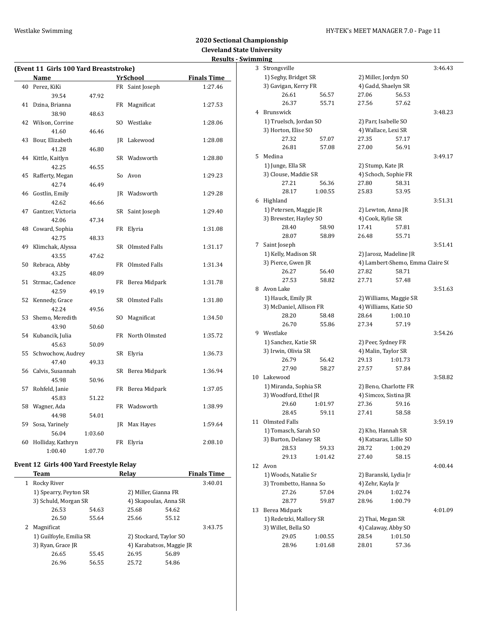### Westlake Swimming **Manufather 1999** HY-TEK's MEET MANAGER 7.0 - Page 11

# **2020 Sectional Championship Cleveland State University Results - Swimming**

|    | (Event 11 Girls 100 Yard Breaststroke) |         |     |                  |                    |  |  |
|----|----------------------------------------|---------|-----|------------------|--------------------|--|--|
|    | Name                                   |         |     | <b>YrSchool</b>  | <b>Finals Time</b> |  |  |
| 40 | Perez, KiKi                            |         |     | FR Saint Joseph  | 1:27.46            |  |  |
|    | 39.54                                  | 47.92   |     |                  |                    |  |  |
| 41 | Dzina, Brianna                         |         | FR  | Magnificat       | 1:27.53            |  |  |
|    | 38.90                                  | 48.63   |     |                  |                    |  |  |
|    | 42 Wilson, Corrine                     |         |     | SO Westlake      | 1:28.06            |  |  |
|    | 41.60                                  | 46.46   |     |                  |                    |  |  |
| 43 | Bour, Elizabeth                        |         |     | JR Lakewood      | 1:28.08            |  |  |
|    | 41.28                                  | 46.80   |     |                  |                    |  |  |
| 44 | Kittle, Kaitlyn                        |         |     | SR Wadsworth     | 1:28.80            |  |  |
|    | 42.25                                  | 46.55   |     |                  |                    |  |  |
| 45 | Rafferty, Megan                        |         |     | So Avon          | 1:29.23            |  |  |
|    | 42.74                                  | 46.49   |     |                  |                    |  |  |
| 46 | Gostlin, Emily                         |         |     | JR Wadsworth     | 1:29.28            |  |  |
|    | 42.62                                  | 46.66   |     |                  |                    |  |  |
| 47 | Gantzer, Victoria                      |         | SR  | Saint Joseph     | 1:29.40            |  |  |
|    | 42.06                                  | 47.34   |     |                  |                    |  |  |
| 48 | Coward, Sophia                         |         | FR  | Elyria           | 1:31.08            |  |  |
|    | 42.75                                  | 48.33   |     |                  |                    |  |  |
| 49 | Klimchak, Alyssa                       |         |     | SR Olmsted Falls | 1:31.17            |  |  |
|    | 43.55                                  | 47.62   |     |                  |                    |  |  |
| 50 | Rebraca, Abby                          |         |     | FR Olmsted Falls | 1:31.34            |  |  |
|    | 43.25                                  | 48.09   |     |                  |                    |  |  |
| 51 | Strmac, Cadence                        |         |     | FR Berea Midpark | 1:31.78            |  |  |
|    | 42.59                                  | 49.19   |     |                  |                    |  |  |
| 52 | Kennedy, Grace                         |         | SR  | Olmsted Falls    | 1:31.80            |  |  |
|    | 42.24                                  | 49.56   |     |                  |                    |  |  |
| 53 | Shemo, Meredith                        |         | SO. | Magnificat       | 1:34.50            |  |  |
|    | 43.90                                  | 50.60   |     |                  |                    |  |  |
| 54 | Kubancik, Julia                        |         | FR  | North Olmsted    | 1:35.72            |  |  |
|    | 45.63                                  | 50.09   |     |                  |                    |  |  |
| 55 | Schwochow, Audrey                      |         | SR  | Elyria           | 1:36.73            |  |  |
|    | 47.40                                  | 49.33   |     |                  |                    |  |  |
| 56 | Calvis, Susannah                       |         | SR  | Berea Midpark    | 1:36.94            |  |  |
|    | 45.98                                  | 50.96   |     |                  |                    |  |  |
| 57 | Rohfeld, Janie                         |         |     | FR Berea Midpark | 1:37.05            |  |  |
|    | 45.83                                  | 51.22   |     |                  |                    |  |  |
| 58 | Wagner, Ada                            |         |     | FR Wadsworth     | 1:38.99            |  |  |
|    | 44.98                                  | 54.01   |     |                  |                    |  |  |
| 59 | Sosa, Yarinely                         |         | JR  | Max Hayes        | 1:59.64            |  |  |
|    | 56.04                                  | 1:03.60 |     |                  |                    |  |  |
| 60 | Holliday, Kathryn                      |         | FR  | Elyria           | 2:08.10            |  |  |
|    | 1:00.40                                | 1:07.70 |     |                  |                    |  |  |

# **Event 12 Girls 400 Yard Freestyle Relay**

| Team              |       | Relay                                                                    |       | <b>Finals Time</b>                                                                                  |
|-------------------|-------|--------------------------------------------------------------------------|-------|-----------------------------------------------------------------------------------------------------|
| Rocky River       |       |                                                                          |       | 3:40.01                                                                                             |
|                   |       |                                                                          |       |                                                                                                     |
|                   |       |                                                                          |       |                                                                                                     |
| 26.53             | 54.63 | 25.68                                                                    | 54.62 |                                                                                                     |
| 26.50             | 55.64 | 25.66                                                                    | 55.12 |                                                                                                     |
| Magnificat        |       |                                                                          |       | 3:43.75                                                                                             |
|                   |       |                                                                          |       |                                                                                                     |
| 3) Ryan, Grace JR |       |                                                                          |       |                                                                                                     |
| 26.65             | 55.45 | 26.95                                                                    | 56.89 |                                                                                                     |
| 26.96             | 56.55 | 25.72                                                                    | 54.86 |                                                                                                     |
|                   |       | 1) Spearry, Peyton SR<br>3) Schuld, Morgan SR<br>1) Guilfoyle, Emilia SR |       | 2) Miller, Gianna FR<br>4) Skapoulas, Anna SR<br>2) Stockard, Taylor SO<br>4) Karabatsos, Maggie JR |

|    | ոռութ                   |         |                      |                                  |         |
|----|-------------------------|---------|----------------------|----------------------------------|---------|
| 3  | Strongsville            |         |                      |                                  | 3:46.43 |
|    | 1) Seghy, Bridget SR    |         |                      | 2) Miller, Jordyn SO             |         |
|    | 3) Gavigan, Kerry FR    |         |                      | 4) Gadd, Shaelyn SR              |         |
|    | 26.61                   | 56.57   | 27.06                | 56.53                            |         |
|    | 26.37                   | 55.71   | 27.56                | 57.62                            |         |
| 4  | Brunswick               |         |                      |                                  | 3:48.23 |
|    | 1) Truelsch, Jordan SO  |         | 2) Parr, Isabelle SO |                                  |         |
|    | 3) Horton, Elise SO     |         |                      | 4) Wallace, Lexi SR              |         |
|    | 27.32                   | 57.07   | 27.35                | 57.17                            |         |
|    | 26.81                   | 57.08   | 27.00                | 56.91                            |         |
|    |                         |         |                      |                                  |         |
| 5  | Medina                  |         |                      |                                  | 3:49.17 |
|    | 1) Junge, Ella SR       |         | 2) Stump, Kate JR    |                                  |         |
|    | 3) Clouse, Maddie SR    |         |                      | 4) Schoch, Sophie FR             |         |
|    | 27.21                   | 56.36   | 27.80                | 58.31                            |         |
|    | 28.17                   | 1:00.55 | 25.83                | 53.95                            |         |
|    | 6 Highland              |         |                      |                                  | 3:51.31 |
|    | 1) Petersen, Maggie JR  |         |                      | 2) Lewton, Anna JR               |         |
|    | 3) Brewster, Hayley SO  |         | 4) Cook, Kylie SR    |                                  |         |
|    | 28.40                   | 58.90   | 17.41                | 57.81                            |         |
|    | 28.07                   | 58.89   | 26.48                | 55.71                            |         |
| 7  | Saint Joseph            |         |                      |                                  | 3:51.41 |
|    | 1) Kelly, Madison SR    |         |                      | 2) Jarosz, Madeline JR           |         |
|    | 3) Pierce, Gwen JR      |         |                      | 4) Lambert-Shemo, Emma Claire S( |         |
|    | 26.27                   | 56.40   | 27.82                | 58.71                            |         |
|    | 27.53                   | 58.82   | 27.71                | 57.48                            |         |
| 8  | Avon Lake               |         |                      |                                  | 3:51.63 |
|    | 1) Hauck, Emily JR      |         |                      | 2) Williams, Maggie SR           |         |
|    | 3) McDaniel, Allison FR |         |                      | 4) Williams, Katie SO            |         |
|    | 28.20                   | 58.48   | 28.64                | 1:00.10                          |         |
|    | 26.70                   | 55.86   |                      |                                  |         |
|    |                         |         | 27.34                | 57.19                            |         |
| 9. | Westlake                |         |                      |                                  | 3:54.26 |
|    | 1) Sanchez, Katie SR    |         | 2) Peer, Sydney FR   |                                  |         |
|    | 3) Irwin, Olivia SR     |         |                      | 4) Malin, Taylor SR              |         |
|    | 26.79                   | 56.42   | 29.13                | 1:01.73                          |         |
|    | 27.90                   | 58.27   | 27.57                | 57.84                            |         |
| 10 | Lakewood                |         |                      |                                  | 3:58.82 |
|    | 1) Miranda, Sophia SR   |         |                      | 2) Beno, Charlotte FR            |         |
|    | 3) Woodford, Ethel JR   |         |                      | 4) Simcox, Sistina JR            |         |
|    | 29.60                   | 1:01.97 | 27.36                | 59.16                            |         |
|    | 28.45                   | 59.11   | 27.41                | 58.58                            |         |
| 11 | Olmsted Falls           |         |                      |                                  | 3:59.19 |
|    | 1) Tomasch, Sarah SO    |         | 2) Kho, Hannah SR    |                                  |         |
|    | 3) Burton, Delaney SR   |         |                      | 4) Katsaras, Lillie SO           |         |
|    | 28.53                   | 59.33   | 28.72                | 1:00.29                          |         |
|    | 29.13                   | 1:01.42 | 27.40                | 58.15                            |         |
| 12 | Avon                    |         |                      |                                  | 4:00.44 |
|    | 1) Woods, Natalie Sr    |         |                      | 2) Baranski, Lydia Jr            |         |
|    | 3) Trombetto, Hanna So  |         | 4) Zehr, Kayla Jr    |                                  |         |
|    | 27.26                   | 57.04   | 29.04                | 1:02.74                          |         |
|    |                         |         |                      |                                  |         |
|    | 28.77                   | 59.87   | 28.96                | 1:00.79                          |         |
| 13 | Berea Midpark           |         |                      |                                  | 4:01.09 |
|    | 1) Redetzki, Mallory SR |         | 2) Thai, Megan SR    |                                  |         |
|    | 3) Willet, Bella SO     |         |                      | 4) Calaway, Abby SO              |         |
|    | 29.05                   | 1:00.55 | 28.54                | 1:01.50                          |         |
|    | 28.96                   | 1:01.68 | 28.01                | 57.36                            |         |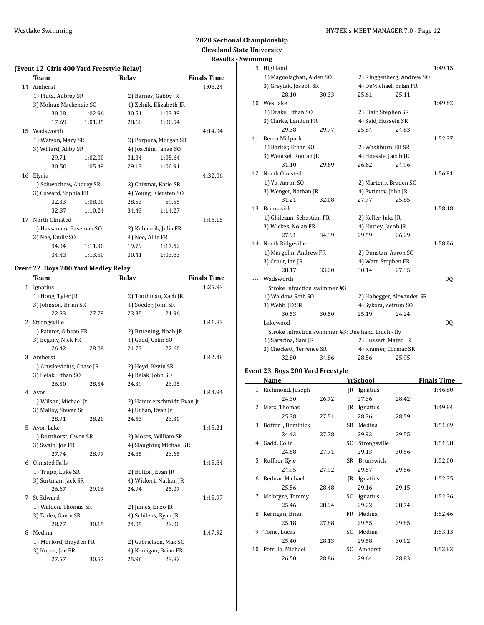# **2020 Sectional Championship Cleveland State University**

# **Results - Swimming**

|    | (Event 12 Girls 400 Yard Freestyle Relay) |         |                      |                         |                    |  |  |  |
|----|-------------------------------------------|---------|----------------------|-------------------------|--------------------|--|--|--|
|    | Team                                      |         | Relay                |                         | <b>Finals Time</b> |  |  |  |
| 14 | Amherst                                   |         |                      |                         | 4:08.24            |  |  |  |
|    | 1) Pluta, Aubrey SR                       |         | 2) Barnes, Gabby JR  |                         |                    |  |  |  |
|    | 3) Molnar, Mackenzie SO                   |         |                      | 4) Zelnik, Elizabeth JR |                    |  |  |  |
|    | 30.08                                     | 1:02.96 | 30.51                | 1:03.39                 |                    |  |  |  |
|    | 17.69                                     | 1:01.35 | 28.68                | 1:00.54                 |                    |  |  |  |
|    | 15 Wadsworth                              |         |                      |                         | 4:14.04            |  |  |  |
|    | 1) Watson, Mary SR                        |         |                      | 2) Porpora, Morgan SR   |                    |  |  |  |
|    | 3) Willard, Abby SR                       |         | 4) Joachim, Janae SO |                         |                    |  |  |  |
|    | 29.71                                     | 1:02.00 | 31.34                | 1:05.64                 |                    |  |  |  |
|    | 30.50                                     | 1:05.49 | 29.13                | 1:00.91                 |                    |  |  |  |
| 16 | Elyria                                    |         |                      |                         | 4:32.06            |  |  |  |
|    | 1) Schwochow, Audrey SR                   |         | 2) Chizmar, Katie SR |                         |                    |  |  |  |
|    | 3) Coward, Sophia FR                      |         |                      | 4) Young, Kiersten SO   |                    |  |  |  |
|    | 32.33                                     | 1:08.00 | 28.53                | 59.55                   |                    |  |  |  |
|    | 32.37                                     | 1:10.24 | 34.43                | 1:14.27                 |                    |  |  |  |
| 17 | North Olmsted                             |         |                      |                         | 4:46.15            |  |  |  |
|    | 1) Hassanain, Basemah SO                  |         |                      | 2) Kubancik, Julia FR   |                    |  |  |  |
|    | 3) Nee, Emily SO                          |         | 4) Nee, Allie FR     |                         |                    |  |  |  |
|    | 34.04                                     | 1:11.30 | 19.79                | 1:17.52                 |                    |  |  |  |
|    | 34.43                                     | 1:13.50 | 30.41                | 1:03.83                 |                    |  |  |  |
|    |                                           |         |                      |                         |                    |  |  |  |

### **Event 22 Boys 200 Yard Medley Relay**

|   | <b>Team</b>               |       | Relay                    |                           | <b>Finals Time</b> |
|---|---------------------------|-------|--------------------------|---------------------------|--------------------|
|   | 1 Ignatius                |       |                          |                           | 1:35.93            |
|   | 1) Hong, Tyler JR         |       | 2) Toothman, Zach JR     |                           |                    |
|   | 3) Johnson, Brian SR      |       | 4) Soeder, John SR       |                           |                    |
|   | 22.83                     | 27.79 | 23.35                    | 21.96                     |                    |
| 2 | Strongsville              |       |                          |                           | 1:41.83            |
|   | 1) Painter, Gibson FR     |       | 2) Bruening, Noah JR     |                           |                    |
|   | 3) Begany, Nick FR        |       | 4) Gadd, Colin SO        |                           |                    |
|   | 26.42                     | 28.08 | 24.73                    | 22.60                     |                    |
| 3 | Amherst                   |       |                          |                           | 1:42.48            |
|   | 1) Aruskevicius, Chase JR |       | 2) Heyd, Kevin SR        |                           |                    |
|   | 3) Belak, Ethan SO        |       | 4) Belak, John SO        |                           |                    |
|   | 26.50                     | 28.54 | 24.39                    | 23.05                     |                    |
| 4 | Avon                      |       |                          |                           | 1:44.94            |
|   | 1) Wilson, Michael Jr     |       |                          | 2) Hammerschmidt, Evan Jr |                    |
|   | 3) Malloy, Steven Sr      |       | 4) Urban, Ryan Jr        |                           |                    |
|   | 28.91                     | 28.20 | 24.53                    | 23.30                     |                    |
| 5 | Avon Lake                 |       |                          |                           | 1:45.21            |
|   | 1) Bornhorst, Owen SR     |       | 2) Moses, William SR     |                           |                    |
|   | 3) Swain, Joe FR          |       | 4) Slaughter, Michael SR |                           |                    |
|   | 27.74                     | 28.97 | 24.85                    | 23.65                     |                    |
| 6 | Olmsted Falls             |       |                          |                           | 1:45.84            |
|   | 1) Trupo, Luke SR         |       | 2) Bolton, Evan JR       |                           |                    |
|   | 3) Surtman, Jack SR       |       | 4) Wickert, Nathan JR    |                           |                    |
|   | 26.67                     | 29.16 | 24.94                    | 25.07                     |                    |
| 7 | St Edward                 |       |                          |                           | 1:45.97            |
|   | 1) Walden, Thomas SR      |       | 2) James, Enzo JR        |                           |                    |
|   | 3) Tarler, Gavin SR       |       | 4) Schilens, Ryan JR     |                           |                    |
|   | 28.77                     | 30.15 | 24.05                    | 23.00                     |                    |
| 8 | Medina                    |       |                          |                           | 1:47.92            |
|   | 1) Morford, Brayden FR    |       | 2) Gabrielsen, Max SO    |                           |                    |
|   | 3) Kupec, Joe FR          |       | 4) Kerrigan, Brian FR    |                           |                    |
|   | 27.57                     | 30.57 | 25.96                    | 23.82                     |                    |

| 9  | Highland                                           |       |                        |                           | 1:49.15 |
|----|----------------------------------------------------|-------|------------------------|---------------------------|---------|
|    | 1) Magoolaghan, Aiden SO                           |       |                        | 2) Ringgenberg, Andrew SO |         |
|    | 3) Greytak, Joseph SR                              |       | 4) DeMichael, Brian FR |                           |         |
|    | 28.10                                              | 30.33 | 25.61                  | 25.11                     |         |
| 10 | Westlake                                           |       |                        |                           | 1:49.82 |
|    | 1) Drake, Ethan SO                                 |       | 2) Blair, Stephen SR   |                           |         |
|    | 3) Clarke, Landon FR                               |       | 4) Said, Hussein SR    |                           |         |
|    | 29.38                                              | 29.77 | 25.84                  | 24.83                     |         |
| 11 | Berea Midpark                                      |       |                        |                           | 1:52.37 |
|    | 1) Barker, Ethan SO                                |       | 2) Washburn, Eli SR    |                           |         |
|    | 3) Wentzel, Roman JR                               |       | 4) Hoessle, Jacob JR   |                           |         |
|    | 31.10                                              | 29.69 | 26.62                  | 24.96                     |         |
| 12 | North Olmsted                                      |       |                        |                           | 1:56.91 |
|    | 1) Yu, Aaron SO                                    |       | 2) Martens, Braden SO  |                           |         |
|    | 3) Wenger, Nathan JR                               |       | 4) Evtimov, John JR    |                           |         |
|    | 31.21                                              | 32.08 | 27.77                  | 25.85                     |         |
| 13 | <b>Brunswick</b>                                   |       |                        |                           | 1:58.18 |
|    | 1) Ghilezan, Sebastian FR                          |       | 2) Keller, Jake JR     |                           |         |
|    | 3) Wickes, Nolan FR                                |       | 4) Hurley, Jacob JR    |                           |         |
|    | 27.91                                              | 34.39 | 29.59                  | 26.29                     |         |
| 14 | North Ridgeville                                   |       |                        |                           | 1:58.86 |
|    | 1) Margolin, Andrew FR                             |       | 2) Dunstan, Aaron SO   |                           |         |
|    | 3) Crout, Ian JR                                   |       | 4) Watt, Stephen FR    |                           |         |
|    | 28.17                                              | 33.20 | 30.14                  | 27.35                     |         |
|    | Wadsworth                                          |       |                        |                           | DQ      |
|    | Stroke Infraction swimmer #3                       |       |                        |                           |         |
|    | 1) Waldow, Seth SO                                 |       |                        | 2) Habegger, Alexander SR |         |
|    | 3) Webb, JD SR                                     |       | 4) Sykora, Zefrum SO   |                           |         |
|    | 30.53                                              | 30.50 | 25.19                  | 24.24                     |         |
|    | Lakewood                                           |       |                        |                           | DQ      |
|    | Stroke Infraction swimmer #3: One hand touch - fly |       |                        |                           |         |
|    | 1) Saracina, Sam JR                                |       | 2) Bussert, Mateo JR   |                           |         |
|    | 3) Checkett, Terrence SR                           |       | 4) Kramer, Cormac SR   |                           |         |
|    | 32.80                                              | 34.86 | 28.56                  | 25.95                     |         |

### **Event 23 Boys 200 Yard Freestyle**

|              | Name              |       |      | YrSchool     |       | <b>Finals Time</b> |
|--------------|-------------------|-------|------|--------------|-------|--------------------|
| $\mathbf{1}$ | Richmond, Joseph  |       |      | JR Ignatius  |       | 1:46.80            |
|              | 24.30             | 26.72 |      | 27.36        | 28.42 |                    |
| 2            | Metz, Thomas      |       | IR   | Ignatius     |       | 1:49.84            |
|              | 25.38             | 27.51 |      | 28.36        | 28.59 |                    |
| 3            | Bottoni, Dominick |       |      | SR Medina    |       | 1:51.69            |
|              | 24.43             | 27.78 |      | 29.93        | 29.55 |                    |
| 4            | Gadd, Colin       |       | SO.  | Strongsville |       | 1:51.98            |
|              | 24.58             | 27.71 |      | 29.13        | 30.56 |                    |
| 5.           | Ruffner, Kyle     |       |      | SR Brunswick |       | 1:52.00            |
|              | 24.95             | 27.92 |      | 29.57        | 29.56 |                    |
| 6            | Bednar, Michael   |       |      | JR Ignatius  |       | 1:52.35            |
|              | 25.56             | 28.48 |      | 29.16        | 29.15 |                    |
| 7            | McIntyre, Tommy   |       | SO.  | Ignatius     |       | 1:52.36            |
|              | 25.46             | 28.94 |      | 29.22        | 28.74 |                    |
| 8            | Kerrigan, Brian   |       | FR - | Medina       |       | 1:52.46            |
|              | 25.18             | 27.88 |      | 29.55        | 29.85 |                    |
| 9            | Tome, Lucas       |       | SO.  | Medina       |       | 1:53.13            |
|              | 25.40             | 28.13 |      | 29.58        | 30.02 |                    |
| 10           | Petrillo, Michael |       | SO.  | Amherst      |       | 1:53.83            |
|              | 26.50             | 28.86 |      | 29.64        | 28.83 |                    |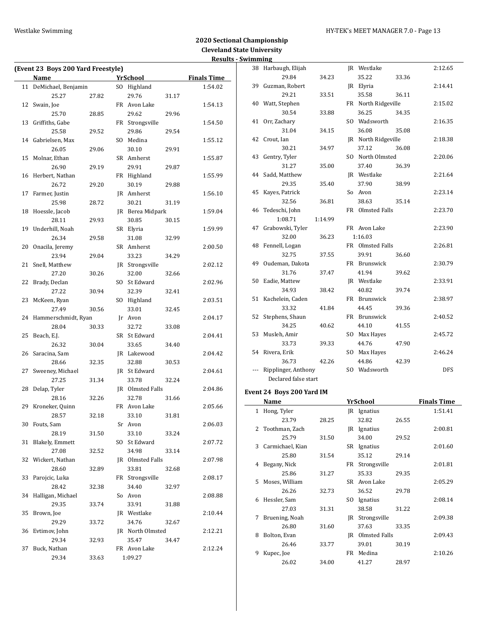### Westlake Swimming Management of the HY-TEK's MEET MANAGER 7.0 - Page 13

|    | (Event 23 Boys 200 Yard Freestyle) |       |    |                  |       |                    |  |
|----|------------------------------------|-------|----|------------------|-------|--------------------|--|
|    | Name                               |       |    | <b>YrSchool</b>  |       | <b>Finals Time</b> |  |
| 11 | DeMichael, Benjamin                |       |    | SO Highland      |       | 1:54.02            |  |
|    | 25.27                              | 27.82 |    | 29.76            | 31.17 |                    |  |
| 12 | Swain, Joe                         |       |    | FR Avon Lake     |       | 1:54.13            |  |
|    | 25.70                              | 28.85 |    | 29.62            | 29.96 |                    |  |
| 13 | Griffiths, Gabe                    |       |    | FR Strongsville  |       | 1:54.50            |  |
|    | 25.58                              | 29.52 |    | 29.86            | 29.54 |                    |  |
|    | 14 Gabrielsen, Max                 |       |    | SO Medina        |       | 1:55.12            |  |
|    | 26.05                              | 29.06 |    | 30.10            | 29.91 |                    |  |
| 15 | Molnar, Ethan                      |       |    | SR Amherst       |       | 1:55.87            |  |
|    | 26.90                              | 29.19 |    | 29.91            | 29.87 |                    |  |
|    | 16 Herbert, Nathan                 |       |    | FR Highland      |       | 1:55.99            |  |
|    | 26.72                              | 29.20 |    | 30.19            | 29.88 |                    |  |
| 17 | Farmer, Justin                     |       |    | JR Amherst       |       | 1:56.10            |  |
|    | 25.98                              | 28.72 |    | 30.21            | 31.19 |                    |  |
| 18 | Hoessle, Jacob                     |       |    | JR Berea Midpark |       | 1:59.04            |  |
|    | 28.11                              | 29.93 |    | 30.85            | 30.15 |                    |  |
| 19 | Underhill, Noah                    |       |    | SR Elyria        |       | 1:59.99            |  |
|    | 26.34                              | 29.58 |    | 31.08            | 32.99 |                    |  |
| 20 | Onacila, Jeremy                    |       |    | SR Amherst       |       | 2:00.50            |  |
|    | 23.94                              | 29.04 |    | 33.23            | 34.29 |                    |  |
| 21 | Snell, Matthew                     |       |    | JR Strongsville  |       | 2:02.12            |  |
|    | 27.20                              | 30.26 |    | 32.00            | 32.66 |                    |  |
| 22 | Brady, Declan                      |       |    | SO St Edward     |       | 2:02.96            |  |
|    |                                    |       |    |                  |       |                    |  |
|    | 27.22                              | 30.94 |    | 32.39            | 32.41 |                    |  |
| 23 | McKeen, Ryan                       |       |    | SO Highland      |       | 2:03.51            |  |
|    | 27.49                              | 30.56 |    | 33.01            | 32.45 |                    |  |
|    | 24 Hammerschmidt, Ryan             |       |    | Jr Avon          |       | 2:04.17            |  |
|    | 28.04                              | 30.33 |    | 32.72            | 33.08 |                    |  |
| 25 | Beach, E.J.                        |       |    | SR St Edward     |       | 2:04.41            |  |
|    | 26.32                              | 30.04 |    | 33.65            | 34.40 |                    |  |
| 26 | Saracina, Sam                      |       |    | JR Lakewood      |       | 2:04.42            |  |
|    | 28.66                              | 32.35 |    | 32.88            | 30.53 |                    |  |
| 27 | Sweeney, Michael                   |       |    | JR St Edward     |       | 2:04.61            |  |
|    | 27.25                              | 31.34 |    | 33.78            | 32.24 |                    |  |
| 28 | Delap, Tyler                       |       |    | JR Olmsted Falls |       | 2:04.86            |  |
|    | 28.16                              | 32.26 |    | 32.78            | 31.66 |                    |  |
| 29 | Kroneker, Quinn                    |       |    | FR Avon Lake     |       | 2:05.66            |  |
|    | 28.57                              | 32.18 |    | 33.10            | 31.81 |                    |  |
|    | 30 Fouts, Sam                      |       |    | Sr Avon          |       | 2:06.03            |  |
|    | 28.19                              | 31.50 |    | 33.10            | 33.24 |                    |  |
| 31 | Blakely, Emmett                    |       | SO | St Edward        |       | 2:07.72            |  |
|    | 27.08                              | 32.52 |    | 34.98            | 33.14 |                    |  |
| 32 | Wickert, Nathan                    |       |    | JR Olmsted Falls |       | 2:07.98            |  |
|    | 28.60                              | 32.89 |    | 33.81            | 32.68 |                    |  |
| 33 | Parojcic, Luka                     |       |    | FR Strongsville  |       | 2:08.17            |  |
|    | 28.42                              | 32.38 |    | 34.40            | 32.97 |                    |  |
| 34 | Halligan, Michael                  |       |    | So Avon          |       | 2:08.88            |  |
|    | 29.35                              | 33.74 |    | 33.91            | 31.88 |                    |  |
| 35 | Brown, Joe                         |       |    | JR Westlake      |       | 2:10.44            |  |
|    | 29.29                              | 33.72 |    | 34.76            | 32.67 |                    |  |
| 36 | Evtimov, John                      |       |    | JR North Olmsted |       | 2:12.21            |  |
|    | 29.34                              | 32.93 |    | 35.47            | 34.47 |                    |  |
| 37 | Buck, Nathan                       |       |    | FR Avon Lake     |       | 2:12.24            |  |
|    | 29.34                              | 33.63 |    | 1:09.27          |       |                    |  |
|    |                                    |       |    |                  |       |                    |  |

|     | Name                      |         | <b>YrSchool</b>       |       | <b>Finals Time</b> |
|-----|---------------------------|---------|-----------------------|-------|--------------------|
|     | Event 24 Boys 200 Yard IM |         |                       |       |                    |
|     |                           |         |                       |       |                    |
| --- | Declared false start      |         |                       |       |                    |
|     | Ripplinger, Anthony       | 42.26   | SO Wadsworth          | 42.39 | <b>DFS</b>         |
|     | 54 Rivera, Erik<br>36.73  |         | SO Max Hayes<br>44.86 |       | 2:46.24            |
|     | 33.73                     | 39.33   | 44.76                 | 47.90 |                    |
| 53  | Musleh, Amir              |         | SO Max Hayes          |       | 2:45.72            |
|     | 34.25                     | 40.62   | 44.10                 | 41.55 |                    |
| 52  | Stephens, Shaun           |         | FR Brunswick          |       | 2:40.52            |
|     | 33.32                     | 41.84   | 44.45                 | 39.36 |                    |
| 51  | Kachelein, Caden          |         | FR Brunswick          |       | 2:38.97            |
|     | 34.93                     | 38.42   | 40.82                 | 39.74 |                    |
| 50  | Eadie, Mattew             |         | JR Westlake           |       | 2:33.91            |
|     | 31.76                     | 37.47   | 41.94                 | 39.62 |                    |
| 49  | Oudeman, Dakota           |         | FR Brunswick          |       | 2:30.79            |
|     | 32.75                     | 37.55   | 39.91                 | 36.60 |                    |
| 48  | Fennell, Logan            |         | FR Olmsted Falls      |       | 2:26.81            |
|     | 32.00                     | 36.23   | 1:16.03               |       |                    |
| 47  | Grabowski, Tyler          |         | FR Avon Lake          |       | 2:23.90            |
|     | 1:08.71                   | 1:14.99 |                       |       |                    |
| 46  | Tedeschi, John            |         | FR Olmsted Falls      |       | 2:23.70            |
|     | 32.56                     | 36.81   | 38.63                 | 35.14 |                    |
| 45  | Kayes, Patrick            |         | So Avon               |       | 2:23.14            |
|     | 29.35                     | 35.40   | 37.90                 | 38.99 |                    |
|     | 44 Sadd, Matthew          |         | JR Westlake           |       | 2:21.64            |
|     | 31.27                     | 35.00   | 37.40                 | 36.39 |                    |
| 43  | Gentry, Tyler             |         | SO North Olmsted      |       | 2:20.06            |
|     | 30.21                     | 34.97   | 37.12                 | 36.08 |                    |
| 42  | Crout, Ian                |         | JR North Ridgeville   |       | 2:18.38            |
|     | 31.04                     | 34.15   | 36.08                 | 35.08 |                    |
| 41  | Orr, Zachary              |         | SO Wadsworth          |       | 2:16.35            |
|     | 30.54                     | 33.88   | 36.25                 | 34.35 |                    |
|     | 40 Watt, Stephen          |         | FR North Ridgeville   |       | 2:15.02            |
|     | 29.21                     | 33.51   | 35.58                 | 36.11 |                    |
|     | 39 Guzman, Robert         |         | JR Elyria             |       | 2:14.41            |
|     | 29.84                     | 34.23   | 35.22                 | 33.36 |                    |
|     | 38 Harbaugh, Elijah       |         | JR Westlake           |       | 2:12.65            |

| 1  | Hong, Tyler      |       | IR  | Ignatius      |       | 1:51.41 |
|----|------------------|-------|-----|---------------|-------|---------|
|    | 23.79            | 28.25 |     | 32.82         | 26.55 |         |
| 2  | Toothman, Zach   |       | IR  | Ignatius      |       | 2:00.81 |
|    | 25.79            | 31.50 |     | 34.00         | 29.52 |         |
| 3  | Carmichael, Kian |       | SR  | Ignatius      |       | 2:01.60 |
|    | 25.80            | 31.54 |     | 35.12         | 29.14 |         |
| 4  | Begany, Nick     |       | FR  | Strongsville  |       | 2:01.81 |
|    | 25.86            | 31.27 |     | 35.33         | 29.35 |         |
| 5. | Moses, William   |       | SR  | Avon Lake     |       | 2:05.29 |
|    | 26.26            | 32.73 |     | 36.52         | 29.78 |         |
| 6  | Hessler, Sam     |       | SO. | Ignatius      |       | 2:08.14 |
|    | 27.03            | 31.31 |     | 38.58         | 31.22 |         |
| 7  | Bruening, Noah   |       | IR  | Strongsville  |       | 2:09.38 |
|    | 26.80            | 31.60 |     | 37.63         | 33.35 |         |
| 8  | Bolton, Evan     |       | IR  | Olmsted Falls |       | 2:09.43 |
|    | 26.46            | 33.77 |     | 39.01         | 30.19 |         |
| 9  | Kupec, Joe       |       | FR  | Medina        |       | 2:10.26 |
|    | 26.02            | 34.00 |     | 41.27         | 28.97 |         |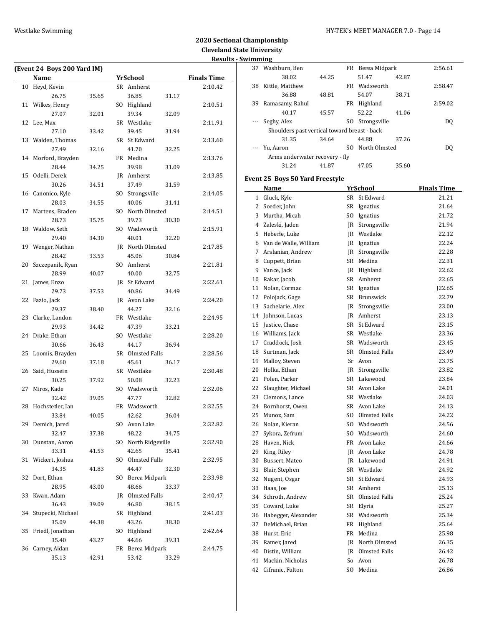$\overline{\phantom{0}}$ 

# **2020 Sectional Championship Cleveland State University Results - Swimming**

|    | (Event 24 Boys 200 Yard IM) |       |                               |                    |
|----|-----------------------------|-------|-------------------------------|--------------------|
|    | Name                        |       | <b>YrSchool</b>               | <b>Finals Time</b> |
| 10 | Heyd, Kevin                 |       | SR Amherst                    | 2:10.42            |
|    | 26.75                       | 35.65 | 36.85<br>31.17                |                    |
| 11 | Wilkes, Henry               |       | SO Highland                   | 2:10.51            |
|    | 27.07                       | 32.01 | 39.34<br>32.09                |                    |
| 12 | Lee, Max                    |       | SR Westlake                   | 2:11.91            |
|    | 27.10                       | 33.42 | 39.45<br>31.94                |                    |
| 13 | Walden, Thomas              |       | SR St Edward                  | 2:13.60            |
|    | 27.49                       | 32.16 | 41.70<br>32.25                |                    |
| 14 | Morford, Brayden            |       | FR Medina                     | 2:13.76            |
|    | 28.44                       | 34.25 | 39.98<br>31.09                |                    |
| 15 | Odelli, Derek               |       | JR Amherst                    | 2:13.85            |
|    | 30.26                       | 34.51 | 37.49<br>31.59                |                    |
| 16 | Canonico, Kyle              |       | SO Strongsville               | 2:14.05            |
|    | 28.03                       | 34.55 | 40.06<br>31.41                |                    |
| 17 | Martens, Braden             |       | SO North Olmsted              | 2:14.51            |
|    | 28.73                       | 35.75 | 39.73<br>30.30                |                    |
| 18 | Waldow, Seth                |       | SO Wadsworth                  | 2:15.91            |
|    | 29.40                       | 34.30 | 40.01<br>32.20                |                    |
| 19 | Wenger, Nathan              |       | JR North Olmsted              | 2:17.85            |
|    | 28.42                       | 33.53 | 45.06<br>30.84                |                    |
| 20 | Szczepanik, Ryan            |       | SO Amherst                    | 2:21.81            |
|    | 28.99                       | 40.07 | 40.00<br>32.75                |                    |
| 21 | James, Enzo                 |       | IR St Edward                  | 2:22.61            |
|    | 29.73                       | 37.53 | 40.86<br>34.49                |                    |
| 22 | Fazio, Jack                 |       | JR Avon Lake                  | 2:24.20            |
|    | 29.37                       | 38.40 | 44.27<br>32.16                |                    |
| 23 | Clarke, Landon              |       | FR Westlake                   | 2:24.95            |
|    | 29.93                       | 34.42 | 47.39<br>33.21                |                    |
| 24 | Drake, Ethan                |       | SO Westlake                   | 2:28.20            |
|    | 30.66                       | 36.43 | 44.17<br>36.94                |                    |
| 25 | Loomis, Brayden             |       | SR Olmsted Falls              | 2:28.56            |
|    | 29.60                       | 37.18 | 45.61<br>36.17                |                    |
| 26 | Said, Hussein               |       | SR Westlake                   | 2:30.48            |
|    | 30.25                       | 37.92 | 50.08<br>32.23                |                    |
| 27 | Miros, Kade                 |       | SO Wadsworth                  | 2:32.06            |
|    | 32.42                       | 39.05 | 47.77<br>32.82                |                    |
| 28 | Hochstetler, Ian            |       | FR Wadsworth                  | 2:32.55            |
|    | 33.84                       | 40.05 | 42.62<br>36.04                |                    |
| 29 | Demich, Jared               |       | SO Avon Lake                  | 2:32.82            |
|    | 32.47                       | 37.38 | 48.22<br>34.75                |                    |
| 30 | Dunstan, Aaron              |       | SO North Ridgeville           | 2:32.90            |
|    | 33.31                       | 41.53 | 42.65<br>35.41                |                    |
| 31 | Wickert, Joshua             |       | SO Olmsted Falls              | 2:32.95            |
|    | 34.35                       | 41.83 | 44.47<br>32.30                |                    |
| 32 | Dort, Ethan                 |       | SO Berea Midpark              | 2:33.98            |
|    | 28.95                       | 43.00 | 48.66                         |                    |
| 33 | Kwan, Adam                  |       | 33.37<br>JR Olmsted Falls     | 2:40.47            |
|    |                             |       |                               |                    |
| 34 | 36.43<br>Stupecki, Michael  | 39.09 | 46.80<br>38.15<br>SR Highland | 2:41.03            |
|    | 35.09                       |       | 43.26                         |                    |
| 35 | Friedl, Jonathan            | 44.38 | 38.30<br>SO Highland          | 2:42.64            |
|    | 35.40                       |       | 44.66                         |                    |
| 36 |                             | 43.27 | 39.31                         |                    |
|    | Carney, Aidan<br>35.13      |       | FR Berea Midpark<br>53.42     | 2:44.75            |
|    |                             | 42.91 | 33.29                         |                    |

| 37             | Washburn, Ben                                |       |     | FR Berea Midpark             |       | 2:56.61            |
|----------------|----------------------------------------------|-------|-----|------------------------------|-------|--------------------|
|                | 38.02                                        | 44.25 |     | 51.47                        | 42.87 |                    |
| 38             | Kittle, Matthew                              |       |     | FR Wadsworth                 |       | 2:58.47            |
|                | 36.88                                        | 48.81 |     | 54.07                        | 38.71 |                    |
| 39             | Ramasamy, Rahul                              |       |     | FR Highland                  |       | 2:59.02            |
|                | 40.17                                        | 45.57 |     | 52.22                        | 41.06 |                    |
|                | Seghy, Alex                                  |       | SO  | Strongsville                 |       | DQ                 |
|                | Shoulders past vertical toward breast - back |       |     |                              |       |                    |
|                | 31.35                                        | 34.64 |     | 44.88                        | 37.26 |                    |
|                | Yu, Aaron                                    |       | SO. | North Olmsted                |       | DQ                 |
|                | Arms underwater recovery - fly               |       |     |                              |       |                    |
|                | 31.24                                        | 41.87 |     | 47.05                        | 35.60 |                    |
|                |                                              |       |     |                              |       |                    |
|                | <b>Event 25 Boys 50 Yard Freestyle</b>       |       |     |                              |       |                    |
|                | Name                                         |       |     | YrSchool                     |       | <b>Finals Time</b> |
| $\mathbf{1}$   | Gluck, Kyle                                  |       |     | SR St Edward                 |       | 21.21              |
| $\overline{2}$ | Soeder, John                                 |       |     | SR Ignatius                  |       | 21.64              |
| 3              | Murtha, Micah                                |       |     | SO Ignatius                  |       | 21.72              |
| 4              | Zaleski, Jaden                               |       |     | JR Strongsville              |       | 21.94              |
| 5              | Heberle, Luke                                |       |     | JR Westlake                  |       | 22.12              |
| 6              | Van de Walle, William                        |       |     | JR Ignatius                  |       | 22.24              |
| 7              | Arslanian, Andrew                            |       |     | <b>IR</b> Strongsville       |       | 22.28              |
| 8              | Cuppett, Brian                               |       |     | SR Medina                    |       | 22.31              |
| 9              | Vance, Jack                                  |       |     | JR Highland                  |       | 22.62              |
| 10             | Rakar, Jacob                                 |       |     | SR Amherst                   |       | 22.65              |
| 11             | Nolan, Cormac                                |       |     | SR Ignatius                  |       | J22.65             |
| 12             | Polojack, Gage                               |       |     | SR Brunswick                 |       | 22.79              |
| 13             | Sachelarie, Alex                             |       |     | JR Strongsville              |       | 23.00              |
| 14             | Johnson, Lucas                               |       |     | JR Amherst                   |       | 23.13              |
| 15             | Justice, Chase                               |       |     | SR St Edward                 |       | 23.15              |
| 16             | Williams, Jack                               |       |     | SR Westlake                  |       | 23.36              |
| 17             | Craddock, Josh                               |       |     | SR Wadsworth                 |       | 23.45              |
| 18             | Surtman, Jack                                |       |     | SR Olmsted Falls             |       | 23.49              |
| 19             | Malloy, Steven                               |       |     | Sr Avon                      |       | 23.75              |
| 20             | Holka, Ethan                                 |       |     | <b>IR</b> Strongsville       |       | 23.82              |
| 21             | Polen, Parker                                |       |     | SR Lakewood                  |       | 23.84              |
| 22             | Slaughter, Michael                           |       |     | SR Avon Lake                 |       | 24.01              |
| 23             | Clemons, Lance                               |       |     | SR Westlake                  |       | 24.03              |
| 24             | Bornhorst, Owen                              |       |     | SR Avon Lake                 |       | 24.13              |
|                |                                              |       | SO. |                              |       |                    |
| 25             | Munoz, Sam                                   |       |     | Olmsted Falls                |       | 24.22              |
| 26<br>27       | Nolan, Kieran                                |       |     | SO Wadsworth<br>SO Wadsworth |       | 24.56              |
|                | Sykora, Zefrum                               |       |     |                              |       | 24.60              |
| 28             | Haven, Nick                                  |       |     | FR Avon Lake                 |       | 24.66              |
| 29             | King, Riley                                  |       |     | JR Avon Lake                 |       | 24.78              |
| 30             | Bussert, Mateo                               |       |     | JR Lakewood                  |       | 24.91              |
| 31             | Blair, Stephen                               |       |     | SR Westlake                  |       | 24.92              |
| 32             | Nugent, Osgar                                |       |     | SR St Edward                 |       | 24.93              |
| 33             | Haas, Joe                                    |       |     | SR Amherst                   |       | 25.13              |
| 34             | Schroth, Andrew                              |       |     | SR Olmsted Falls             |       | 25.24              |
| 35             | Coward, Luke                                 |       | SR  | Elyria                       |       | 25.27              |
| 36             | Habegger, Alexander                          |       |     | SR Wadsworth                 |       | 25.34              |
| 37             | DeMichael, Brian                             |       | FR  | Highland                     |       | 25.64              |
| 38             | Hurst, Eric                                  |       | FR  | Medina                       |       | 25.98              |
| 39             | Ramer, Jared                                 |       |     | JR North Olmsted             |       | 26.35              |
| 40             | Distin, William                              |       |     | <b>IR</b> Olmsted Falls      |       | 26.42              |
| 41             | Mackin, Nicholas                             |       |     | So Avon                      |       | 26.78              |
| 42             | Cifranic, Fulton                             |       |     | SO Medina                    |       | 26.86              |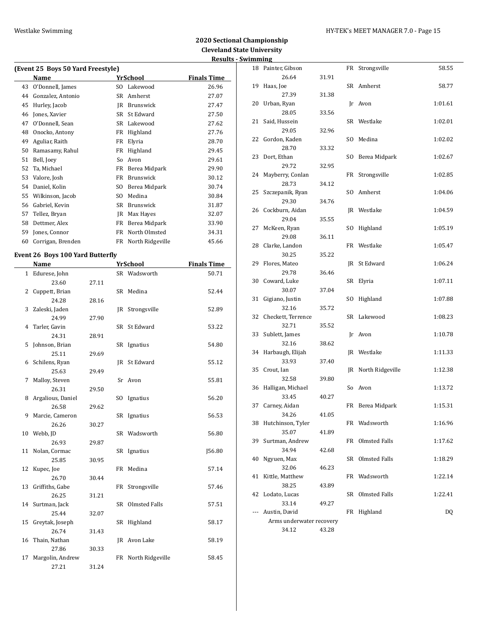|    | (Event 25 Boys 50 Yard Freestyle) |     |                  |                    |  |  |  |  |  |  |  |
|----|-----------------------------------|-----|------------------|--------------------|--|--|--|--|--|--|--|
|    | Name                              |     | YrSchool         | <b>Finals Time</b> |  |  |  |  |  |  |  |
| 43 | O'Donnell, James                  | SO. | Lakewood         | 26.96              |  |  |  |  |  |  |  |
| 44 | Gonzalez, Antonio                 | SR  | Amherst          | 27.07              |  |  |  |  |  |  |  |
| 45 | Hurley, Jacob                     | IR  | Brunswick        | 27.47              |  |  |  |  |  |  |  |
| 46 | Jones, Xavier                     | SR  | St Edward        | 27.50              |  |  |  |  |  |  |  |
| 47 | O'Donnell, Sean                   | SR  | Lakewood         | 27.62              |  |  |  |  |  |  |  |
| 48 | Onocko, Antony                    | FR  | Highland         | 27.76              |  |  |  |  |  |  |  |
| 49 | Aguliar, Raith                    | FR  | Elyria           | 28.70              |  |  |  |  |  |  |  |
| 50 | Ramasamy, Rahul                   | FR  | Highland         | 29.45              |  |  |  |  |  |  |  |
| 51 | Bell, Joev                        | So  | Avon             | 29.61              |  |  |  |  |  |  |  |
| 52 | Ta, Michael                       | FR  | Berea Midpark    | 29.90              |  |  |  |  |  |  |  |
| 53 | Valore, Josh                      | FR  | <b>Brunswick</b> | 30.12              |  |  |  |  |  |  |  |
| 54 | Daniel, Kolin                     | SO. | Berea Midpark    | 30.74              |  |  |  |  |  |  |  |
| 55 | Wilkinson, Jacob                  | SO. | Medina           | 30.84              |  |  |  |  |  |  |  |
| 56 | Gabriel, Kevin                    | SR  | <b>Brunswick</b> | 31.87              |  |  |  |  |  |  |  |
| 57 | Tellez, Bryan                     | IR  | Max Hayes        | 32.07              |  |  |  |  |  |  |  |
| 58 | Dettmer, Alex                     | FR  | Berea Midpark    | 33.90              |  |  |  |  |  |  |  |
| 59 | Jones, Connor                     | FR  | North Olmsted    | 34.31              |  |  |  |  |  |  |  |
| 60 | Corrigan, Brenden                 | FR  | North Ridgeville | 45.66              |  |  |  |  |  |  |  |

### **Event 26 Boys 100 Yard Butterfly**

|    | Name              |       |    | <b>YrSchool</b>     | <b>Finals Time</b> |
|----|-------------------|-------|----|---------------------|--------------------|
|    | 1 Edurese, John   |       |    | SR Wadsworth        | 50.71              |
|    | 23.60             | 27.11 |    |                     |                    |
| 2  | Cuppett, Brian    |       |    | SR Medina           | 52.44              |
|    | 24.28             | 28.16 |    |                     |                    |
| 3  | Zaleski, Jaden    |       | IR | Strongsville        | 52.89              |
|    | 24.99             | 27.90 |    |                     |                    |
| 4  | Tarler, Gavin     |       |    | SR St Edward        | 53.22              |
|    | 24.31             | 28.91 |    |                     |                    |
| 5  | Johnson, Brian    |       |    | SR Ignatius         | 54.80              |
|    | 25.11             | 29.69 |    |                     |                    |
|    | 6 Schilens, Ryan  |       |    | IR St Edward        | 55.12              |
|    | 25.63             | 29.49 |    |                     |                    |
| 7  | Malloy, Steven    |       |    | Sr Avon             | 55.81              |
|    | 26.31             | 29.50 |    |                     |                    |
| 8  | Argalious, Daniel |       |    | SO Ignatius         | 56.20              |
|    | 26.58             | 29.62 |    |                     |                    |
| 9  | Marcie, Cameron   |       |    | SR Ignatius         | 56.53              |
|    | 26.26             | 30.27 |    |                     |                    |
| 10 | Webb, JD          |       |    | SR Wadsworth        | 56.80              |
|    | 26.93             | 29.87 |    |                     |                    |
| 11 | Nolan, Cormac     |       |    | SR Ignatius         | <b>J56.80</b>      |
|    | 25.85             | 30.95 |    |                     |                    |
| 12 | Kupec, Joe        |       |    | FR Medina           | 57.14              |
|    | 26.70             | 30.44 |    |                     |                    |
| 13 | Griffiths, Gabe   |       | FR | Strongsville        | 57.46              |
|    | 26.25             | 31.21 |    |                     |                    |
|    | 14 Surtman, Jack  |       |    | SR Olmsted Falls    | 57.51              |
|    | 25.44             | 32.07 |    |                     |                    |
| 15 | Greytak, Joseph   |       |    | SR Highland         | 58.17              |
|    | 26.74             | 31.43 |    |                     |                    |
| 16 | Thain, Nathan     |       |    | JR Avon Lake        | 58.19              |
|    | 27.86             | 30.33 |    |                     |                    |
| 17 | Margolin, Andrew  |       |    | FR North Ridgeville | 58.45              |
|    | 27.21             | 31.24 |    |                     |                    |

|       | mmıng                    |       |     |                      |         |
|-------|--------------------------|-------|-----|----------------------|---------|
|       | 18 Painter, Gibson       |       |     | FR Strongsville      | 58.55   |
|       | 26.64                    | 31.91 |     |                      |         |
| 19    | Haas, Joe                |       |     | SR Amherst           | 58.77   |
|       | 27.39                    | 31.38 |     |                      |         |
| 20    | Urban, Ryan              |       |     | Ir Avon              | 1:01.61 |
|       | 28.05                    | 33.56 |     |                      |         |
| 21    | Said, Hussein            |       |     | SR Westlake          | 1:02.01 |
|       | 29.05                    | 32.96 |     |                      |         |
| 22    | Gordon, Kaden            |       |     | SO Medina            | 1:02.02 |
|       | 28.70                    | 33.32 |     |                      |         |
| 23    | Dort, Ethan              |       |     | SO Berea Midpark     | 1:02.67 |
|       | 29.72                    | 32.95 |     |                      |         |
| 24    | Mayberry, Conlan         |       |     | FR Strongsville      | 1:02.85 |
|       | 28.73                    | 34.12 |     | SO Amherst           |         |
| 25    | Szczepanik, Ryan         |       |     |                      | 1:04.06 |
| 26    | 29.30                    | 34.76 |     |                      |         |
|       | Cockburn, Aidan          |       |     | JR Westlake          | 1:04.59 |
| 27    | 29.04                    | 35.55 |     |                      |         |
|       | McKeen, Ryan<br>29.08    | 36.11 | SO. | Highland             | 1:05.19 |
| 28    | Clarke, Landon           |       |     | FR Westlake          | 1:05.47 |
|       |                          |       |     |                      |         |
| 29    | 30.25<br>Flores, Mateo   | 35.22 |     | St Edward            | 1:06.24 |
|       | 29.78                    | 36.46 | JR. |                      |         |
| 30    | Coward, Luke             |       | SR  | Elyria               | 1:07.11 |
|       | 30.07                    | 37.04 |     |                      |         |
| 31    | Gigiano, Justin          |       | SO  | Highland             | 1:07.88 |
|       | 32.16                    | 35.72 |     |                      |         |
| 32    | Checkett, Terrence       |       |     | SR Lakewood          | 1:08.23 |
|       | 32.71                    | 35.52 |     |                      |         |
| 33    | Sublett, James           |       |     | Jr Avon              | 1:10.78 |
|       | 32.16                    | 38.62 |     |                      |         |
| 34    | Harbaugh, Elijah         |       |     | JR Westlake          | 1:11.33 |
|       | 33.93                    | 37.40 |     |                      |         |
| 35    | Crout, Ian               |       |     | JR North Ridgeville  | 1:12.38 |
|       | 32.58                    | 39.80 |     |                      |         |
| 36    | Halligan, Michael        |       |     | So Avon              | 1:13.72 |
|       | 33.45                    | 40.27 |     |                      |         |
|       | 37 Carney, Aidan         |       |     | FR Berea Midpark     | 1:15.31 |
|       | 34.26                    | 41.05 |     |                      |         |
| 38    | Hutchinson, Tyler        |       |     | FR Wadsworth         | 1:16.96 |
|       | 35.07                    | 41.89 |     |                      |         |
| 39    | Surtman, Andrew          |       | FR  | Olmsted Falls        | 1:17.62 |
|       | 34.94                    | 42.68 |     |                      |         |
| 40    | Ngyuen, Max              |       | SR  | <b>Olmsted Falls</b> | 1:18.29 |
|       | 32.06                    | 46.23 |     |                      |         |
| 41    | Kittle, Matthew          |       |     | FR Wadsworth         | 1:22.14 |
|       | 38.25                    | 43.89 |     |                      |         |
| 42    | Lodato, Lucas            |       | SR  | Olmsted Falls        | 1:22.41 |
|       | 33.14                    | 49.27 |     |                      |         |
| $---$ | Austin, David            |       |     | FR Highland          | DQ      |
|       | Arms underwater recovery |       |     |                      |         |
|       | 34.12                    | 43.28 |     |                      |         |
|       |                          |       |     |                      |         |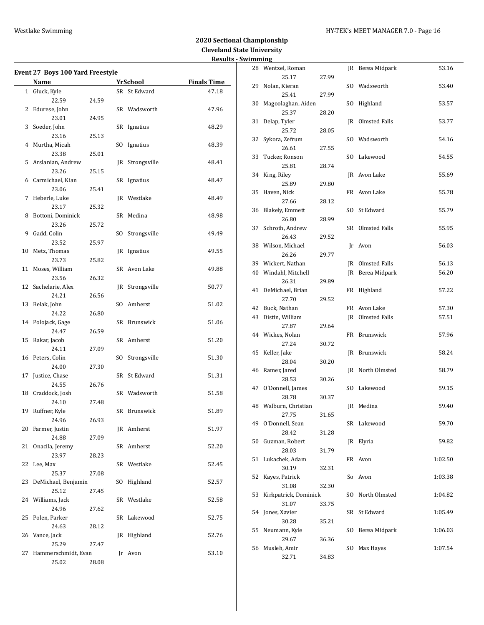### Westlake Swimming **HY-TEK's MEET MANAGER 7.0** - Page 16

|    | <b>Event 27 Boys 100 Yard Freestyle</b> |       |    |                 |                    |
|----|-----------------------------------------|-------|----|-----------------|--------------------|
|    | Name                                    |       |    | <b>YrSchool</b> | <b>Finals Time</b> |
|    | 1 Gluck, Kyle                           |       |    | SR St Edward    | 47.18              |
|    | 22.59                                   | 24.59 |    |                 |                    |
| 2  | Edurese, John                           |       |    | SR Wadsworth    | 47.96              |
|    | 23.01                                   | 24.95 |    |                 |                    |
| 3  | Soeder, John                            |       |    | SR Ignatius     | 48.29              |
|    | 23.16                                   | 25.13 |    |                 |                    |
| 4  | Murtha, Micah                           |       |    | SO Ignatius     | 48.39              |
|    | 23.38                                   | 25.01 |    |                 |                    |
| 5  | Arslanian, Andrew                       |       | JR | Strongsville    | 48.41              |
|    | 23.26                                   | 25.15 |    |                 |                    |
| 6  | Carmichael, Kian                        |       |    | SR Ignatius     | 48.47              |
|    | 23.06                                   | 25.41 |    |                 |                    |
| 7  | Heberle, Luke                           |       |    | JR Westlake     | 48.49              |
|    | 23.17                                   | 25.32 |    |                 |                    |
| 8  | Bottoni, Dominick                       |       |    | SR Medina       | 48.98              |
|    | 23.26                                   | 25.72 |    |                 |                    |
| 9  | Gadd, Colin                             |       | SO | Strongsville    | 49.49              |
|    | 23.52                                   | 25.97 |    |                 |                    |
| 10 | Metz, Thomas                            |       |    | JR Ignatius     | 49.55              |
|    | 23.73                                   | 25.82 |    |                 |                    |
| 11 | Moses, William                          |       |    | SR Avon Lake    | 49.88              |
|    | 23.56                                   | 26.32 |    |                 |                    |
|    | 12 Sachelarie, Alex                     |       |    | JR Strongsville |                    |
|    |                                         |       |    |                 | 50.77              |
|    | 24.21                                   | 26.56 |    |                 |                    |
| 13 | Belak, John                             |       |    | SO Amherst      | 51.02              |
|    | 24.22                                   | 26.80 |    |                 |                    |
|    | 14 Polojack, Gage                       |       |    | SR Brunswick    | 51.06              |
|    | 24.47                                   | 26.59 |    |                 |                    |
| 15 | Rakar, Jacob                            |       |    | SR Amherst      | 51.20              |
|    | 24.11                                   | 27.09 |    |                 |                    |
| 16 | Peters, Colin                           |       |    | SO Strongsville | 51.30              |
|    | 24.00                                   | 27.30 |    |                 |                    |
| 17 | Justice, Chase                          |       |    | SR St Edward    | 51.31              |
|    | 24.55                                   | 26.76 |    |                 |                    |
| 18 | Craddock, Josh                          |       |    | SR Wadsworth    | 51.58              |
|    | 24.10                                   | 27.48 |    |                 |                    |
| 19 | Ruffner, Kyle                           |       |    | SR Brunswick    | 51.89              |
|    | 24.96                                   | 26.93 |    |                 |                    |
| 20 | Farmer, Justin                          |       |    | JR Amherst      | 51.97              |
|    | 24.88                                   | 27.09 |    |                 |                    |
| 21 | Onacila, Jeremy                         |       |    | SR Amherst      | 52.20              |
|    | 23.97                                   | 28.23 |    |                 |                    |
| 22 | Lee, Max                                |       |    | SR Westlake     | 52.45              |
|    | 25.37                                   | 27.08 |    |                 |                    |
| 23 | DeMichael, Benjamin                     |       |    | SO Highland     | 52.57              |
|    | 25.12                                   | 27.45 |    |                 |                    |
|    | 24 Williams, Jack                       |       |    | SR Westlake     | 52.58              |
|    | 24.96                                   | 27.62 |    |                 |                    |
| 25 | Polen, Parker                           |       |    | SR Lakewood     | 52.75              |
|    | 24.63                                   | 28.12 |    |                 |                    |
| 26 | Vance, Jack                             |       |    | JR Highland     | 52.76              |
|    | 25.29                                   | 27.47 |    |                 |                    |
| 27 | Hammerschmidt, Evan                     |       |    | Jr Avon         | 53.10              |
|    |                                         |       |    |                 |                    |
|    | 25.02                                   | 28.08 |    |                 |                    |

|    | шшшқ                   |       |     |                         |         |
|----|------------------------|-------|-----|-------------------------|---------|
|    | 28 Wentzel, Roman      |       |     | JR Berea Midpark        | 53.16   |
|    | 25.17                  | 27.99 |     |                         |         |
| 29 | Nolan, Kieran          |       |     | SO Wadsworth            | 53.40   |
|    | 25.41                  | 27.99 |     |                         |         |
| 30 | Magoolaghan, Aiden     |       | SO. | Highland                | 53.57   |
|    | 25.37                  | 28.20 |     |                         |         |
| 31 | Delap, Tyler           |       | JR  | Olmsted Falls           | 53.77   |
|    | 25.72                  | 28.05 |     |                         |         |
| 32 | Sykora, Zefrum         |       | SO  | Wadsworth               | 54.16   |
|    | 26.61                  | 27.55 |     |                         |         |
| 33 | Tucker, Ronson         |       | SO. | Lakewood                | 54.55   |
|    | 25.81                  | 28.74 |     |                         |         |
| 34 | King, Riley            |       |     | JR Avon Lake            | 55.69   |
|    | 25.89                  | 29.80 |     |                         |         |
| 35 | Haven, Nick            |       | FR  | Avon Lake               | 55.78   |
|    | 27.66                  | 28.12 |     |                         |         |
| 36 | <b>Blakely, Emmett</b> |       | SO. | St Edward               | 55.79   |
|    | 26.80                  | 28.99 |     |                         |         |
| 37 | Schroth, Andrew        |       | SR  | Olmsted Falls           | 55.95   |
|    | 26.43                  | 29.52 |     |                         |         |
| 38 | Wilson, Michael        |       | Jr  | Avon                    | 56.03   |
|    | 26.26                  | 29.77 |     |                         |         |
|    | 39 Wickert, Nathan     |       |     | <b>IR</b> Olmsted Falls | 56.13   |
| 40 | Windahl, Mitchell      |       | JR  | Berea Midpark           | 56.20   |
|    | 26.31                  | 29.89 |     |                         |         |
| 41 | DeMichael, Brian       |       | FR  | Highland                | 57.22   |
|    | 27.70                  | 29.52 |     |                         |         |
| 42 | Buck, Nathan           |       |     | FR Avon Lake            | 57.30   |
| 43 | Distin, William        |       | JR  | Olmsted Falls           | 57.51   |
|    | 27.87                  | 29.64 |     |                         |         |
| 44 | Wickes, Nolan          |       | FR  | Brunswick               | 57.96   |
|    | 27.24                  | 30.72 |     |                         |         |
| 45 | Keller, Jake           |       | JR  | Brunswick               | 58.24   |
|    | 28.04                  | 30.20 |     |                         |         |
| 46 | Ramer, Jared           |       | JR  | North Olmsted           | 58.79   |
|    | 28.53                  | 30.26 |     |                         |         |
| 47 | O'Donnell, James       |       | SO. | Lakewood                | 59.15   |
|    | 28.78                  | 30.37 |     |                         |         |
|    | 48 Walburn, Christian  |       |     | JR Medina               | 59.40   |
|    | 27.75                  | 31.65 |     |                         |         |
|    | 49 O'Donnell, Sean     |       |     | SR Lakewood             | 59.70   |
|    | 28.42                  | 31.28 |     |                         |         |
| 50 | Guzman, Robert         |       | JR  | Elyria                  | 59.82   |
|    | 28.03                  | 31.79 |     |                         |         |
| 51 | Lukachek, Adam         |       | FR  | Avon                    | 1:02.50 |
|    | 30.19                  | 32.31 |     |                         |         |
| 52 | Kayes, Patrick         |       | So  | Avon                    | 1:03.38 |
|    | 31.08                  | 32.30 |     |                         |         |
| 53 | Kirkpatrick, Dominick  |       | SO  | North Olmsted           | 1:04.82 |
|    | 31.07                  | 33.75 |     |                         |         |
| 54 | Jones, Xavier          |       | SR  | St Edward               | 1:05.49 |
|    | 30.28                  | 35.21 |     |                         |         |
| 55 | Neumann, Kyle          |       | SO  | Berea Midpark           | 1:06.03 |
|    | 29.67                  | 36.36 |     |                         |         |
| 56 | Musleh, Amir           |       | SO. | Max Hayes               | 1:07.54 |
|    | 32.71                  | 34.83 |     |                         |         |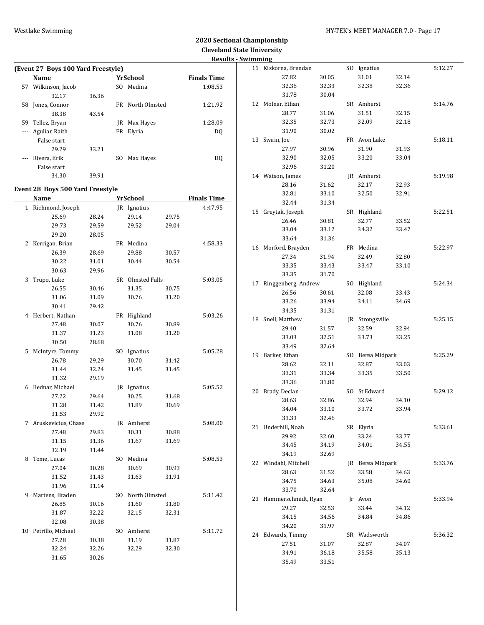# **2020 Sectional Championship Cleveland State University**

|          |                                    |       |                  |       | <b>Results - Swimming</b> |                        |       |                  |       |         |
|----------|------------------------------------|-------|------------------|-------|---------------------------|------------------------|-------|------------------|-------|---------|
|          | (Event 27 Boys 100 Yard Freestyle) |       |                  |       |                           | 11 Kiskorna, Brendan   |       | SO Ignatius      |       | 5:12.27 |
|          | <b>Name</b>                        |       | <b>YrSchool</b>  |       | <b>Finals Time</b>        | 27.82                  | 30.05 | 31.01            | 32.14 |         |
|          | 57 Wilkinson, Jacob                |       | SO Medina        |       | 1:08.53                   | 32.36                  | 32.33 | 32.38            | 32.36 |         |
|          | 32.17                              | 36.36 |                  |       |                           | 31.78                  | 30.04 |                  |       |         |
|          | 58 Jones, Connor                   |       | FR North Olmsted |       | 1:21.92                   | 12 Molnar, Ethan       |       | SR Amherst       |       | 5:14.76 |
|          | 38.38                              | 43.54 |                  |       |                           | 28.77                  | 31.06 | 31.51            | 32.15 |         |
|          | 59 Tellez, Bryan                   |       | JR Max Hayes     |       | 1:28.09                   | 32.35                  | 32.73 | 32.09            | 32.18 |         |
|          | --- Aguliar, Raith                 |       | FR Elyria        |       | <b>DQ</b>                 | 31.90                  | 30.02 |                  |       |         |
|          | False start                        |       |                  |       |                           | 13 Swain, Joe          |       | FR Avon Lake     |       | 5:18.11 |
|          | 29.29                              | 33.21 |                  |       |                           | 27.97                  | 30.96 | 31.90            | 31.93 |         |
| $\cdots$ | Rivera, Erik                       |       | SO Max Hayes     |       | DQ                        | 32.90                  | 32.05 | 33.20            | 33.04 |         |
|          | False start                        |       |                  |       |                           | 32.96                  | 31.20 |                  |       |         |
|          | 34.30                              | 39.91 |                  |       |                           | 14 Watson, James       |       | JR Amherst       |       | 5:19.98 |
|          |                                    |       |                  |       |                           | 28.16                  | 31.62 | 32.17            | 32.93 |         |
|          | Event 28 Boys 500 Yard Freestyle   |       |                  |       |                           | 32.81                  | 33.10 | 32.50            | 32.91 |         |
|          | Name                               |       | <b>YrSchool</b>  |       | <b>Finals Time</b>        | 32.44                  | 31.34 |                  |       |         |
|          | 1 Richmond, Joseph                 |       | JR Ignatius      |       | 4:47.95                   |                        |       |                  |       | 5:22.51 |
|          | 25.69                              | 28.24 | 29.14            | 29.75 |                           | 15 Greytak, Joseph     |       | SR Highland      |       |         |
|          | 29.73                              | 29.59 | 29.52            | 29.04 |                           | 26.46                  | 30.81 | 32.77            | 33.52 |         |
|          | 29.20                              | 28.05 |                  |       |                           | 33.04                  | 33.12 | 34.32            | 33.47 |         |
|          | 2 Kerrigan, Brian                  |       | FR Medina        |       | 4:58.33                   | 33.64                  | 31.36 |                  |       |         |
|          | 26.39                              | 28.69 | 29.88            | 30.57 |                           | 16 Morford, Brayden    |       | FR Medina        |       | 5:22.97 |
|          | 30.22                              | 31.01 | 30.44            | 30.54 |                           | 27.34                  | 31.94 | 32.49            | 32.80 |         |
|          | 30.63                              | 29.96 |                  |       |                           | 33.35                  | 33.43 | 33.47            | 33.10 |         |
|          | 3 Trupo, Luke                      |       | SR Olmsted Falls |       | 5:03.05                   | 33.35                  | 31.70 |                  |       |         |
|          | 26.55                              | 30.46 | 31.35            | 30.75 |                           | 17 Ringgenberg, Andrew |       | SO Highland      |       | 5:24.34 |
|          | 31.06                              | 31.09 | 30.76            | 31.20 |                           | 26.56                  | 30.61 | 32.08            | 33.43 |         |
|          | 30.41                              | 29.42 |                  |       |                           | 33.26                  | 33.94 | 34.11            | 34.69 |         |
|          | 4 Herbert, Nathan                  |       | FR Highland      |       | 5:03.26                   | 34.35                  | 31.31 |                  |       |         |
|          |                                    | 30.07 | 30.76            | 30.89 |                           | 18 Snell, Matthew      |       | JR Strongsville  |       | 5:25.15 |
|          | 27.48<br>31.37                     |       |                  | 31.20 |                           | 29.40                  | 31.57 | 32.59            | 32.94 |         |
|          |                                    | 31.23 | 31.08            |       |                           | 33.03                  | 32.51 | 33.73            | 33.25 |         |
|          | 30.50                              | 28.68 |                  |       |                           | 33.49                  | 32.64 |                  |       |         |
|          | 5 McIntyre, Tommy                  |       | SO Ignatius      |       | 5:05.28                   | 19 Barker, Ethan       |       | SO Berea Midpark |       | 5:25.29 |
|          | 26.78                              | 29.29 | 30.70            | 31.42 |                           | 28.62                  | 32.11 | 32.87            | 33.03 |         |
|          | 31.44                              | 32.24 | 31.45            | 31.45 |                           | 33.31                  | 33.34 | 33.35            | 33.50 |         |
|          | 31.32                              | 29.19 |                  |       |                           | 33.36                  | 31.80 |                  |       |         |
|          | 6 Bednar, Michael                  |       | JR Ignatius      |       | 5:05.52                   | 20 Brady, Declan       |       | SO St Edward     |       | 5:29.12 |
|          | 27.22                              | 29.64 | 30.25            | 31.68 |                           | 28.63                  | 32.86 | 32.94            | 34.10 |         |
|          | 31.28                              | 31.42 | 31.89            | 30.69 |                           | 34.04                  | 33.10 | 33.72            | 33.94 |         |
|          | 31.53                              | 29.92 |                  |       |                           | 33.33                  | 32.46 |                  |       |         |
|          | 7 Aruskevicius, Chase              |       | JR Amherst       |       | 5:08.00                   | 21 Underhill, Noah     |       | SR Elyria        |       | 5:33.61 |
|          | 27.48                              | 29.83 | 30.31            | 30.88 |                           | 29.92                  | 32.60 | 33.24            | 33.77 |         |
|          | 31.15                              | 31.36 | 31.67            | 31.69 |                           | 34.45                  | 34.19 | 34.01            | 34.55 |         |
|          | 32.19                              | 31.44 |                  |       |                           | 34.19                  | 32.69 |                  |       |         |
|          | 8 Tome, Lucas                      |       | SO Medina        |       | 5:08.53                   | 22 Windahl, Mitchell   |       | JR Berea Midpark |       | 5:33.76 |
|          | 27.04                              | 30.28 | 30.69            | 30.93 |                           | 28.63                  | 31.52 | 33.58            | 34.63 |         |
|          | 31.52                              | 31.43 | 31.63            | 31.91 |                           | 34.75                  | 34.63 | 35.08            | 34.60 |         |
|          | 31.96                              | 31.14 |                  |       |                           | 33.70                  | 32.64 |                  |       |         |
|          | 9 Martens, Braden                  |       | SO North Olmsted |       | 5:11.42                   | 23 Hammerschmidt, Ryan |       | Jr Avon          |       | 5:33.94 |
|          | 26.85                              | 30.16 | 31.60            | 31.80 |                           | 29.27                  | 32.53 | 33.44            | 34.12 |         |
|          | 31.87                              | 32.22 | 32.15            | 32.31 |                           |                        |       |                  |       |         |
|          | 32.08                              | 30.38 |                  |       |                           | 34.15                  | 34.56 | 34.84            | 34.86 |         |
|          | 10 Petrillo, Michael               |       | SO Amherst       |       | 5:11.72                   | 34.20                  | 31.97 |                  |       |         |
|          | 27.28                              | 30.38 | 31.19            | 31.87 |                           | 24 Edwards, Timmy      |       | SR Wadsworth     |       | 5:36.32 |
|          | 32.24                              | 32.26 | 32.29            | 32.30 |                           | 27.51                  | 31.07 | 32.87            | 34.07 |         |
|          | 31.65                              | 30.26 |                  |       |                           | 34.91                  | 36.18 | 35.58            | 35.13 |         |
|          |                                    |       |                  |       |                           | 35.49                  | 33.51 |                  |       |         |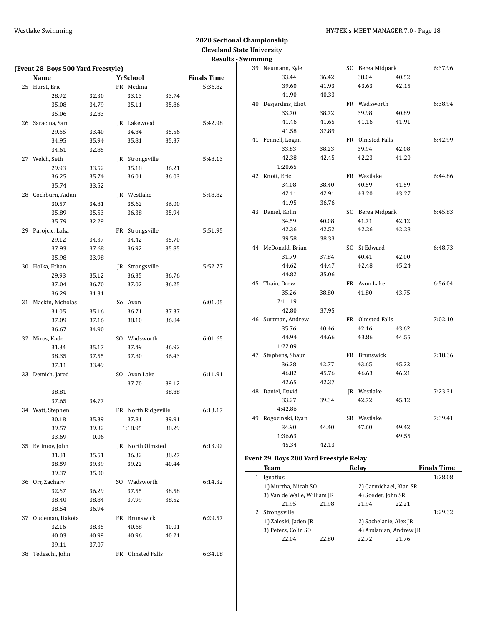|                                    |       |                     |       |                    | <b>Results - Swimming</b> |                                        |       |                        |                         |                    |
|------------------------------------|-------|---------------------|-------|--------------------|---------------------------|----------------------------------------|-------|------------------------|-------------------------|--------------------|
| (Event 28 Boys 500 Yard Freestyle) |       |                     |       |                    |                           | 39 Neumann, Kyle                       |       | SO Berea Midpark       |                         | 6:37.96            |
| Name                               |       | <b>YrSchool</b>     |       | <b>Finals Time</b> |                           | 33.44                                  | 36.42 | 38.04                  | 40.52                   |                    |
| 25 Hurst, Eric                     |       | FR Medina           |       | 5:36.82            |                           | 39.60                                  | 41.93 | 43.63                  | 42.15                   |                    |
| 28.92                              | 32.30 | 33.13               | 33.74 |                    |                           | 41.90                                  | 40.33 |                        |                         |                    |
| 35.08                              | 34.79 | 35.11               | 35.86 |                    |                           | 40 Desjardins, Eliot                   |       | FR Wadsworth           |                         | 6:38.94            |
| 35.06                              | 32.83 |                     |       |                    |                           | 33.70                                  | 38.72 | 39.98                  | 40.89                   |                    |
| 26 Saracina, Sam                   |       | JR Lakewood         |       | 5:42.98            |                           | 41.46                                  | 41.65 | 41.16                  | 41.91                   |                    |
| 29.65                              | 33.40 | 34.84               | 35.56 |                    |                           | 41.58                                  | 37.89 |                        |                         |                    |
| 34.95                              | 35.94 | 35.81               | 35.37 |                    |                           | 41 Fennell, Logan                      |       | FR Olmsted Falls       |                         | 6:42.99            |
| 34.61                              | 32.85 |                     |       |                    |                           | 33.83                                  | 38.23 | 39.94                  | 42.08                   |                    |
| 27 Welch, Seth                     |       | JR Strongsville     |       | 5:48.13            |                           | 42.38                                  | 42.45 | 42.23                  | 41.20                   |                    |
| 29.93                              | 33.52 | 35.18               | 36.21 |                    |                           | 1:20.65                                |       |                        |                         |                    |
| 36.25                              | 35.74 | 36.01               | 36.03 |                    |                           | 42 Knott, Eric                         |       | FR Westlake            |                         | 6:44.86            |
| 35.74                              | 33.52 |                     |       |                    |                           | 34.08                                  | 38.40 | 40.59                  | 41.59                   |                    |
| 28 Cockburn, Aidan                 |       | JR Westlake         |       | 5:48.82            |                           | 42.11                                  | 42.91 | 43.20                  | 43.27                   |                    |
| 30.57                              | 34.81 | 35.62               | 36.00 |                    |                           | 41.95                                  | 36.76 |                        |                         |                    |
| 35.89                              | 35.53 | 36.38               | 35.94 |                    |                           | 43 Daniel, Kolin                       |       | SO Berea Midpark       |                         | 6:45.83            |
| 35.79                              | 32.29 |                     |       |                    |                           | 34.59                                  | 40.08 | 41.71                  | 42.12                   |                    |
| 29 Parojcic, Luka                  |       | FR Strongsville     |       | 5:51.95            |                           | 42.36                                  | 42.52 | 42.26                  | 42.28                   |                    |
|                                    |       |                     | 35.70 |                    |                           | 39.58                                  | 38.33 |                        |                         |                    |
| 29.12                              | 34.37 | 34.42               |       |                    |                           | 44 McDonald, Brian                     |       | SO St Edward           |                         | 6:48.73            |
| 37.93                              | 37.68 | 36.92               | 35.85 |                    |                           | 31.79                                  | 37.84 | 40.41                  | 42.00                   |                    |
| 35.98                              | 33.98 |                     |       |                    |                           | 44.62                                  | 44.47 | 42.48                  | 45.24                   |                    |
| 30 Holka, Ethan                    |       | JR Strongsville     |       | 5:52.77            |                           |                                        |       |                        |                         |                    |
| 29.93                              | 35.12 | 36.35               | 36.76 |                    |                           | 44.82<br>45 Thain, Drew                | 35.06 |                        |                         |                    |
| 37.04                              | 36.70 | 37.02               | 36.25 |                    |                           |                                        |       | FR Avon Lake           |                         | 6:56.04            |
| 36.29                              | 31.31 |                     |       |                    |                           | 35.26                                  | 38.80 | 41.80                  | 43.75                   |                    |
| 31 Mackin, Nicholas                |       | So Avon             |       | 6:01.05            |                           | 2:11.19                                |       |                        |                         |                    |
| 31.05                              | 35.16 | 36.71               | 37.37 |                    |                           | 42.80                                  | 37.95 |                        |                         |                    |
| 37.09                              | 37.16 | 38.10               | 36.84 |                    |                           | 46 Surtman, Andrew                     |       | FR Olmsted Falls       |                         | 7:02.10            |
| 36.67                              | 34.90 |                     |       |                    |                           | 35.76                                  | 40.46 | 42.16                  | 43.62                   |                    |
| 32 Miros, Kade                     |       | SO Wadsworth        |       | 6:01.65            |                           | 44.94                                  | 44.66 | 43.86                  | 44.55                   |                    |
| 31.34                              | 35.17 | 37.49               | 36.92 |                    |                           | 1:22.09                                |       |                        |                         |                    |
| 38.35                              | 37.55 | 37.80               | 36.43 |                    |                           | 47 Stephens, Shaun                     |       | FR Brunswick           |                         | 7:18.36            |
| 37.11                              | 33.49 |                     |       |                    |                           | 36.28                                  | 42.77 | 43.65                  | 45.22                   |                    |
| 33 Demich, Jared                   |       | SO Avon Lake        |       | 6:11.91            |                           | 46.82                                  | 45.76 | 46.63                  | 46.21                   |                    |
|                                    |       | 37.70               | 39.12 |                    |                           | 42.65                                  | 42.37 |                        |                         |                    |
| 38.81                              |       |                     | 38.88 |                    |                           | 48 Daniel, David                       |       | JR Westlake            |                         | 7:23.31            |
| 37.65                              | 34.77 |                     |       |                    |                           | 33.27                                  | 39.34 | 42.72                  | 45.12                   |                    |
| 34 Watt, Stephen                   |       | FR North Ridgeville |       | 6:13.17            |                           | 4:42.86                                |       |                        |                         |                    |
| 30.18                              | 35.39 | 37.81               | 39.91 |                    |                           | 49 Rogozinski, Ryan                    |       | SR Westlake            |                         | 7:39.41            |
| 39.57                              | 39.32 | 1:18.95             | 38.29 |                    |                           | 34.90                                  | 44.40 | 47.60                  | 49.42                   |                    |
| 33.69                              | 0.06  |                     |       |                    |                           | 1:36.63                                |       |                        | 49.55                   |                    |
| 35 Evtimov, John                   |       | JR North Olmsted    |       | 6:13.92            |                           | 45.34                                  | 42.13 |                        |                         |                    |
| 31.81                              | 35.51 | 36.32               | 38.27 |                    |                           | Event 29 Boys 200 Yard Freestyle Relay |       |                        |                         |                    |
| 38.59                              | 39.39 | 39.22               | 40.44 |                    |                           |                                        |       |                        |                         |                    |
| 39.37                              | 35.00 |                     |       |                    |                           | <b>Team</b>                            |       | Relay                  |                         | <b>Finals Time</b> |
| 36 Orr, Zachary                    |       | SO Wadsworth        |       | 6:14.32            |                           | 1 Ignatius                             |       |                        |                         | 1:28.08            |
| 32.67                              | 36.29 | 37.55               | 38.58 |                    |                           | 1) Murtha, Micah SO                    |       |                        | 2) Carmichael, Kian SR  |                    |
| 38.40                              | 38.84 | 37.99               | 38.52 |                    |                           | 3) Van de Walle, William JR            |       | 4) Soeder, John SR     |                         |                    |
| 38.54                              | 36.94 |                     |       |                    |                           | 21.95                                  | 21.98 | 21.94                  | 22.21                   |                    |
| 37 Oudeman, Dakota                 |       | FR Brunswick        |       | 6:29.57            |                           | 2 Strongsville                         |       |                        |                         | 1:29.32            |
| 32.16                              | 38.35 | 40.68               | 40.01 |                    |                           | 1) Zaleski, Jaden JR                   |       | 2) Sachelarie, Alex JR |                         |                    |
| 40.03                              | 40.99 | 40.96               | 40.21 |                    |                           | 3) Peters, Colin SO                    |       |                        | 4) Arslanian, Andrew JR |                    |
| 39.11                              | 37.07 |                     |       |                    |                           | 22.04                                  | 22.80 | 22.72                  | 21.76                   |                    |
| 38 Tedeschi, John                  |       | FR Olmsted Falls    |       | 6:34.18            |                           |                                        |       |                        |                         |                    |
|                                    |       |                     |       |                    |                           |                                        |       |                        |                         |                    |
|                                    |       |                     |       |                    |                           |                                        |       |                        |                         |                    |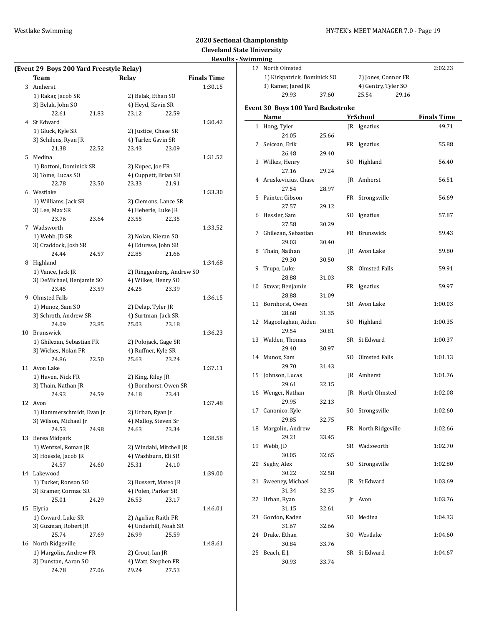### Westlake Swimming **Manufather 19 and 19 and 19 and 19 and 19 and 19 and 19 and 19 and 19 and 19 and 19 and 19 and 19 and 19 and 19 and 19 and 19 and 19 and 19 and 19 and 19 and 19 and 19 and 19 and 19 and 19 and 19 and 19**

|    | (Event 29 Boys 200 Yard Freestyle Relay) |       |                                |       |                    |
|----|------------------------------------------|-------|--------------------------------|-------|--------------------|
|    | Team                                     |       | Relay                          |       | <b>Finals Time</b> |
|    | 3 Amherst                                |       |                                |       | 1:30.15            |
|    | 1) Rakar, Jacob SR                       |       | 2) Belak, Ethan SO             |       |                    |
|    | 3) Belak, John SO                        |       | 4) Heyd, Kevin SR              |       |                    |
|    | 22.61                                    | 21.83 | 23.12                          | 22.59 |                    |
| 4  | St Edward                                |       |                                |       | 1:30.42            |
|    | 1) Gluck, Kyle SR                        |       | 2) Justice, Chase SR           |       |                    |
|    | 3) Schilens, Ryan JR                     |       | 4) Tarler, Gavin SR            |       |                    |
|    | 21.38                                    | 22.52 | 23.43                          | 23.09 |                    |
| 5  | Medina                                   |       |                                |       | 1:31.52            |
|    | 1) Bottoni, Dominick SR                  |       | 2) Kupec, Joe FR               |       |                    |
|    | 3) Tome, Lucas SO                        |       | 4) Cuppett, Brian SR           |       |                    |
|    | 22.78                                    | 23.50 | 23.33                          | 21.91 |                    |
|    | 6 Westlake                               |       |                                |       | 1:33.30            |
|    | 1) Williams, Jack SR                     |       | 2) Clemons, Lance SR           |       |                    |
|    | 3) Lee, Max SR                           |       | 4) Heberle, Luke JR            |       |                    |
|    | 23.76                                    | 23.64 | 23.55                          | 22.35 |                    |
|    | 7 Wadsworth                              |       |                                |       | 1:33.52            |
|    | 1) Webb, JD SR                           |       | 2) Nolan, Kieran SO            |       |                    |
|    | 3) Craddock, Josh SR                     |       | 4) Edurese, John SR            |       |                    |
|    | 24.44                                    | 24.57 | 22.85                          | 21.66 |                    |
|    | 8 Highland                               |       |                                |       | 1:34.68            |
|    | 1) Vance, Jack JR                        |       | 2) Ringgenberg, Andrew SO      |       |                    |
|    | 3) DeMichael, Benjamin SO                |       | 4) Wilkes, Henry SO            |       |                    |
|    | 23.45                                    | 23.59 | 24.25                          | 23.39 |                    |
| 9  | Olmsted Falls                            |       |                                |       | 1:36.15            |
|    | 1) Munoz, Sam SO                         |       | 2) Delap, Tyler JR             |       |                    |
|    | 3) Schroth, Andrew SR                    |       | 4) Surtman, Jack SR            |       |                    |
|    | 24.09                                    | 23.85 | 25.03                          | 23.18 |                    |
|    | 10 Brunswick                             |       |                                |       | 1:36.23            |
|    | 1) Ghilezan, Sebastian FR                |       | 2) Polojack, Gage SR           |       |                    |
|    | 3) Wickes, Nolan FR                      |       | 4) Ruffner, Kyle SR            |       |                    |
|    | 24.86                                    | 22.50 | 25.63                          | 23.24 |                    |
| 11 | Avon Lake                                |       |                                |       | 1:37.11            |
|    | 1) Haven, Nick FR                        |       | 2) King, Riley JR              |       |                    |
|    | 3) Thain, Nathan JR<br>24.93             | 24.59 | 4) Bornhorst, Owen SR<br>24.18 | 23.41 |                    |
| 12 | Avon                                     |       |                                |       | 1:37.48            |
|    | 1) Hammerschmidt, Evan Jr                |       | 2) Urban, Ryan Jr              |       |                    |
|    | 3) Wilson, Michael Jr                    |       | 4) Malloy, Steven Sr           |       |                    |
|    | 24.53                                    | 24.98 | 24.63                          | 23.34 |                    |
| 13 | Berea Midpark                            |       |                                |       | 1:38.58            |
|    | 1) Wentzel, Roman JR                     |       | 2) Windahl, Mitchell JR        |       |                    |
|    | 3) Hoessle, Jacob JR                     |       | 4) Washburn, Eli SR            |       |                    |
|    | 24.57                                    | 24.60 | 25.31                          | 24.10 |                    |
|    | 14 Lakewood                              |       |                                |       | 1:39.00            |
|    | 1) Tucker, Ronson SO                     |       | 2) Bussert, Mateo JR           |       |                    |
|    | 3) Kramer, Cormac SR                     |       | 4) Polen, Parker SR            |       |                    |
|    | 25.01                                    | 24.29 | 26.53                          | 23.17 |                    |
| 15 | Elyria                                   |       |                                |       | 1:46.01            |
|    | 1) Coward, Luke SR                       |       | 2) Aguliar, Raith FR           |       |                    |
|    | 3) Guzman, Robert JR                     |       | 4) Underhill, Noah SR          |       |                    |
|    | 25.74                                    | 27.69 | 26.99                          | 25.59 |                    |
| 16 | North Ridgeville                         |       |                                |       | 1:48.61            |
|    | 1) Margolin, Andrew FR                   |       | 2) Crout, Ian JR               |       |                    |
|    | 3) Dunstan, Aaron SO                     |       | 4) Watt, Stephen FR            |       |                    |
|    | 24.78                                    | 27.06 | 29.24                          | 27.53 |                    |
|    |                                          |       |                                |       |                    |

| www.         |                                   |       |     |                     |                    |
|--------------|-----------------------------------|-------|-----|---------------------|--------------------|
|              | 17 North Olmsted                  |       |     |                     | 2:02.23            |
|              | 1) Kirkpatrick, Dominick SO       |       |     | 2) Jones, Connor FR |                    |
|              | 3) Ramer, Jared JR                |       |     | 4) Gentry, Tyler SO |                    |
|              | 29.93                             | 37.60 |     | 25.54<br>29.16      |                    |
|              | Event 30 Boys 100 Yard Backstroke |       |     |                     |                    |
|              | Name                              |       |     | <b>YrSchool</b>     | <b>Finals Time</b> |
| $\mathbf{1}$ | Hong, Tyler                       |       |     | JR Ignatius         | 49.71              |
|              | 24.05                             | 25.66 |     |                     |                    |
|              | 2 Seicean, Erik                   |       |     |                     | 55.88              |
|              | 26.48                             | 29.40 |     | FR Ignatius         |                    |
|              |                                   |       |     | SO Highland         | 56.40              |
|              | 3 Wilkes, Henry<br>27.16          | 29.24 |     |                     |                    |
|              |                                   |       |     |                     |                    |
|              | 4 Aruskevicius, Chase<br>27.54    |       |     | JR Amherst          | 56.51              |
|              |                                   | 28.97 |     |                     |                    |
|              | 5 Painter, Gibson                 |       |     | FR Strongsville     | 56.69              |
|              | 27.57                             | 29.12 |     |                     |                    |
|              | 6 Hessler, Sam                    |       |     | SO Ignatius         | 57.87              |
|              | 27.58                             | 30.29 |     |                     |                    |
| 7            | Ghilezan, Sebastian               |       |     | FR Brunswick        | 59.43              |
|              | 29.03                             | 30.40 |     |                     |                    |
| 8            | Thain, Nathan                     |       |     | JR Avon Lake        | 59.80              |
|              | 29.30                             | 30.50 |     |                     |                    |
| 9            | Trupo, Luke                       |       |     | SR Olmsted Falls    | 59.91              |
|              | 28.88                             | 31.03 |     |                     |                    |
| 10           | Stavar, Benjamin                  |       |     | FR Ignatius         | 59.97              |
|              | 28.88                             | 31.09 |     |                     |                    |
| 11           | Bornhorst, Owen                   |       |     | SR Avon Lake        | 1:00.03            |
|              | 28.68                             | 31.35 |     |                     |                    |
| 12           | Magoolaghan, Aiden                |       |     | SO Highland         | 1:00.35            |
|              | 29.54                             | 30.81 |     |                     |                    |
|              | 13 Walden, Thomas                 |       |     | SR St Edward        | 1:00.37            |
|              | 29.40                             | 30.97 |     |                     |                    |
|              | 14 Munoz, Sam                     |       |     | SO Olmsted Falls    | 1:01.13            |
|              | 29.70                             | 31.43 |     |                     |                    |
|              | 15 Johnson, Lucas                 |       |     | JR Amherst          | 1:01.76            |
|              | 29.61                             | 32.15 |     |                     |                    |
|              | 16 Wenger, Nathan                 |       |     | JR North Olmsted    | 1:02.08            |
|              | 29.95                             | 32.13 |     |                     |                    |
| 17           | Canonico, Kyle                    |       |     | SO Strongsville     | 1:02.60            |
|              | 29.85                             | 32.75 |     |                     |                    |
|              | 18 Margolin, Andrew               |       |     | FR North Ridgeville | 1:02.66            |
|              | 29.21                             | 33.45 |     |                     |                    |
| 19           | Webb, JD                          |       |     | SR Wadsworth        | 1:02.70            |
|              | 30.05                             | 32.65 |     |                     |                    |
| 20           | Seghy, Alex                       |       | SO. | Strongsville        | 1:02.80            |
|              | 30.22                             | 32.58 |     |                     |                    |
| 21           | Sweeney, Michael                  |       |     | JR St Edward        | 1:03.69            |
|              | 31.34                             | 32.35 |     |                     |                    |
| 22           | Urban, Ryan                       |       |     | Jr Avon             | 1:03.76            |
|              | 31.15                             | 32.61 |     |                     |                    |
| 23           | Gordon, Kaden                     |       |     | SO Medina           | 1:04.33            |
|              | 31.67                             | 32.66 |     |                     |                    |
| 24           | Drake, Ethan                      |       |     | SO Westlake         | 1:04.60            |
|              | 30.84                             | 33.76 |     |                     |                    |
| 25           | Beach, E.J.                       |       |     | SR St Edward        | 1:04.67            |
|              | 30.93                             | 33.74 |     |                     |                    |
|              |                                   |       |     |                     |                    |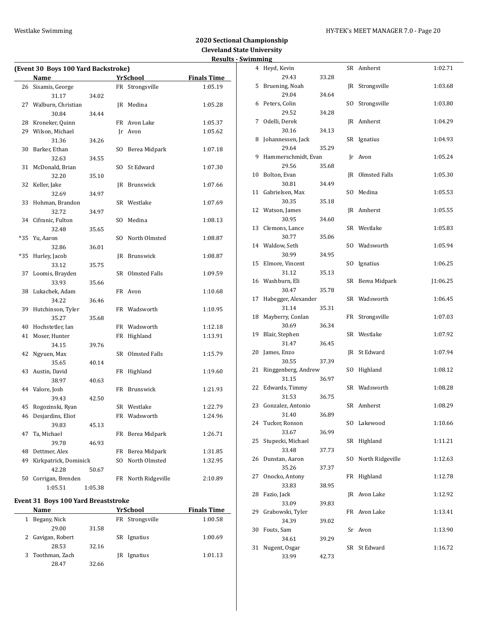### Westlake Swimming **Manufather 1999** MY-TEK's MEET MANAGER 7.0 - Page 20

# **2020 Sectional Championship Cleveland State University Results - Swimming**

| (Event 30 Boys 100 Yard Backstroke) |                       |         |     |                  |                    |  |  |  |  |  |
|-------------------------------------|-----------------------|---------|-----|------------------|--------------------|--|--|--|--|--|
|                                     | Name                  |         |     | YrSchool         | <b>Finals Time</b> |  |  |  |  |  |
|                                     | 26 Sisamis, George    |         |     | FR Strongsville  | 1:05.19            |  |  |  |  |  |
|                                     | 31.17                 | 34.02   |     |                  |                    |  |  |  |  |  |
|                                     | 27 Walburn, Christian |         |     | JR Medina        | 1:05.28            |  |  |  |  |  |
|                                     | 30.84                 | 34.44   |     |                  |                    |  |  |  |  |  |
| 28                                  | Kroneker, Quinn       |         |     | FR Avon Lake     | 1:05.37            |  |  |  |  |  |
| 29                                  | Wilson, Michael       |         |     | Ir Avon          | 1:05.62            |  |  |  |  |  |
|                                     | 31.36                 | 34.26   |     |                  |                    |  |  |  |  |  |
| 30                                  | Barker, Ethan         |         |     | SO Berea Midpark | 1:07.18            |  |  |  |  |  |
|                                     | 32.63                 | 34.55   |     |                  |                    |  |  |  |  |  |
| 31                                  | McDonald, Brian       |         | SO. | St Edward        | 1:07.30            |  |  |  |  |  |
|                                     | 32.20                 | 35.10   |     |                  |                    |  |  |  |  |  |
| 32                                  | Keller, Jake          |         |     | JR Brunswick     | 1:07.66            |  |  |  |  |  |
|                                     | 32.69                 | 34.97   |     |                  |                    |  |  |  |  |  |
| 33                                  | Hohman, Brandon       |         |     | SR Westlake      | 1:07.69            |  |  |  |  |  |
|                                     | 32.72                 | 34.97   |     |                  |                    |  |  |  |  |  |
|                                     | 34 Cifranic, Fulton   |         |     | SO Medina        | 1:08.13            |  |  |  |  |  |
|                                     | 32.48                 | 35.65   |     |                  |                    |  |  |  |  |  |
| *35                                 | Yu, Aaron             |         | SO. | North Olmsted    | 1:08.87            |  |  |  |  |  |
|                                     | 32.86                 | 36.01   |     |                  |                    |  |  |  |  |  |
| *35                                 | Hurley, Jacob         |         |     | JR Brunswick     | 1:08.87            |  |  |  |  |  |
|                                     | 33.12                 | 35.75   |     |                  |                    |  |  |  |  |  |
| 37                                  | Loomis, Brayden       |         |     | SR Olmsted Falls | 1:09.59            |  |  |  |  |  |
|                                     | 33.93                 | 35.66   |     |                  |                    |  |  |  |  |  |
| 38                                  | Lukachek, Adam        |         |     | FR Avon          | 1:10.68            |  |  |  |  |  |
|                                     | 34.22                 | 36.46   |     |                  |                    |  |  |  |  |  |
| 39                                  | Hutchinson, Tyler     |         |     | FR Wadsworth     | 1:10.95            |  |  |  |  |  |
|                                     | 35.27                 | 35.68   |     |                  |                    |  |  |  |  |  |
| 40                                  | Hochstetler, Ian      |         |     | FR Wadsworth     | 1:12.18            |  |  |  |  |  |
| 41                                  | Moser, Hunter         |         |     | FR Highland      | 1:13.91            |  |  |  |  |  |
|                                     | 34.15                 | 39.76   |     |                  |                    |  |  |  |  |  |
| 42                                  | Ngyuen, Max           |         |     | SR Olmsted Falls | 1:15.79            |  |  |  |  |  |
|                                     | 35.65                 | 40.14   |     |                  |                    |  |  |  |  |  |
|                                     | 43 Austin, David      |         |     | FR Highland      | 1:19.60            |  |  |  |  |  |
|                                     | 38.97                 | 40.63   |     |                  |                    |  |  |  |  |  |
|                                     | 44 Valore, Josh       |         |     | FR Brunswick     | 1:21.93            |  |  |  |  |  |
|                                     | 39.43                 | 42.50   |     |                  |                    |  |  |  |  |  |
| 45                                  | Rogozinski, Ryan      |         |     | SR Westlake      | 1:22.79            |  |  |  |  |  |
|                                     | 46 Desjardins, Eliot  |         |     | FR Wadsworth     | 1:24.96            |  |  |  |  |  |
|                                     | 39.83                 | 45.13   |     |                  |                    |  |  |  |  |  |
| 47                                  | Ta, Michael           |         | FR  | Berea Midpark    | 1:26.71            |  |  |  |  |  |
|                                     | 39.78                 | 46.93   |     |                  |                    |  |  |  |  |  |
| 48                                  | Dettmer, Alex         |         | FR  | Berea Midpark    | 1:31.85            |  |  |  |  |  |
| 49                                  | Kirkpatrick, Dominick |         | SO. | North Olmsted    | 1:32.95            |  |  |  |  |  |
|                                     | 42.28                 | 50.67   |     |                  |                    |  |  |  |  |  |
| 50                                  | Corrigan, Brenden     |         | FR  | North Ridgeville | 2:10.89            |  |  |  |  |  |
|                                     | 1:05.51               | 1:05.38 |     |                  |                    |  |  |  |  |  |

# **Event 31 Boys 100 Yard Breaststroke**

| <b>Name</b>       |       | YrSchool        | <b>Finals Time</b> |
|-------------------|-------|-----------------|--------------------|
| Begany, Nick<br>1 |       | FR Strongsville | 1:00.58            |
| 29.00             | 31.58 |                 |                    |
| 2 Gavigan, Robert |       | SR Ignatius     | 1:00.69            |
| 28.53             | 32.16 |                 |                    |
| 3 Toothman, Zach  |       | Ignatius<br>IR  | 1:01.13            |
| 28.47             | 32.66 |                 |                    |

|    | ոսութ                        |       |     |                  |          |
|----|------------------------------|-------|-----|------------------|----------|
|    | 4 Heyd, Kevin                |       |     | SR Amherst       | 1:02.71  |
|    | 29.43                        | 33.28 |     |                  |          |
|    | 5 Bruening, Noah             |       |     | JR Strongsville  | 1:03.68  |
|    | 29.04                        | 34.64 |     |                  |          |
| 6  | Peters, Colin                |       |     | SO Strongsville  | 1:03.80  |
|    | 29.52                        | 34.28 |     |                  |          |
| 7  | Odelli, Derek                |       |     | JR Amherst       | 1:04.29  |
|    | 30.16                        | 34.13 |     |                  |          |
| 8  | Johannessen, Jack            |       |     | SR Ignatius      | 1:04.93  |
|    | 29.64                        | 35.29 |     |                  |          |
| 9  | Hammerschmidt, Evan          |       |     | Jr Avon          | 1:05.24  |
|    | 29.56                        | 35.68 |     |                  |          |
| 10 | Bolton, Evan                 |       |     | JR Olmsted Falls | 1:05.30  |
|    | 30.81                        | 34.49 |     |                  |          |
| 11 | Gabrielsen, Max              |       |     | SO Medina        | 1:05.53  |
|    | 30.35                        | 35.18 |     |                  |          |
|    | 12 Watson, James             |       |     | JR Amherst       | 1:05.55  |
|    | 30.95                        | 34.60 |     |                  |          |
| 13 | Clemons, Lance               |       |     | SR Westlake      | 1:05.83  |
|    | 30.77                        | 35.06 |     |                  |          |
|    | 14 Waldow, Seth              |       |     | SO Wadsworth     | 1:05.94  |
|    | 30.99                        | 34.95 |     |                  |          |
| 15 | Elmore, Vincent              |       |     | SO Ignatius      | 1:06.25  |
|    | 31.12                        | 35.13 |     |                  |          |
|    | 16 Washburn, Eli             |       |     | SR Berea Midpark | J1:06.25 |
|    | 30.47                        | 35.78 |     |                  |          |
| 17 | Habegger, Alexander          |       |     | SR Wadsworth     | 1:06.45  |
|    | 31.14                        | 35.31 |     |                  |          |
| 18 | Mayberry, Conlan             |       |     | FR Strongsville  | 1:07.03  |
|    | 30.69                        | 36.34 |     |                  |          |
| 19 | Blair, Stephen               |       |     | SR Westlake      | 1:07.92  |
|    | 31.47                        | 36.45 |     |                  |          |
| 20 | James, Enzo                  |       |     | JR St Edward     | 1:07.94  |
| 21 | 30.55<br>Ringgenberg, Andrew | 37.39 |     | SO Highland      | 1:08.12  |
|    | 31.15                        |       |     |                  |          |
| 22 | Edwards, Timmy               | 36.97 |     | SR Wadsworth     |          |
|    | 31.53                        |       |     |                  | 1:08.28  |
|    | 23 Gonzalez, Antonio         | 36.75 |     | SR Amherst       | 1:08.29  |
|    | 31.40                        | 36.89 |     |                  |          |
|    | 24 Tucker, Ronson            |       |     | SO Lakewood      | 1:10.66  |
|    | 33.67                        | 36.99 |     |                  |          |
| 25 | Stupecki, Michael            |       | SR  | Highland         | 1:11.21  |
|    | 33.48                        | 37.73 |     |                  |          |
| 26 | Dunstan, Aaron               |       | SO. | North Ridgeville | 1:12.63  |
|    | 35.26                        | 37.37 |     |                  |          |
| 27 | Onocko, Antony               |       | FR  | Highland         | 1:12.78  |
|    | 33.83                        | 38.95 |     |                  |          |
| 28 | Fazio, Jack                  |       |     | JR Avon Lake     | 1:12.92  |
|    | 33.09                        | 39.83 |     |                  |          |
| 29 | Grabowski, Tyler             |       | FR  | Avon Lake        | 1:13.41  |
|    | 34.39                        | 39.02 |     |                  |          |
| 30 | Fouts, Sam                   |       |     | Sr Avon          | 1:13.90  |
|    | 34.61                        | 39.29 |     |                  |          |
| 31 | Nugent, Osgar                |       | SR  | St Edward        | 1:16.72  |
|    | 33.99                        | 42.73 |     |                  |          |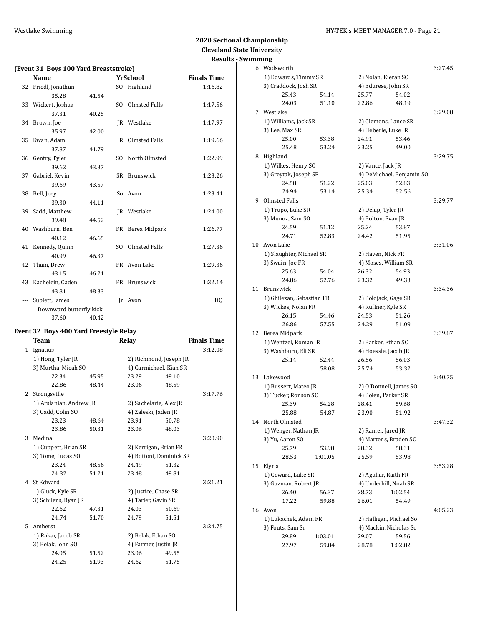Ц.

### Westlake Swimming **Manufather 1999** MY-TEK's MEET MANAGER 7.0 - Page 21

# **2020 Sectional Championship Cleveland State University Results - Swim**

|         | (Event 31 Boys 100 Yard Breaststroke) |       |                |                  |                    |  |  |
|---------|---------------------------------------|-------|----------------|------------------|--------------------|--|--|
|         | <b>Name</b>                           |       |                | <b>YrSchool</b>  | <b>Finals Time</b> |  |  |
| 32      | Friedl, Jonathan                      |       | SO.            | Highland         | 1:16.82            |  |  |
|         | 35.28                                 | 41.54 |                |                  |                    |  |  |
|         | 33 Wickert, Joshua                    |       | SO.            | Olmsted Falls    | 1:17.56            |  |  |
|         | 37.31                                 | 40.25 |                |                  |                    |  |  |
|         | 34 Brown, Joe                         |       |                | JR Westlake      | 1:17.97            |  |  |
|         | 35.97                                 | 42.00 |                |                  |                    |  |  |
| 35      | Kwan, Adam                            |       |                | JR Olmsted Falls | 1:19.66            |  |  |
|         | 37.87                                 | 41.79 |                |                  |                    |  |  |
|         | 36 Gentry, Tyler                      |       | S <sub>O</sub> | North Olmsted    | 1:22.99            |  |  |
|         | 39.62                                 | 43.37 |                |                  |                    |  |  |
| 37      | Gabriel, Kevin                        |       |                | SR Brunswick     | 1:23.26            |  |  |
|         | 39.69                                 | 43.57 |                |                  |                    |  |  |
| 38      | Bell, Joey                            |       |                | So Avon          | 1:23.41            |  |  |
|         | 39.30                                 | 44.11 |                |                  |                    |  |  |
|         | 39 Sadd, Matthew                      |       |                | JR Westlake      | 1:24.00            |  |  |
|         | 39.48                                 | 44.52 |                |                  |                    |  |  |
|         | 40 Washburn, Ben                      |       |                | FR Berea Midpark | 1:26.77            |  |  |
|         | 40.12                                 | 46.65 |                |                  |                    |  |  |
|         | 41 Kennedy, Quinn                     |       | SO.            | Olmsted Falls    | 1:27.36            |  |  |
|         | 40.99                                 | 46.37 |                |                  |                    |  |  |
| 42      | Thain, Drew                           |       |                | FR Avon Lake     | 1:29.36            |  |  |
|         | 43.15                                 | 46.21 |                |                  |                    |  |  |
|         | 43 Kachelein, Caden                   |       |                | FR Brunswick     | 1:32.14            |  |  |
|         | 43.81                                 | 48.33 |                |                  |                    |  |  |
| $- - -$ | Sublett, James                        |       | Ir             | Avon             | DQ                 |  |  |
|         | Downward butterfly kick               |       |                |                  |                    |  |  |
|         | 37.60                                 | 40.42 |                |                  |                    |  |  |
|         |                                       |       |                |                  |                    |  |  |

# **Event 32 Boys 400 Yard Freestyle Relay**

|   | Team                    | Relay |                         |       | <b>Finals Time</b> |  |
|---|-------------------------|-------|-------------------------|-------|--------------------|--|
| 1 | Ignatius                |       |                         |       | 3:12.08            |  |
|   | 1) Hong, Tyler JR       |       | 2) Richmond, Joseph JR  |       |                    |  |
|   | 3) Murtha, Micah SO     |       | 4) Carmichael, Kian SR  |       |                    |  |
|   | 22.34                   | 45.95 | 23.29                   | 49.10 |                    |  |
|   | 22.86                   | 48.44 | 23.06                   | 48.59 |                    |  |
| 2 | Strongsville            |       |                         |       | 3:17.76            |  |
|   | 1) Arslanian, Andrew JR |       | 2) Sachelarie, Alex JR  |       |                    |  |
|   | 3) Gadd, Colin SO       |       | 4) Zaleski, Jaden JR    |       |                    |  |
|   | 23.23                   | 48.64 | 23.91                   | 50.78 |                    |  |
|   | 23.86                   | 50.31 | 23.06                   | 48.03 |                    |  |
| 3 | Medina                  |       |                         |       | 3:20.90            |  |
|   | 1) Cuppett, Brian SR    |       | 2) Kerrigan, Brian FR   |       |                    |  |
|   | 3) Tome, Lucas SO       |       | 4) Bottoni, Dominick SR |       |                    |  |
|   | 23.24                   | 48.56 | 24.49                   | 51.32 |                    |  |
|   | 24.32                   | 51.21 | 23.48                   | 49.81 |                    |  |
| 4 | St Edward               |       |                         |       | 3:21.21            |  |
|   | 1) Gluck, Kyle SR       |       | 2) Justice, Chase SR    |       |                    |  |
|   | 3) Schilens, Ryan JR    |       | 4) Tarler, Gavin SR     |       |                    |  |
|   | 22.62                   | 47.31 | 24.03                   | 50.69 |                    |  |
|   | 24.74                   | 51.70 | 24.79                   | 51.51 |                    |  |
| 5 | Amherst                 |       |                         |       | 3:24.75            |  |
|   | 1) Rakar, Jacob SR      |       | 2) Belak, Ethan SO      |       |                    |  |
|   | 3) Belak, John SO       |       | 4) Farmer, Justin JR    |       |                    |  |
|   | 24.05                   | 51.52 | 23.06                   | 49.55 |                    |  |
|   | 24.25                   | 51.93 | 24.62                   | 51.75 |                    |  |

|    | nmıng                     |                |                        |                                           |         |  |
|----|---------------------------|----------------|------------------------|-------------------------------------------|---------|--|
| 6  | Wadsworth                 |                |                        |                                           | 3:27.45 |  |
|    | 1) Edwards, Timmy SR      |                | 2) Nolan, Kieran SO    |                                           |         |  |
|    | 3) Craddock, Josh SR      |                | 4) Edurese, John SR    |                                           |         |  |
|    | 25.43                     | 54.14          | 25.77                  | 54.02                                     |         |  |
|    | 24.03                     | 51.10          | 22.86                  | 48.19                                     |         |  |
| 7  | Westlake                  |                |                        |                                           | 3:29.08 |  |
|    | 1) Williams, Jack SR      |                |                        | 2) Clemons, Lance SR                      |         |  |
|    | 3) Lee, Max SR            |                | 4) Heberle, Luke JR    |                                           |         |  |
|    | 25.00                     | 53.38          | 24.91                  | 53.46                                     |         |  |
|    | 25.48                     | 53.24          | 23.25                  | 49.00                                     |         |  |
| 8  | Highland                  |                |                        |                                           | 3:29.75 |  |
|    | 1) Wilkes, Henry SO       |                | 2) Vance, Jack JR      |                                           |         |  |
|    | 3) Greytak, Joseph SR     |                |                        | 4) DeMichael, Benjamin SO                 |         |  |
|    | 24.58                     | 51.22          | 25.03                  | 52.83                                     |         |  |
|    | 24.94                     | 53.14          | 25.34                  | 52.56                                     |         |  |
| 9  | Olmsted Falls             |                |                        |                                           | 3:29.77 |  |
|    | 1) Trupo, Luke SR         |                | 2) Delap, Tyler JR     |                                           |         |  |
|    | 3) Munoz, Sam SO          |                | 4) Bolton, Evan JR     |                                           |         |  |
|    | 24.59<br>51.12            |                | 25.24                  | 53.87                                     |         |  |
|    | 24.71                     | 52.83          | 24.42                  | 51.95                                     |         |  |
| 10 | Avon Lake                 |                |                        |                                           | 3:31.06 |  |
|    |                           |                |                        |                                           |         |  |
|    | 1) Slaughter, Michael SR  |                |                        | 2) Haven, Nick FR<br>4) Moses, William SR |         |  |
|    | 3) Swain, Joe FR<br>25.63 |                | 26.32                  |                                           |         |  |
|    | 24.86                     | 54.04<br>52.76 |                        | 54.93                                     |         |  |
|    |                           |                | 23.32                  | 49.33                                     |         |  |
| 11 | <b>Brunswick</b>          |                |                        |                                           | 3:34.36 |  |
|    | 1) Ghilezan, Sebastian FR |                |                        | 2) Polojack, Gage SR                      |         |  |
|    | 3) Wickes, Nolan FR       |                | 4) Ruffner, Kyle SR    |                                           |         |  |
|    | 26.15                     | 54.46          | 24.53                  | 51.26                                     |         |  |
|    | 26.86                     | 57.55          | 24.29                  | 51.09                                     |         |  |
| 12 | Berea Midpark             |                |                        |                                           | 3:39.87 |  |
|    | 1) Wentzel, Roman JR      |                | 2) Barker, Ethan SO    |                                           |         |  |
|    | 3) Washburn, Eli SR       |                | 4) Hoessle, Jacob JR   |                                           |         |  |
|    | 25.14                     | 52.44          | 26.56                  | 56.03                                     |         |  |
|    |                           | 58.08          | 25.74                  | 53.32                                     |         |  |
| 13 | Lakewood                  |                |                        |                                           | 3:40.75 |  |
|    | 1) Bussert, Mateo JR      |                |                        | 2) O'Donnell, James SO                    |         |  |
|    | 3) Tucker, Ronson SO      |                |                        | 4) Polen, Parker SR                       |         |  |
|    | 25.39                     | 54.28          | 28.41                  | 59.68                                     |         |  |
|    | 25.88                     | 54.87          | 23.90                  | 51.92                                     |         |  |
|    | 14 North Olmsted          |                |                        |                                           | 3:47.32 |  |
|    | 1) Wenger, Nathan JR      |                | 2) Ramer, Jared JR     |                                           |         |  |
|    | 3) Yu, Aaron SO           |                |                        | 4) Martens, Braden SO                     |         |  |
|    | 25.79                     | 53.98          | 28.32                  | 58.31                                     |         |  |
|    | 28.53                     | 1:01.05        | 25.59                  | 53.98                                     |         |  |
| 15 | Elyria                    |                |                        |                                           | 3:53.28 |  |
|    | 1) Coward, Luke SR        |                |                        | 2) Aguliar, Raith FR                      |         |  |
|    | 3) Guzman, Robert JR      |                | 4) Underhill, Noah SR  |                                           |         |  |
|    | 26.40                     | 56.37          | 28.73                  | 1:02.54                                   |         |  |
|    | 17.22                     | 59.88          | 26.01                  | 54.49                                     |         |  |
| 16 | Avon                      |                |                        |                                           | 4:05.23 |  |
|    | 1) Lukachek, Adam FR      |                |                        | 2) Halligan, Michael So                   |         |  |
|    | 3) Fouts, Sam Sr          |                | 4) Mackin, Nicholas So |                                           |         |  |
|    | 29.89                     | 1:03.01        | 29.07                  | 59.56                                     |         |  |
|    | 27.97                     | 59.84          | 28.78                  | 1:02.82                                   |         |  |
|    |                           |                |                        |                                           |         |  |